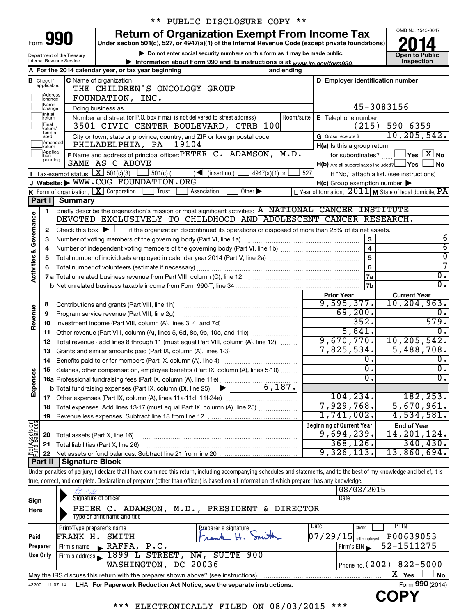|      | M<br>Ì |  |
|------|--------|--|
|      | n      |  |
| Form |        |  |

Department of the Treasury Internal Revenue Service

# \*\* PUBLIC DISCLOSURE COPY \*\*

**Under section 501(c), 527, or 4947(a)(1) of the Internal Revenue Code (except private foundations) Return of Organization Exempt From Income Tax** 

**| Do not enter social security numbers on this form as it may be made public.**

**| Information about Form 990 and its instructions is at www.irs.gov/form990.** | Inspection



|                         |                               | A For the 2014 calendar year, or tax year beginning<br>and ending                                                                           |                                                         |                                                           |
|-------------------------|-------------------------------|---------------------------------------------------------------------------------------------------------------------------------------------|---------------------------------------------------------|-----------------------------------------------------------|
|                         | <b>B</b> Check if applicable: | <b>C</b> Name of organization                                                                                                               | D Employer identification number                        |                                                           |
|                         | Address<br>change             | THE CHILDREN'S ONCOLOGY GROUP<br>FOUNDATION, INC.                                                                                           |                                                         |                                                           |
|                         | Name<br>change                | Doing business as                                                                                                                           |                                                         | 45-3083156                                                |
|                         | Initial<br> return            | Number and street (or P.O. box if mail is not delivered to street address)<br>Room/suite                                                    | E Telephone number                                      |                                                           |
|                         | Final<br> return/             | 3501 CIVIC CENTER BOULEVARD, CTRB 100                                                                                                       |                                                         | $(215)$ 590-6359                                          |
|                         | termin-<br>ated               | City or town, state or province, country, and ZIP or foreign postal code                                                                    | G Gross receipts \$                                     | 10, 205, 542.                                             |
|                         | Amended<br>return             | 19104<br>PHILADELPHIA, PA                                                                                                                   | $H(a)$ is this a group return                           |                                                           |
|                         | Applica-                      | F Name and address of principal officer: PETER C. ADAMSON, M.D.                                                                             | for subordinates?                                       | $\sqrt{}$ Yes $\boxed{\text{X}}$ No                       |
|                         | pending                       | SAME AS C ABOVE                                                                                                                             | $H(b)$ Are all subordinates included? $\Box$ Yes $\Box$ | ⊥No                                                       |
|                         |                               | Tax-exempt status: $X \mid 501(c)(3)$<br>$501(c)$ (<br>$\sqrt{\bullet}$ (insert no.)<br>4947(a)(1) or                                       | 527                                                     | If "No," attach a list. (see instructions)                |
|                         |                               | J Website: WWW.COG-FOUNDATION.ORG                                                                                                           | $H(c)$ Group exemption number $\blacktriangleright$     |                                                           |
|                         |                               | Other $\blacktriangleright$<br><b>K</b> Form of organization: $\boxed{\mathbf{X}}$ Corporation<br>Trust<br>Association                      |                                                         | L Year of formation: $2011$ M State of legal domicile: PA |
|                         | Part I                        | <b>Summary</b>                                                                                                                              |                                                         |                                                           |
|                         | 1                             | Briefly describe the organization's mission or most significant activities: A NATIONAL CANCER INSTITUTE                                     |                                                         |                                                           |
| Governance              |                               | DEVOTED EXCLUSIVELY TO CHILDHOOD AND ADOLESCENT CANCER RESEARCH.                                                                            |                                                         |                                                           |
|                         | 2                             | Check this box $\blacktriangleright$ $\Box$ if the organization discontinued its operations or disposed of more than 25% of its net assets. |                                                         |                                                           |
|                         | З                             | Number of voting members of the governing body (Part VI, line 1a)                                                                           | 3                                                       | 6                                                         |
|                         | 4                             |                                                                                                                                             | $\overline{4}$                                          | $\overline{6}$                                            |
|                         | 5                             |                                                                                                                                             | 5                                                       | $\overline{\mathfrak{o}}$<br>7                            |
| <b>Activities &amp;</b> | 6                             |                                                                                                                                             | 6                                                       | $\overline{0}$ .                                          |
|                         |                               |                                                                                                                                             | 7a                                                      | $\overline{0}$ .                                          |
|                         |                               |                                                                                                                                             | 7b<br><b>Prior Year</b>                                 | <b>Current Year</b>                                       |
|                         | 8                             | Contributions and grants (Part VIII, line 1h)                                                                                               | 9,595,377.                                              | 10, 204, 963.                                             |
| Revenue                 | 9                             | Program service revenue (Part VIII, line 2g)                                                                                                | 69,200.                                                 | 0.                                                        |
|                         | 10                            |                                                                                                                                             | 352.                                                    | 579.                                                      |
|                         | 11                            | Other revenue (Part VIII, column (A), lines 5, 6d, 8c, 9c, 10c, and 11e)                                                                    | 5,841.                                                  | 0.                                                        |
|                         | 12                            | Total revenue - add lines 8 through 11 (must equal Part VIII, column (A), line 12)                                                          | 9,670,770.                                              | 10, 205, 542.                                             |
|                         | 13                            | Grants and similar amounts paid (Part IX, column (A), lines 1-3)                                                                            | 7,825,534.                                              | 5,488,708.                                                |
|                         | 14                            |                                                                                                                                             | 0.                                                      | 0.                                                        |
|                         | 15                            | Salaries, other compensation, employee benefits (Part IX, column (A), lines 5-10)                                                           | σ.                                                      | $\overline{0}$ .                                          |
| Expenses                |                               |                                                                                                                                             | 0.                                                      | $\overline{0}$ .                                          |
|                         |                               | 6,187.<br><b>b</b> Total fundraising expenses (Part IX, column (D), line 25)<br>$\blacktriangleright$                                       |                                                         |                                                           |
|                         |                               |                                                                                                                                             | 104, 234.                                               | 182, 253.                                                 |
|                         | 18                            | Total expenses. Add lines 13-17 (must equal Part IX, column (A), line 25)                                                                   | 7,929,768.                                              | 5,670,961.                                                |
|                         | 19                            |                                                                                                                                             | 1,741,002.                                              | 4,534,581.                                                |
| Net Assets or           |                               |                                                                                                                                             | <b>Beginning of Current Year</b>                        | <b>End of Year</b>                                        |
|                         | 20                            | Total assets (Part X, line 16)                                                                                                              | 9,694,239.                                              | 14, 201, 124.                                             |
|                         | 21                            | Total liabilities (Part X, line 26)                                                                                                         | 368, 126.                                               | 340, 430.                                                 |
|                         | 22                            |                                                                                                                                             | 9,326,113.                                              | 13,860,694.                                               |
|                         |                               | <b>Part II   Signature Block</b>                                                                                                            |                                                         |                                                           |

Under penalties of perjury, I declare that I have examined this return, including accompanying schedules and statements, and to the best of my knowledge and belief, it is true, correct, and complete. Declaration of preparer (other than officer) is based on all information of which preparer has any knowledge.

|                 | L. Gilmon                                                                         |                                     | 08/03/2015                            |
|-----------------|-----------------------------------------------------------------------------------|-------------------------------------|---------------------------------------|
| Sign            | Signature of officer                                                              |                                     | Date                                  |
| Here            | PETER C.                                                                          | ADAMSON, M.D., PRESIDENT & DIRECTOR |                                       |
|                 | Type or print name and title                                                      |                                     |                                       |
|                 | Print/Type preparer's name                                                        | Preparer's signature                | Date<br>PTIN<br>Check                 |
| Paid            | FRANK H.<br>SMITH                                                                 | Frank                               | $07/29/15$ self-employed<br>P00639053 |
| Preparer        | RAFFA, P.C.<br>Firm's name<br>$\blacksquare$                                      |                                     | 52-1511275<br>Firm's EIN              |
| Use Only        | 1899 L STREET,<br>Firm's address                                                  | NW, SUITE 900                       |                                       |
|                 | WASHINGTON, DC 20036                                                              |                                     | Phone no. $(202)$ 822-5000            |
|                 | May the IRS discuss this return with the preparer shown above? (see instructions) |                                     | $\mathbf{X}$ Yes<br><b>No</b>         |
| 432001 11-07-14 | LHA For Paperwork Reduction Act Notice, see the separate instructions.            |                                     | Form 990 (2014)                       |
|                 |                                                                                   |                                     |                                       |

\*\*\* ELECTRONICALLY FILED ON 08/03/2015 \*\*\*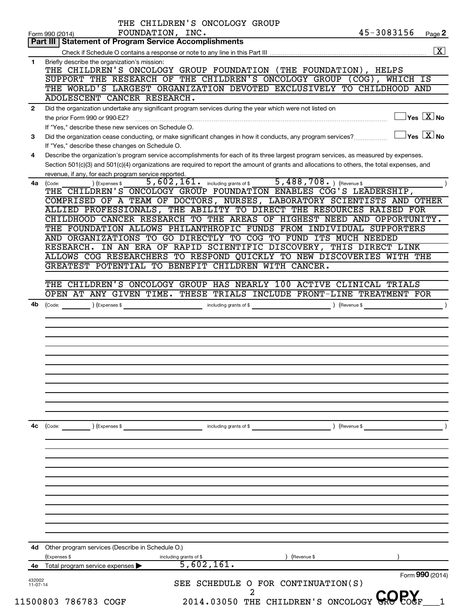|                | THE CHILDREN'S ONCOLOGY GROUP                                                                                                                           |
|----------------|---------------------------------------------------------------------------------------------------------------------------------------------------------|
|                | 45-3083156<br>FOUNDATION, INC.<br>Page 2<br>Form 990 (2014)<br>Part III   Statement of Program Service Accomplishments                                  |
|                |                                                                                                                                                         |
| 1              | Briefly describe the organization's mission:                                                                                                            |
|                | THE CHILDREN'S ONCOLOGY GROUP FOUNDATION (THE FOUNDATION), HELPS                                                                                        |
|                | SUPPORT THE RESEARCH OF THE CHILDREN'S ONCOLOGY GROUP (COG), WHICH IS                                                                                   |
|                | THE WORLD'S LARGEST ORGANIZATION DEVOTED EXCLUSIVELY TO CHILDHOOD AND                                                                                   |
|                | ADOLESCENT CANCER RESEARCH.                                                                                                                             |
| $\overline{2}$ | Did the organization undertake any significant program services during the year which were not listed on                                                |
|                | $\exists$ Yes $\boxed{\text{X}}$ No                                                                                                                     |
|                | If "Yes," describe these new services on Schedule O.                                                                                                    |
| 3              | $\Box$ Yes $[\overline{\mathrm{X}}]$ No<br>Did the organization cease conducting, or make significant changes in how it conducts, any program services? |
|                | If "Yes," describe these changes on Schedule O.                                                                                                         |
| 4              | Describe the organization's program service accomplishments for each of its three largest program services, as measured by expenses.                    |
|                | Section 501(c)(3) and 501(c)(4) organizations are required to report the amount of grants and allocations to others, the total expenses, and            |
|                | revenue, if any, for each program service reported.                                                                                                     |
|                | 5, 602, 161. including grants of \$ 5, 488, 708. ) (Revenue \$<br>) (Expenses \$<br>4a (Code:                                                           |
|                | THE CHILDREN'S ONCOLOGY GROUP FOUNDATION ENABLES COG'S LEADERSHIP,<br>COMPRISED OF A TEAM OF DOCTORS, NURSES, LABORATORY SCIENTISTS AND OTHER           |
|                | ALLIED PROFESSIONALS, THE ABILITY TO DIRECT THE RESOURCES RAISED FOR                                                                                    |
|                | CHILDHOOD CANCER RESEARCH TO THE AREAS OF HIGHEST NEED AND OPPORTUNITY.                                                                                 |
|                | THE FOUNDATION ALLOWS PHILANTHROPIC FUNDS FROM INDIVIDUAL SUPPORTERS                                                                                    |
|                | AND ORGANIZATIONS TO GO DIRECTLY TO COG TO FUND ITS MUCH NEEDED                                                                                         |
|                | RESEARCH. IN AN ERA OF RAPID SCIENTIFIC DISCOVERY, THIS DIRECT LINK                                                                                     |
|                | ALLOWS COG RESEARCHERS TO RESPOND QUICKLY TO NEW DISCOVERIES WITH THE                                                                                   |
|                | GREATEST POTENTIAL TO BENEFIT CHILDREN WITH CANCER.                                                                                                     |
|                |                                                                                                                                                         |
|                | THE CHILDREN'S ONCOLOGY GROUP HAS NEARLY 100 ACTIVE CLINICAL TRIALS                                                                                     |
|                | OPEN AT ANY GIVEN TIME. THESE TRIALS INCLUDE FRONT-LINE TREATMENT FOR                                                                                   |
| 4b             | $\int (Code: ) (Express $ )$                                                                                                                            |
|                |                                                                                                                                                         |
|                |                                                                                                                                                         |
|                |                                                                                                                                                         |
|                |                                                                                                                                                         |
|                |                                                                                                                                                         |
|                |                                                                                                                                                         |
|                |                                                                                                                                                         |
|                |                                                                                                                                                         |
|                |                                                                                                                                                         |
|                |                                                                                                                                                         |
|                |                                                                                                                                                         |
| 4c             | (Expenses \$<br>) (Revenue \$                                                                                                                           |
|                | $\left(\text{Code:}\right)$<br>including grants of \$                                                                                                   |
|                |                                                                                                                                                         |
|                |                                                                                                                                                         |
|                |                                                                                                                                                         |
|                |                                                                                                                                                         |
|                |                                                                                                                                                         |
|                |                                                                                                                                                         |
|                |                                                                                                                                                         |
|                |                                                                                                                                                         |
|                |                                                                                                                                                         |
|                |                                                                                                                                                         |
|                |                                                                                                                                                         |
| 4d             | Other program services (Describe in Schedule O.)                                                                                                        |
|                | (Expenses \$<br>(Revenue \$<br>including grants of \$                                                                                                   |
|                | 5,602,161.<br>Total program service expenses                                                                                                            |
| 432002         | Form 990 (2014)                                                                                                                                         |
| $11 - 07 - 14$ | SEE SCHEDULE O FOR CONTINUATION(S)                                                                                                                      |
|                | 2014.03050 THE CHILDREN'S ONCOLOGY GROPOGF                                                                                                              |
|                | 11500803 786783 COGF                                                                                                                                    |
|                |                                                                                                                                                         |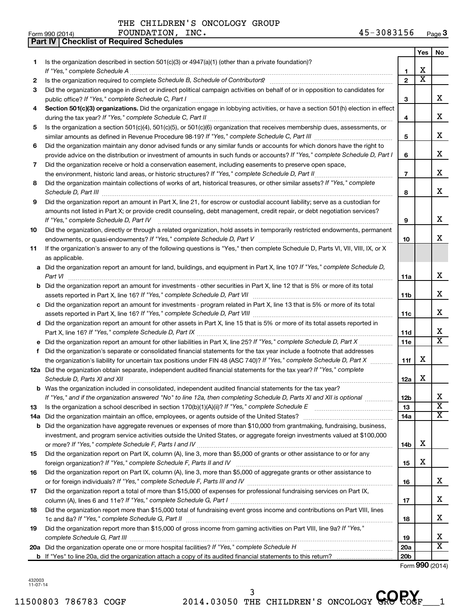|     | <b>Part IV   Checklist of Required Schedules</b>                                                                                                                                                                                    |                 |                       |                         |
|-----|-------------------------------------------------------------------------------------------------------------------------------------------------------------------------------------------------------------------------------------|-----------------|-----------------------|-------------------------|
|     |                                                                                                                                                                                                                                     |                 | <b>Yes</b>            | No                      |
| 1   | Is the organization described in section 501(c)(3) or 4947(a)(1) (other than a private foundation)?                                                                                                                                 |                 |                       |                         |
|     |                                                                                                                                                                                                                                     | 1               | x                     |                         |
| 2   | Is the organization required to complete Schedule B, Schedule of Contributors? [11] the organization required to complete Schedule B, Schedule of Contributors?                                                                     | $\overline{2}$  | $\overline{\text{x}}$ |                         |
| З   | Did the organization engage in direct or indirect political campaign activities on behalf of or in opposition to candidates for                                                                                                     |                 |                       |                         |
|     |                                                                                                                                                                                                                                     | 3               |                       | x                       |
| 4   | Section 501(c)(3) organizations. Did the organization engage in lobbying activities, or have a section 501(h) election in effect                                                                                                    |                 |                       |                         |
|     |                                                                                                                                                                                                                                     | 4               |                       | x                       |
|     | Is the organization a section 501(c)(4), 501(c)(5), or 501(c)(6) organization that receives membership dues, assessments, or                                                                                                        |                 |                       |                         |
| 5   |                                                                                                                                                                                                                                     |                 |                       | x                       |
|     |                                                                                                                                                                                                                                     | 5               |                       |                         |
| 6   | Did the organization maintain any donor advised funds or any similar funds or accounts for which donors have the right to                                                                                                           |                 |                       | x                       |
|     | provide advice on the distribution or investment of amounts in such funds or accounts? If "Yes," complete Schedule D, Part I                                                                                                        | 6               |                       |                         |
| 7   | Did the organization receive or hold a conservation easement, including easements to preserve open space,                                                                                                                           |                 |                       |                         |
|     |                                                                                                                                                                                                                                     | $\overline{7}$  |                       | x                       |
| 8   | Did the organization maintain collections of works of art, historical treasures, or other similar assets? If "Yes," complete                                                                                                        |                 |                       |                         |
|     | Schedule D, Part III <b>Martin Communication</b> and the Contract of the Contract of the Contract of the Contract of the Contract of the Contract of the Contract of the Contract of the Contract of the Contract of the Contract o | 8               |                       | x                       |
| 9   | Did the organization report an amount in Part X, line 21, for escrow or custodial account liability; serve as a custodian for                                                                                                       |                 |                       |                         |
|     | amounts not listed in Part X; or provide credit counseling, debt management, credit repair, or debt negotiation services?                                                                                                           |                 |                       |                         |
|     | If "Yes," complete Schedule D, Part IV                                                                                                                                                                                              | 9               |                       | x                       |
| 10  | Did the organization, directly or through a related organization, hold assets in temporarily restricted endowments, permanent                                                                                                       |                 |                       |                         |
|     |                                                                                                                                                                                                                                     | 10              |                       | x                       |
| 11  | If the organization's answer to any of the following questions is "Yes," then complete Schedule D, Parts VI, VII, VIII, IX, or X                                                                                                    |                 |                       |                         |
|     | as applicable.                                                                                                                                                                                                                      |                 |                       |                         |
|     | a Did the organization report an amount for land, buildings, and equipment in Part X, line 10? If "Yes," complete Schedule D,                                                                                                       |                 |                       |                         |
|     |                                                                                                                                                                                                                                     | 11a             |                       | x                       |
|     | <b>b</b> Did the organization report an amount for investments - other securities in Part X, line 12 that is 5% or more of its total                                                                                                |                 |                       |                         |
|     | assets reported in Part X, line 16? If "Yes," complete Schedule D, Part VII [11] [11] [12] [12] [12] [12] [12] [                                                                                                                    | 11b             |                       | x                       |
|     | c Did the organization report an amount for investments - program related in Part X, line 13 that is 5% or more of its total                                                                                                        |                 |                       |                         |
|     |                                                                                                                                                                                                                                     | 11c             |                       | x                       |
|     | d Did the organization report an amount for other assets in Part X, line 15 that is 5% or more of its total assets reported in                                                                                                      |                 |                       |                         |
|     |                                                                                                                                                                                                                                     | 11d             |                       | x                       |
|     |                                                                                                                                                                                                                                     | 11e             |                       | $\overline{\mathtt{x}}$ |
| f   | Did the organization's separate or consolidated financial statements for the tax year include a footnote that addresses                                                                                                             |                 |                       |                         |
|     | the organization's liability for uncertain tax positions under FIN 48 (ASC 740)? If "Yes," complete Schedule D, Part X                                                                                                              | 11f             | х                     |                         |
|     | 12a Did the organization obtain separate, independent audited financial statements for the tax year? If "Yes," complete                                                                                                             |                 |                       |                         |
|     | Schedule D, Parts XI and XII                                                                                                                                                                                                        | 12a             | х                     |                         |
|     | <b>b</b> Was the organization included in consolidated, independent audited financial statements for the tax year?                                                                                                                  |                 |                       |                         |
|     |                                                                                                                                                                                                                                     |                 |                       | x                       |
|     | If "Yes," and if the organization answered "No" to line 12a, then completing Schedule D, Parts XI and XII is optional <i>manum</i>                                                                                                  | 12b<br>13       |                       | $\overline{\text{x}}$   |
| 13  |                                                                                                                                                                                                                                     |                 |                       | $\overline{\texttt{x}}$ |
| 14a | Did the organization maintain an office, employees, or agents outside of the United States? [1111] Did the organization maintain an office, employees, or agents outside of the United States?                                      | 14a             |                       |                         |
| b   | Did the organization have aggregate revenues or expenses of more than \$10,000 from grantmaking, fundraising, business,                                                                                                             |                 |                       |                         |
|     | investment, and program service activities outside the United States, or aggregate foreign investments valued at \$100,000                                                                                                          |                 |                       |                         |
|     |                                                                                                                                                                                                                                     | 14b             | х                     |                         |
| 15  | Did the organization report on Part IX, column (A), line 3, more than \$5,000 of grants or other assistance to or for any                                                                                                           |                 |                       |                         |
|     |                                                                                                                                                                                                                                     | 15              | х                     |                         |
| 16  | Did the organization report on Part IX, column (A), line 3, more than \$5,000 of aggregate grants or other assistance to                                                                                                            |                 |                       |                         |
|     |                                                                                                                                                                                                                                     | 16              |                       | x                       |
| 17  | Did the organization report a total of more than \$15,000 of expenses for professional fundraising services on Part IX,                                                                                                             |                 |                       |                         |
|     |                                                                                                                                                                                                                                     | 17              |                       | x                       |
| 18  | Did the organization report more than \$15,000 total of fundraising event gross income and contributions on Part VIII, lines                                                                                                        |                 |                       |                         |
|     |                                                                                                                                                                                                                                     | 18              |                       | x                       |
| 19  | Did the organization report more than \$15,000 of gross income from gaming activities on Part VIII, line 9a? If "Yes,"                                                                                                              |                 |                       |                         |
|     |                                                                                                                                                                                                                                     | 19              |                       | x                       |
|     |                                                                                                                                                                                                                                     | 20a             |                       | $\overline{\text{x}}$   |
|     |                                                                                                                                                                                                                                     | 20 <sub>b</sub> |                       |                         |
|     |                                                                                                                                                                                                                                     |                 |                       |                         |

Form (2014) **990**

432003 11-07-14

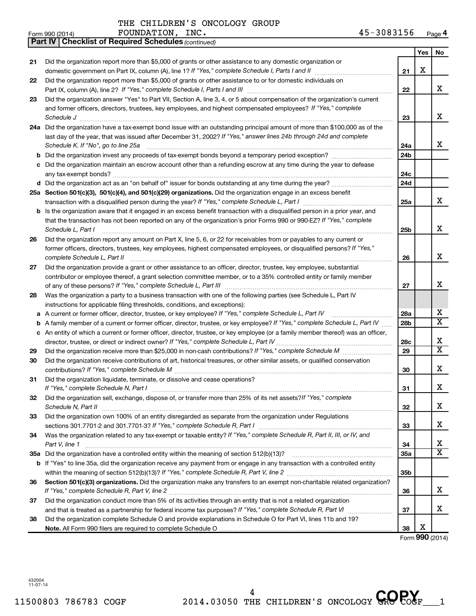|    | FOUNDATION, INC.<br>Form 990 (2014)                                                                                                 | 45-3083156      |                 | Page 4                       |
|----|-------------------------------------------------------------------------------------------------------------------------------------|-----------------|-----------------|------------------------------|
|    | <b>Part IV   Checklist of Required Schedules (continued)</b>                                                                        |                 |                 |                              |
|    |                                                                                                                                     |                 | Yes             | No                           |
| 21 | Did the organization report more than \$5,000 of grants or other assistance to any domestic organization or                         |                 |                 |                              |
|    |                                                                                                                                     | 21              | х               |                              |
| 22 | Did the organization report more than \$5,000 of grants or other assistance to or for domestic individuals on                       |                 |                 |                              |
|    |                                                                                                                                     | 22              |                 | x                            |
| 23 | Did the organization answer "Yes" to Part VII, Section A, line 3, 4, or 5 about compensation of the organization's current          |                 |                 |                              |
|    | and former officers, directors, trustees, key employees, and highest compensated employees? If "Yes," complete                      |                 |                 |                              |
|    | Schedule J                                                                                                                          | 23              |                 | х                            |
|    | 24a Did the organization have a tax-exempt bond issue with an outstanding principal amount of more than \$100,000 as of the         |                 |                 |                              |
|    | last day of the year, that was issued after December 31, 2002? If "Yes," answer lines 24b through 24d and complete                  |                 |                 |                              |
|    | Schedule K. If "No", go to line 25a                                                                                                 | 24a             |                 | x                            |
|    | <b>b</b> Did the organization invest any proceeds of tax-exempt bonds beyond a temporary period exception?                          | 24b             |                 |                              |
| с  | Did the organization maintain an escrow account other than a refunding escrow at any time during the year to defease                |                 |                 |                              |
|    |                                                                                                                                     | 24c             |                 |                              |
|    |                                                                                                                                     | 24d             |                 |                              |
|    | 25a Section 501(c)(3), 501(c)(4), and 501(c)(29) organizations. Did the organization engage in an excess benefit                    |                 |                 |                              |
|    |                                                                                                                                     | 25a             |                 | x                            |
|    | <b>b</b> Is the organization aware that it engaged in an excess benefit transaction with a disqualified person in a prior year, and |                 |                 |                              |
|    | that the transaction has not been reported on any of the organization's prior Forms 990 or 990-EZ? If "Yes," complete               |                 |                 |                              |
|    | Schedule L, Part I                                                                                                                  | 25b             |                 | х                            |
|    |                                                                                                                                     |                 |                 |                              |
| 26 | Did the organization report any amount on Part X, line 5, 6, or 22 for receivables from or payables to any current or               |                 |                 |                              |
|    | former officers, directors, trustees, key employees, highest compensated employees, or disqualified persons? If "Yes,"              |                 |                 | х                            |
|    | complete Schedule L, Part II                                                                                                        | 26              |                 |                              |
| 27 | Did the organization provide a grant or other assistance to an officer, director, trustee, key employee, substantial                |                 |                 |                              |
|    | contributor or employee thereof, a grant selection committee member, or to a 35% controlled entity or family member                 |                 |                 | x                            |
|    |                                                                                                                                     | 27              |                 |                              |
| 28 | Was the organization a party to a business transaction with one of the following parties (see Schedule L, Part IV                   |                 |                 |                              |
|    | instructions for applicable filing thresholds, conditions, and exceptions):                                                         |                 |                 |                              |
| а  | A current or former officer, director, trustee, or key employee? If "Yes," complete Schedule L, Part IV                             | 28a             |                 | х<br>$\overline{\mathbf{x}}$ |
| b  | A family member of a current or former officer, director, trustee, or key employee? If "Yes," complete Schedule L, Part IV          | 28 <sub>b</sub> |                 |                              |
|    | c An entity of which a current or former officer, director, trustee, or key employee (or a family member thereof) was an officer,   |                 |                 |                              |
|    | director, trustee, or direct or indirect owner? If "Yes," complete Schedule L, Part IV                                              | 28c             |                 | х<br>X                       |
| 29 |                                                                                                                                     | 29              |                 |                              |
| 30 | Did the organization receive contributions of art, historical treasures, or other similar assets, or qualified conservation         |                 |                 |                              |
|    |                                                                                                                                     | 30              |                 | X                            |
| 31 | Did the organization liquidate, terminate, or dissolve and cease operations?                                                        |                 |                 |                              |
|    | If "Yes," complete Schedule N, Part I                                                                                               | 31              |                 | х                            |
| 32 | Did the organization sell, exchange, dispose of, or transfer more than 25% of its net assets? If "Yes," complete                    |                 |                 |                              |
|    | Schedule N, Part II                                                                                                                 | 32              |                 | х                            |
| 33 | Did the organization own 100% of an entity disregarded as separate from the organization under Regulations                          |                 |                 |                              |
|    |                                                                                                                                     | 33              |                 | х                            |
| 34 | Was the organization related to any tax-exempt or taxable entity? If "Yes," complete Schedule R, Part II, III, or IV, and           |                 |                 |                              |
|    | Part V, line 1                                                                                                                      | 34              |                 | х                            |
|    |                                                                                                                                     | 35a             |                 | x                            |
|    | b If "Yes" to line 35a, did the organization receive any payment from or engage in any transaction with a controlled entity         |                 |                 |                              |
|    |                                                                                                                                     | 35b             |                 |                              |
| 36 | Section 501(c)(3) organizations. Did the organization make any transfers to an exempt non-charitable related organization?          |                 |                 |                              |
|    |                                                                                                                                     | 36              |                 | х                            |
| 37 | Did the organization conduct more than 5% of its activities through an entity that is not a related organization                    |                 |                 |                              |
|    |                                                                                                                                     | 37              |                 | x                            |
| 38 | Did the organization complete Schedule O and provide explanations in Schedule O for Part VI, lines 11b and 19?                      |                 |                 |                              |
|    |                                                                                                                                     | 38              | X               |                              |
|    |                                                                                                                                     |                 | Form 990 (2014) |                              |

432004 11-07-14



|  | THE CHILDREN'S ONCOLOGY GROU |  |
|--|------------------------------|--|
|  |                              |  |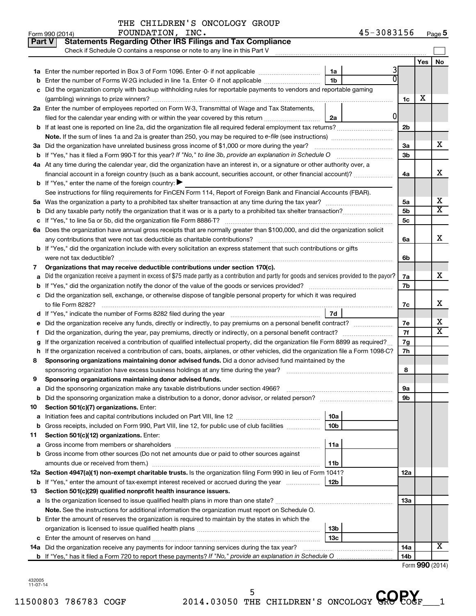| THE CHILDREN'S ONCOLOGY GROUP |  |  |
|-------------------------------|--|--|
|                               |  |  |

| Part V |                                                                                                                     | <b>Statements Regarding Other IRS Filings and Tax Compliance</b>                                                                                |                 |              |                      |     |                         |
|--------|---------------------------------------------------------------------------------------------------------------------|-------------------------------------------------------------------------------------------------------------------------------------------------|-----------------|--------------|----------------------|-----|-------------------------|
|        |                                                                                                                     | Check if Schedule O contains a response or note to any line in this Part V                                                                      |                 |              |                      |     |                         |
|        |                                                                                                                     |                                                                                                                                                 |                 |              |                      | Yes | No                      |
|        |                                                                                                                     |                                                                                                                                                 | 1a              | 3            |                      |     |                         |
|        |                                                                                                                     | Enter the number of Forms W-2G included in line 1a. Enter -0- if not applicable                                                                 | 1 <sub>b</sub>  | U            |                      |     |                         |
| с      |                                                                                                                     | Did the organization comply with backup withholding rules for reportable payments to vendors and reportable gaming                              |                 |              |                      |     |                         |
|        |                                                                                                                     |                                                                                                                                                 |                 |              | 1c                   | х   |                         |
|        |                                                                                                                     | 2a Enter the number of employees reported on Form W-3, Transmittal of Wage and Tax Statements,                                                  |                 |              |                      |     |                         |
|        |                                                                                                                     | filed for the calendar year ending with or within the year covered by this return                                                               | 2a              | <sup>0</sup> |                      |     |                         |
|        |                                                                                                                     |                                                                                                                                                 |                 |              | 2 <sub>b</sub>       |     |                         |
|        |                                                                                                                     | Note. If the sum of lines 1a and 2a is greater than 250, you may be required to e-file (see instructions) <i>marroummann</i>                    |                 |              |                      |     |                         |
|        |                                                                                                                     | 3a Did the organization have unrelated business gross income of \$1,000 or more during the year?                                                |                 |              | За                   |     | x                       |
|        |                                                                                                                     |                                                                                                                                                 |                 |              | 3 <sub>b</sub>       |     |                         |
|        |                                                                                                                     | 4a At any time during the calendar year, did the organization have an interest in, or a signature or other authority over, a                    |                 |              |                      |     | x                       |
|        |                                                                                                                     | financial account in a foreign country (such as a bank account, securities account, or other financial account)?                                |                 |              | 4a                   |     |                         |
|        |                                                                                                                     | <b>b</b> If "Yes," enter the name of the foreign country: $\blacktriangleright$                                                                 |                 |              |                      |     |                         |
|        |                                                                                                                     | See instructions for filing requirements for FinCEN Form 114, Report of Foreign Bank and Financial Accounts (FBAR).                             |                 |              |                      |     | х                       |
|        |                                                                                                                     |                                                                                                                                                 |                 |              | 5a<br>5 <sub>b</sub> |     | $\overline{\text{X}}$   |
|        |                                                                                                                     |                                                                                                                                                 |                 |              | 5 <sub>c</sub>       |     |                         |
|        |                                                                                                                     | 6a Does the organization have annual gross receipts that are normally greater than \$100,000, and did the organization solicit                  |                 |              |                      |     |                         |
|        |                                                                                                                     | any contributions that were not tax deductible as charitable contributions?                                                                     |                 |              | 6a                   |     | x                       |
|        |                                                                                                                     | b If "Yes," did the organization include with every solicitation an express statement that such contributions or gifts                          |                 |              |                      |     |                         |
|        |                                                                                                                     | were not tax deductible?                                                                                                                        |                 |              | 6b                   |     |                         |
| 7      |                                                                                                                     | Organizations that may receive deductible contributions under section 170(c).                                                                   |                 |              |                      |     |                         |
| a      |                                                                                                                     | Did the organization receive a payment in excess of \$75 made partly as a contribution and partly for goods and services provided to the payor? |                 |              | 7a                   |     | x.                      |
|        |                                                                                                                     |                                                                                                                                                 |                 |              |                      |     |                         |
|        | c Did the organization sell, exchange, or otherwise dispose of tangible personal property for which it was required |                                                                                                                                                 |                 |              |                      |     |                         |
|        |                                                                                                                     | to file Form 8282?                                                                                                                              |                 |              | 7c                   |     | x                       |
|        |                                                                                                                     |                                                                                                                                                 | 7d              |              |                      |     |                         |
| е      |                                                                                                                     | Did the organization receive any funds, directly or indirectly, to pay premiums on a personal benefit contract?                                 |                 |              | 7e                   |     | х                       |
|        |                                                                                                                     | Did the organization, during the year, pay premiums, directly or indirectly, on a personal benefit contract?                                    |                 |              | 7f                   |     | $\overline{\textbf{X}}$ |
| g      |                                                                                                                     | If the organization received a contribution of qualified intellectual property, did the organization file Form 8899 as required?                |                 |              | 7g                   |     |                         |
|        |                                                                                                                     | If the organization received a contribution of cars, boats, airplanes, or other vehicles, did the organization file a Form 1098-C?              |                 |              | 7h                   |     |                         |
| 8      |                                                                                                                     | Sponsoring organizations maintaining donor advised funds. Did a donor advised fund maintained by the                                            |                 |              |                      |     |                         |
|        |                                                                                                                     | sponsoring organization have excess business holdings at any time during the year?                                                              |                 |              | 8                    |     |                         |
| 9      |                                                                                                                     | Sponsoring organizations maintaining donor advised funds.                                                                                       |                 |              |                      |     |                         |
|        |                                                                                                                     | <b>a</b> Did the sponsoring organization make any taxable distributions under section 4966?                                                     |                 |              | 9а                   |     |                         |
| b      |                                                                                                                     | Did the sponsoring organization make a distribution to a donor, donor advisor, or related person?                                               |                 |              | 9b                   |     |                         |
| 10     |                                                                                                                     | Section 501(c)(7) organizations. Enter:                                                                                                         | 10a             |              |                      |     |                         |
| а      |                                                                                                                     | <b>b</b> Gross receipts, included on Form 990, Part VIII, line 12, for public use of club facilities <i>manument</i> .                          | 10 <sub>b</sub> |              |                      |     |                         |
| 11     |                                                                                                                     | Section 501(c)(12) organizations. Enter:                                                                                                        |                 |              |                      |     |                         |
| а      |                                                                                                                     |                                                                                                                                                 | 11a             |              |                      |     |                         |
|        |                                                                                                                     | b Gross income from other sources (Do not net amounts due or paid to other sources against                                                      |                 |              |                      |     |                         |
|        |                                                                                                                     | amounts due or received from them.)                                                                                                             | 11b             |              |                      |     |                         |
|        |                                                                                                                     | 12a Section 4947(a)(1) non-exempt charitable trusts. Is the organization filing Form 990 in lieu of Form 1041?                                  |                 |              | 12a                  |     |                         |
|        |                                                                                                                     | <b>b</b> If "Yes," enter the amount of tax-exempt interest received or accrued during the year                                                  | 12b             |              |                      |     |                         |
| 13     |                                                                                                                     | Section 501(c)(29) qualified nonprofit health insurance issuers.                                                                                |                 |              |                      |     |                         |
|        |                                                                                                                     | a Is the organization licensed to issue qualified health plans in more than one state?                                                          |                 |              | 13a                  |     |                         |
|        |                                                                                                                     | Note. See the instructions for additional information the organization must report on Schedule O.                                               |                 |              |                      |     |                         |
|        |                                                                                                                     | <b>b</b> Enter the amount of reserves the organization is required to maintain by the states in which the                                       |                 |              |                      |     |                         |
|        |                                                                                                                     |                                                                                                                                                 | 13 <sub>b</sub> |              |                      |     |                         |
|        |                                                                                                                     |                                                                                                                                                 | 13с             |              |                      |     |                         |
|        |                                                                                                                     | 14a Did the organization receive any payments for indoor tanning services during the tax year?                                                  |                 |              | 14a                  |     | x                       |
|        |                                                                                                                     |                                                                                                                                                 |                 |              | 14b                  |     |                         |

Form (2014) **990**

432005 11-07-14

I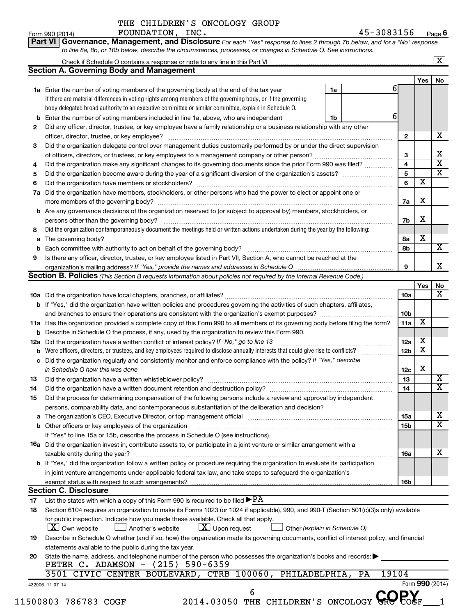**Part VI** Governance, Management, and Disclosure For each "Yes" response to lines 2 through 7b below, and for a "No" response *to line 8a, 8b, or 10b below, describe the circumstances, processes, or changes in Schedule O. See instructions.*

|    | Check if Schedule O contains a response or note to any line in this Part VI [11] [12] Check if Schedule O contains a response or note to any line in this Part VI |    |    |                 |                         | $\mathbf{X}$ |
|----|-------------------------------------------------------------------------------------------------------------------------------------------------------------------|----|----|-----------------|-------------------------|--------------|
|    | <b>Section A. Governing Body and Management</b>                                                                                                                   |    |    |                 |                         |              |
|    |                                                                                                                                                                   |    |    |                 | Yes                     | No           |
|    | <b>1a</b> Enter the number of voting members of the governing body at the end of the tax year                                                                     | 1a |    | 6               |                         |              |
|    | If there are material differences in voting rights among members of the governing body, or if the governing                                                       |    |    |                 |                         |              |
|    | body delegated broad authority to an executive committee or similar committee, explain in Schedule O.                                                             |    |    |                 |                         |              |
|    | <b>b</b> Enter the number of voting members included in line 1a, above, who are independent                                                                       | 1b |    | 6               |                         |              |
| 2  | Did any officer, director, trustee, or key employee have a family relationship or a business relationship with any other                                          |    |    |                 |                         |              |
|    | officer, director, trustee, or key employee?                                                                                                                      |    |    | $\mathbf{2}$    |                         |              |
| З  | Did the organization delegate control over management duties customarily performed by or under the direct supervision                                             |    |    |                 |                         |              |
|    |                                                                                                                                                                   |    |    | 3               |                         |              |
| 4  | Did the organization make any significant changes to its governing documents since the prior Form 990 was filed?                                                  |    |    | 4               |                         |              |
| 5  |                                                                                                                                                                   |    |    | 5               |                         |              |
| 6  |                                                                                                                                                                   |    |    | 6               | $\overline{\textbf{x}}$ |              |
|    |                                                                                                                                                                   |    |    |                 |                         |              |
| 7a | Did the organization have members, stockholders, or other persons who had the power to elect or appoint one or                                                    |    |    |                 | X                       |              |
|    |                                                                                                                                                                   |    |    | 7a              |                         |              |
|    | <b>b</b> Are any governance decisions of the organization reserved to (or subject to approval by) members, stockholders, or                                       |    |    |                 |                         |              |
|    |                                                                                                                                                                   |    |    | 7b              | Х                       |              |
| 8  | Did the organization contemporaneously document the meetings held or written actions undertaken during the year by the following:                                 |    |    |                 |                         |              |
| a  |                                                                                                                                                                   |    |    | 8а              | X                       |              |
| b  |                                                                                                                                                                   |    |    | 8b              |                         |              |
| 9  | Is there any officer, director, trustee, or key employee listed in Part VII, Section A, who cannot be reached at the                                              |    |    |                 |                         |              |
|    |                                                                                                                                                                   |    |    | 9               |                         |              |
|    | <b>Section B. Policies</b> (This Section B requests information about policies not required by the Internal Revenue Code.)                                        |    |    |                 |                         |              |
|    |                                                                                                                                                                   |    |    |                 | Yes                     |              |
|    |                                                                                                                                                                   |    |    | 10a             |                         |              |
|    | b If "Yes," did the organization have written policies and procedures governing the activities of such chapters, affiliates,                                      |    |    |                 |                         |              |
|    |                                                                                                                                                                   |    |    | 10 <sub>b</sub> |                         |              |
|    |                                                                                                                                                                   |    |    | 11a             | $\overline{\mathbf{X}}$ |              |
|    | 11a Has the organization provided a complete copy of this Form 990 to all members of its governing body before filing the form?                                   |    |    |                 |                         |              |
|    | <b>b</b> Describe in Schedule O the process, if any, used by the organization to review this Form 990.                                                            |    |    |                 |                         |              |
|    | 12a Did the organization have a written conflict of interest policy? If "No," go to line 13                                                                       |    |    | 12a             | х                       |              |
| b  | Were officers, directors, or trustees, and key employees required to disclose annually interests that could give rise to conflicts?                               |    |    | 12 <sub>b</sub> | $\overline{\textbf{x}}$ |              |
| c  | Did the organization regularly and consistently monitor and enforce compliance with the policy? If "Yes," describe                                                |    |    |                 |                         |              |
|    | in Schedule O how this was done                                                                                                                                   |    |    | 12c             | X                       |              |
| 13 |                                                                                                                                                                   |    |    | 13              |                         |              |
| 14 | Did the organization have a written document retention and destruction policy? [11] manufaction manufaction in                                                    |    |    | 14              |                         |              |
| 15 | Did the process for determining compensation of the following persons include a review and approval by independent                                                |    |    |                 |                         |              |
|    | persons, comparability data, and contemporaneous substantiation of the deliberation and decision?                                                                 |    |    |                 |                         |              |
|    |                                                                                                                                                                   |    |    | 15a             |                         |              |
|    |                                                                                                                                                                   |    |    | 15b             |                         |              |
|    | If "Yes" to line 15a or 15b, describe the process in Schedule O (see instructions).                                                                               |    |    |                 |                         |              |
|    |                                                                                                                                                                   |    |    |                 |                         |              |
|    | 16a Did the organization invest in, contribute assets to, or participate in a joint venture or similar arrangement with a                                         |    |    |                 |                         |              |
|    | taxable entity during the year?                                                                                                                                   |    |    | 16a             |                         |              |
|    | b If "Yes," did the organization follow a written policy or procedure requiring the organization to evaluate its participation                                    |    |    |                 |                         |              |
|    | in joint venture arrangements under applicable federal tax law, and take steps to safeguard the organization's                                                    |    |    |                 |                         |              |
|    | exempt status with respect to such arrangements?                                                                                                                  |    |    | 16b             |                         |              |
|    | <b>Section C. Disclosure</b>                                                                                                                                      |    |    |                 |                         |              |
| 17 | List the states with which a copy of this Form 990 is required to be filed $\blacktriangleright$ PA                                                               |    |    |                 |                         |              |
| 18 | Section 6104 requires an organization to make its Forms 1023 (or 1024 if applicable), 990, and 990-T (Section 501(c)(3)s only) available                          |    |    |                 |                         |              |
|    | for public inspection. Indicate how you made these available. Check all that apply.                                                                               |    |    |                 |                         |              |
|    | $ \mathbf{X} $ Own website<br>$\lfloor \underline{X} \rfloor$ Upon request<br>Another's website<br>Other (explain in Schedule O)                                  |    |    |                 |                         |              |
|    | Describe in Schedule O whether (and if so, how) the organization made its governing documents, conflict of interest policy, and financial                         |    |    |                 |                         |              |
|    | statements available to the public during the tax year.                                                                                                           |    |    |                 |                         |              |
| 19 |                                                                                                                                                                   |    |    |                 |                         |              |
|    |                                                                                                                                                                   |    |    |                 |                         |              |
|    | State the name, address, and telephone number of the person who possesses the organization's books and records:                                                   |    |    |                 |                         |              |
| 20 | PETER C. ADAMSON - (215) 590-6359<br>3501 CIVIC CENTER BOULEVARD, CTRB 100060, PHILADELPHIA,                                                                      |    | PA | 19104           |                         |              |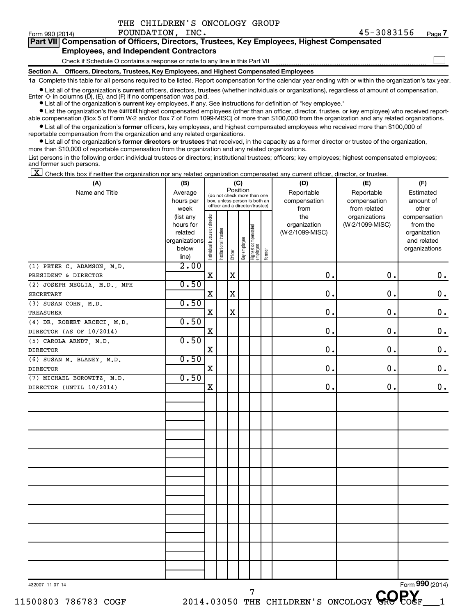| THE CHILDREN'S ONCOLOGY GROUP |  |
|-------------------------------|--|
|                               |  |

 $\Box$ 

| . |                                                                                            |
|---|--------------------------------------------------------------------------------------------|
|   | Part VII Compensation of Officers, Directors, Trustees, Key Employees, Highest Compensated |
|   | <b>Employees, and Independent Contractors</b>                                              |

### Check if Schedule O contains a response or note to any line in this Part VII

**Section A. Officers, Directors, Trustees, Key Employees, and Highest Compensated Employees**

**1a**  Complete this table for all persons required to be listed. Report compensation for the calendar year ending with or within the organization's tax year.

**•** List all of the organization's current officers, directors, trustees (whether individuals or organizations), regardless of amount of compensation.

**•** List all of the organization's **current** key employees, if any. See instructions for definition of "key employee." Enter  $-0$ - in columns  $(D)$ ,  $(E)$ , and  $(F)$  if no compensation was paid.

**•** List the organization's five current highest compensated employees (other than an officer, director, trustee, or key employee) who received report-

**•** List all of the organization's former officers, key employees, and highest compensated employees who received more than \$100,000 of able compensation (Box 5 of Form W-2 and/or Box 7 of Form 1099-MISC) of more than \$100,000 from the organization and any related organizations.

reportable compensation from the organization and any related organizations.

**•** List all of the organization's former directors or trustees that received, in the capacity as a former director or trustee of the organization, more than \$10,000 of reportable compensation from the organization and any related organizations.

List persons in the following order: individual trustees or directors; institutional trustees; officers; key employees; highest compensated employees; and former such persons.

|  |  |  | $\boxed{\mathbf{X}}$ Check this box if neither the organization nor any related organization compensated any current officer, director, or trustee. |  |  |  |  |  |
|--|--|--|-----------------------------------------------------------------------------------------------------------------------------------------------------|--|--|--|--|--|
|--|--|--|-----------------------------------------------------------------------------------------------------------------------------------------------------|--|--|--|--|--|

| (A)                          | (B)<br>(C)    |                                                                   |                       |             |                                 |                               |        | (D)             | (E)             | (F)             |
|------------------------------|---------------|-------------------------------------------------------------------|-----------------------|-------------|---------------------------------|-------------------------------|--------|-----------------|-----------------|-----------------|
| Name and Title               | Average       |                                                                   |                       | Position    |                                 | (do not check more than one   |        | Reportable      | Reportable      | Estimated       |
|                              | hours per     |                                                                   |                       |             |                                 | box, unless person is both an |        | compensation    | compensation    | amount of       |
|                              | week          |                                                                   |                       |             | officer and a director/trustee) |                               |        | from            | from related    | other           |
|                              | (list any     | Individual trustee or director<br>Highest compensated<br>employee |                       | the         | organizations                   | compensation                  |        |                 |                 |                 |
|                              | hours for     |                                                                   |                       |             |                                 |                               |        | organization    | (W-2/1099-MISC) | from the        |
|                              | related       |                                                                   |                       |             |                                 |                               |        | (W-2/1099-MISC) |                 | organization    |
|                              | organizations |                                                                   |                       |             |                                 |                               |        |                 |                 | and related     |
|                              | below         |                                                                   | Institutional trustee | Officer     | Key employee                    |                               | Former |                 |                 | organizations   |
|                              | line)         |                                                                   |                       |             |                                 |                               |        |                 |                 |                 |
| (1) PETER C. ADAMSON, M.D.   | 2.00          |                                                                   |                       |             |                                 |                               |        |                 |                 |                 |
| PRESIDENT & DIRECTOR         |               | $\mathbf X$                                                       |                       | $\mathbf X$ |                                 |                               |        | 0.              | 0.              | $\mathbf 0$ .   |
| (2) JOSEPH NEGLIA, M.D., MPH | 0.50          |                                                                   |                       |             |                                 |                               |        |                 |                 |                 |
| SECRETARY                    |               | $\mathbf X$                                                       |                       | $\mathbf x$ |                                 |                               |        | 0.              | 0.              | $\mathbf 0$ .   |
| (3) SUSAN COHN, M.D.         | 0.50          |                                                                   |                       |             |                                 |                               |        |                 |                 |                 |
| TREASURER                    |               | $\mathbf X$                                                       |                       | $\mathbf X$ |                                 |                               |        | $\mathbf 0$ .   | $\mathbf 0$ .   | $\mathbf 0$ .   |
| (4) DR. ROBERT ARCECI, M.D.  | 0.50          |                                                                   |                       |             |                                 |                               |        |                 |                 |                 |
| DIRECTOR (AS OF 10/2014)     |               | X                                                                 |                       |             |                                 |                               |        | $\mathbf 0$ .   | 0.              | $\mathbf 0$ .   |
| (5) CAROLA ARNDT, M.D.       | 0.50          |                                                                   |                       |             |                                 |                               |        |                 |                 |                 |
| DIRECTOR                     |               | $\mathbf X$                                                       |                       |             |                                 |                               |        | $\mathbf 0$ .   | 0.              | $\mathbf 0$ .   |
| (6) SUSAN M. BLANEY, M.D.    | 0.50          |                                                                   |                       |             |                                 |                               |        |                 |                 |                 |
| <b>DIRECTOR</b>              |               | $\mathbf X$                                                       |                       |             |                                 |                               |        | $\mathbf 0$ .   | 0.              | $\mathbf 0$ .   |
| (7) MICHAEL BOROWITZ, M.D.   | 0.50          |                                                                   |                       |             |                                 |                               |        |                 |                 |                 |
| DIRECTOR (UNTIL 10/2014)     |               | $\mathbf X$                                                       |                       |             |                                 |                               |        | 0.              | 0.              | 0.              |
|                              |               |                                                                   |                       |             |                                 |                               |        |                 |                 |                 |
|                              |               |                                                                   |                       |             |                                 |                               |        |                 |                 |                 |
|                              |               |                                                                   |                       |             |                                 |                               |        |                 |                 |                 |
|                              |               |                                                                   |                       |             |                                 |                               |        |                 |                 |                 |
|                              |               |                                                                   |                       |             |                                 |                               |        |                 |                 |                 |
|                              |               |                                                                   |                       |             |                                 |                               |        |                 |                 |                 |
|                              |               |                                                                   |                       |             |                                 |                               |        |                 |                 |                 |
|                              |               |                                                                   |                       |             |                                 |                               |        |                 |                 |                 |
|                              |               |                                                                   |                       |             |                                 |                               |        |                 |                 |                 |
|                              |               |                                                                   |                       |             |                                 |                               |        |                 |                 |                 |
|                              |               |                                                                   |                       |             |                                 |                               |        |                 |                 |                 |
|                              |               |                                                                   |                       |             |                                 |                               |        |                 |                 |                 |
|                              |               |                                                                   |                       |             |                                 |                               |        |                 |                 |                 |
|                              |               |                                                                   |                       |             |                                 |                               |        |                 |                 |                 |
|                              |               |                                                                   |                       |             |                                 |                               |        |                 |                 |                 |
|                              |               |                                                                   |                       |             |                                 |                               |        |                 |                 |                 |
|                              |               |                                                                   |                       |             |                                 |                               |        |                 |                 |                 |
|                              |               |                                                                   |                       |             |                                 |                               |        |                 |                 |                 |
|                              |               |                                                                   |                       |             |                                 |                               |        |                 |                 |                 |
|                              |               |                                                                   |                       |             |                                 |                               |        |                 |                 |                 |
|                              |               |                                                                   |                       |             |                                 |                               |        |                 |                 |                 |
| 432007 11-07-14              |               |                                                                   |                       |             |                                 |                               |        |                 |                 | Form 990 (2014) |

 $11500803$  786783 COGF 2014.03050 THE CHILDREN'S ONCOLOGY GRO COGF 1 <sup>7</sup> THE CHILDREN'S ONCOLOGY GROPOGE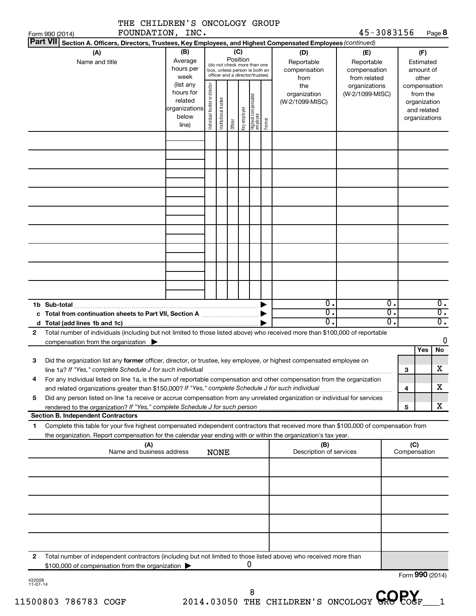|                    | IAE CAILDREN S ONCOLOGI GROUP<br>FOUNDATION, INC.<br>Form 990 (2014)                                                                                                                                                                                   |                                                         |                                |                       |                 |              |                                                                                                 |        |                                                  | 45-3083156                                                         |                                                       |                     | Page 8                                                   |
|--------------------|--------------------------------------------------------------------------------------------------------------------------------------------------------------------------------------------------------------------------------------------------------|---------------------------------------------------------|--------------------------------|-----------------------|-----------------|--------------|-------------------------------------------------------------------------------------------------|--------|--------------------------------------------------|--------------------------------------------------------------------|-------------------------------------------------------|---------------------|----------------------------------------------------------|
|                    | <b>Part VII</b><br>Section A. Officers, Directors, Trustees, Key Employees, and Highest Compensated Employees (continued)                                                                                                                              |                                                         |                                |                       |                 |              |                                                                                                 |        |                                                  |                                                                    |                                                       |                     |                                                          |
|                    | (A)<br>Name and title                                                                                                                                                                                                                                  | (B)<br>Average<br>hours per<br>week<br>(list any        |                                |                       | (C)<br>Position |              | (do not check more than one<br>box, unless person is both an<br>officer and a director/trustee) |        | (D)<br>Reportable<br>compensation<br>from<br>the | (E)<br>Reportable<br>compensation<br>from related<br>organizations |                                                       |                     | (F)<br>Estimated<br>amount of<br>other<br>compensation   |
|                    |                                                                                                                                                                                                                                                        | hours for<br>related<br>organizations<br>below<br>line) | Individual trustee or director | Institutional trustee | Officer         | Key employee | Highest compensated<br> employee                                                                | Former | organization<br>(W-2/1099-MISC)                  | (W-2/1099-MISC)                                                    |                                                       |                     | from the<br>organization<br>and related<br>organizations |
|                    |                                                                                                                                                                                                                                                        |                                                         |                                |                       |                 |              |                                                                                                 |        |                                                  |                                                                    |                                                       |                     |                                                          |
|                    |                                                                                                                                                                                                                                                        |                                                         |                                |                       |                 |              |                                                                                                 |        |                                                  |                                                                    |                                                       |                     |                                                          |
|                    |                                                                                                                                                                                                                                                        |                                                         |                                |                       |                 |              |                                                                                                 |        |                                                  |                                                                    |                                                       |                     |                                                          |
|                    |                                                                                                                                                                                                                                                        |                                                         |                                |                       |                 |              |                                                                                                 |        |                                                  |                                                                    |                                                       |                     |                                                          |
|                    |                                                                                                                                                                                                                                                        |                                                         |                                |                       |                 |              |                                                                                                 |        |                                                  |                                                                    |                                                       |                     |                                                          |
|                    | 1b Sub-total                                                                                                                                                                                                                                           |                                                         |                                |                       |                 |              |                                                                                                 |        | $\overline{0}$ .<br>σ.<br>σ.                     |                                                                    | $\overline{0}$ .<br>σ.<br>$\overline{\mathfrak{o}}$ . |                     | $\overline{0}$ .<br>$\overline{0}$ .<br>$\overline{0}$ . |
| $\mathbf{2}$       | Total number of individuals (including but not limited to those listed above) who received more than \$100,000 of reportable<br>compensation from the organization $\blacktriangleright$                                                               |                                                         |                                |                       |                 |              |                                                                                                 |        |                                                  |                                                                    |                                                       |                     | 0<br>No<br>Yes                                           |
| 3                  | Did the organization list any former officer, director, or trustee, key employee, or highest compensated employee on<br>line 1a? If "Yes," complete Schedule J for such individual                                                                     |                                                         |                                |                       |                 |              |                                                                                                 |        |                                                  |                                                                    |                                                       | 3                   | х                                                        |
| 4                  | For any individual listed on line 1a, is the sum of reportable compensation and other compensation from the organization<br>and related organizations greater than \$150,000? If "Yes," complete Schedule J for such individual                        |                                                         |                                |                       |                 |              |                                                                                                 |        |                                                  |                                                                    |                                                       | 4                   | x                                                        |
| 5                  | Did any person listed on line 1a receive or accrue compensation from any unrelated organization or individual for services<br><b>Section B. Independent Contractors</b>                                                                                |                                                         |                                |                       |                 |              |                                                                                                 |        |                                                  |                                                                    |                                                       | 5                   | x                                                        |
| 1                  | Complete this table for your five highest compensated independent contractors that received more than \$100,000 of compensation from<br>the organization. Report compensation for the calendar year ending with or within the organization's tax year. |                                                         |                                |                       |                 |              |                                                                                                 |        |                                                  |                                                                    |                                                       |                     |                                                          |
|                    | (A)<br>Name and business address                                                                                                                                                                                                                       |                                                         |                                | <b>NONE</b>           |                 |              |                                                                                                 |        | (B)<br>Description of services                   |                                                                    |                                                       | (C)<br>Compensation |                                                          |
|                    |                                                                                                                                                                                                                                                        |                                                         |                                |                       |                 |              |                                                                                                 |        |                                                  |                                                                    |                                                       |                     |                                                          |
|                    |                                                                                                                                                                                                                                                        |                                                         |                                |                       |                 |              |                                                                                                 |        |                                                  |                                                                    |                                                       |                     |                                                          |
|                    |                                                                                                                                                                                                                                                        |                                                         |                                |                       |                 |              |                                                                                                 |        |                                                  |                                                                    |                                                       |                     |                                                          |
|                    |                                                                                                                                                                                                                                                        |                                                         |                                |                       |                 |              |                                                                                                 |        |                                                  |                                                                    |                                                       |                     |                                                          |
| 2                  | Total number of independent contractors (including but not limited to those listed above) who received more than<br>\$100,000 of compensation from the organization                                                                                    |                                                         |                                |                       |                 |              | U                                                                                               |        |                                                  |                                                                    |                                                       |                     | Form 990 (2014)                                          |
| 432008<br>11-07-14 |                                                                                                                                                                                                                                                        |                                                         |                                |                       |                 |              |                                                                                                 |        |                                                  |                                                                    |                                                       |                     |                                                          |

WITE CUTTIDEN'S ONCOLOGY CROUP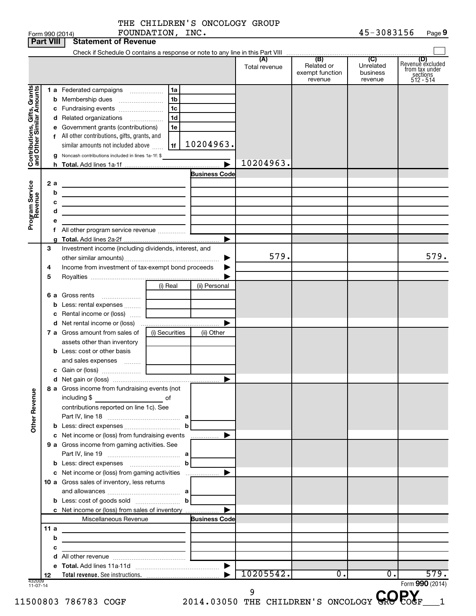|                                                           | <b>Part VIII</b> | <b>Statement or Revenue</b>                                                                  |                            |                      |                      |                                                 |                                         |                                                             |
|-----------------------------------------------------------|------------------|----------------------------------------------------------------------------------------------|----------------------------|----------------------|----------------------|-------------------------------------------------|-----------------------------------------|-------------------------------------------------------------|
|                                                           |                  |                                                                                              |                            |                      | (A)<br>Total revenue | (B)<br>Related or<br>exempt function<br>revenue | (C)<br>Unrelated<br>business<br>revenue | Revenue excluded<br>from tax under<br>sections<br>512 - 514 |
| Contributions, Gifts, Grants<br>and Other Similar Amounts |                  | 1 a Federated campaigns<br><b>b</b> Membership dues<br>c Fundraising events                  | 1a<br>1 <sub>b</sub><br>1c |                      |                      |                                                 |                                         |                                                             |
|                                                           |                  | d Related organizations<br>e Government grants (contributions)                               | 1 <sub>d</sub><br>1e       |                      |                      |                                                 |                                         |                                                             |
|                                                           |                  | f All other contributions, gifts, grants, and<br>similar amounts not included above          | 1f                         | 10204963.            |                      |                                                 |                                         |                                                             |
|                                                           | g                | Noncash contributions included in lines 1a-1f: \$                                            |                            |                      | 10204963.            |                                                 |                                         |                                                             |
|                                                           |                  |                                                                                              |                            | <b>Business Code</b> |                      |                                                 |                                         |                                                             |
|                                                           | 2a               |                                                                                              |                            |                      |                      |                                                 |                                         |                                                             |
|                                                           | b                | the control of the control of the control of the control of the control of                   |                            |                      |                      |                                                 |                                         |                                                             |
|                                                           | с                | the control of the control of the control of the control of the control of                   |                            |                      |                      |                                                 |                                         |                                                             |
|                                                           | d                | the contract of the contract of the contract of the contract of the contract of              |                            |                      |                      |                                                 |                                         |                                                             |
| Program Service<br>Revenue                                |                  |                                                                                              |                            |                      |                      |                                                 |                                         |                                                             |
|                                                           |                  |                                                                                              |                            | ▶                    |                      |                                                 |                                         |                                                             |
|                                                           | 3                | Investment income (including dividends, interest, and                                        |                            |                      |                      |                                                 |                                         |                                                             |
|                                                           |                  |                                                                                              |                            | ▶                    | 579.                 |                                                 |                                         | 579.                                                        |
|                                                           | 4                | Income from investment of tax-exempt bond proceeds                                           |                            | ▶                    |                      |                                                 |                                         |                                                             |
|                                                           | 5                |                                                                                              |                            |                      |                      |                                                 |                                         |                                                             |
|                                                           |                  |                                                                                              | (i) Real                   | (ii) Personal        |                      |                                                 |                                         |                                                             |
|                                                           |                  | 6 a Gross rents<br><b>b</b> Less: rental expenses                                            |                            |                      |                      |                                                 |                                         |                                                             |
|                                                           |                  | c Rental income or (loss)                                                                    |                            |                      |                      |                                                 |                                         |                                                             |
|                                                           |                  |                                                                                              |                            |                      |                      |                                                 |                                         |                                                             |
|                                                           |                  | 7 a Gross amount from sales of                                                               | (i) Securities             | (ii) Other           |                      |                                                 |                                         |                                                             |
|                                                           |                  | assets other than inventory                                                                  |                            |                      |                      |                                                 |                                         |                                                             |
|                                                           |                  | <b>b</b> Less: cost or other basis                                                           |                            |                      |                      |                                                 |                                         |                                                             |
|                                                           |                  | and sales expenses                                                                           |                            |                      |                      |                                                 |                                         |                                                             |
|                                                           |                  |                                                                                              |                            |                      |                      |                                                 |                                         |                                                             |
|                                                           |                  |                                                                                              |                            |                      |                      |                                                 |                                         |                                                             |
| <b>Other Revenue</b>                                      |                  | 8 a Gross income from fundraising events (not<br>contributions reported on line 1c). See     |                            |                      |                      |                                                 |                                         |                                                             |
|                                                           |                  |                                                                                              |                            |                      |                      |                                                 |                                         |                                                             |
|                                                           |                  |                                                                                              |                            |                      |                      |                                                 |                                         |                                                             |
|                                                           |                  | c Net income or (loss) from fundraising events                                               |                            | .                    |                      |                                                 |                                         |                                                             |
|                                                           |                  | 9 a Gross income from gaming activities. See                                                 |                            |                      |                      |                                                 |                                         |                                                             |
|                                                           |                  |                                                                                              |                            |                      |                      |                                                 |                                         |                                                             |
|                                                           |                  |                                                                                              |                            |                      |                      |                                                 |                                         |                                                             |
|                                                           |                  | c Net income or (loss) from gaming activities<br>10 a Gross sales of inventory, less returns |                            |                      |                      |                                                 |                                         |                                                             |
|                                                           |                  |                                                                                              |                            |                      |                      |                                                 |                                         |                                                             |
|                                                           |                  |                                                                                              |                            |                      |                      |                                                 |                                         |                                                             |
|                                                           |                  | c Net income or (loss) from sales of inventory                                               |                            |                      |                      |                                                 |                                         |                                                             |
|                                                           |                  | Miscellaneous Revenue                                                                        |                            | <b>Business Code</b> |                      |                                                 |                                         |                                                             |
|                                                           | 11 a             | the control of the control of the control of the control of the control of                   |                            |                      |                      |                                                 |                                         |                                                             |
|                                                           | b                |                                                                                              |                            |                      |                      |                                                 |                                         |                                                             |
|                                                           | с                | <u> 1989 - Johann John Stein, mars an deus Amerikaansk kommunister (</u>                     |                            |                      |                      |                                                 |                                         |                                                             |
|                                                           | d                |                                                                                              |                            |                      |                      |                                                 |                                         |                                                             |
|                                                           | 12               |                                                                                              |                            |                      | 10205542.            | 0.                                              | 0.                                      | 579.                                                        |
| 432009<br>11-07-14                                        |                  |                                                                                              |                            |                      |                      |                                                 |                                         | Form 990 (2014)                                             |
|                                                           |                  |                                                                                              |                            |                      |                      |                                                 |                                         |                                                             |
|                                                           |                  | 500803 786783 COGF                                                                           |                            |                      |                      | 2014.03050 THE CHILDREN'S ONCOLOGY GR           |                                         |                                                             |

**Part 990 (2014)**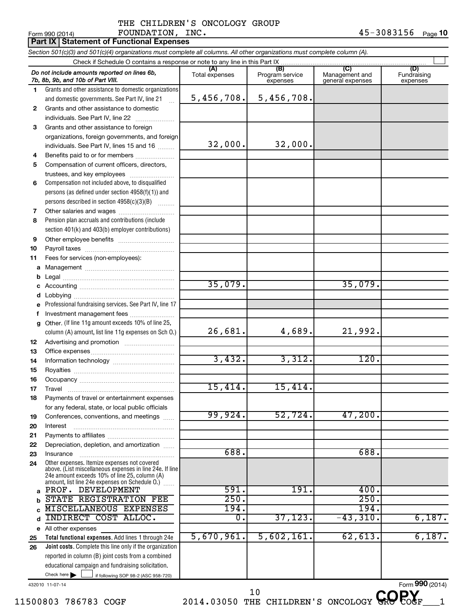#### $\frac{1}{2}$ Form 990 (2014) Page Report of Providence Report of Page Report of Page THE CHILDREN'S ONCOLOGY GROUP FOUNDATION, INC. 45-3083156

|              |           | <b>Part IX Statement of Functional Expenses</b>                                                                                                                                                             |                       |                                    |                                           |                                |
|--------------|-----------|-------------------------------------------------------------------------------------------------------------------------------------------------------------------------------------------------------------|-----------------------|------------------------------------|-------------------------------------------|--------------------------------|
|              |           | Section 501(c)(3) and 501(c)(4) organizations must complete all columns. All other organizations must complete column (A).                                                                                  |                       |                                    |                                           |                                |
|              |           |                                                                                                                                                                                                             |                       |                                    |                                           |                                |
|              |           | Do not include amounts reported on lines 6b,<br>7b, 8b, 9b, and 10b of Part VIII.                                                                                                                           | (A)<br>Total expenses | (B)<br>Program service<br>expenses | (C)<br>Management and<br>general expenses | (D)<br>Fundraising<br>expenses |
| 1            |           | Grants and other assistance to domestic organizations                                                                                                                                                       |                       |                                    |                                           |                                |
|              |           | and domestic governments. See Part IV, line 21                                                                                                                                                              | 5,456,708.            | 5,456,708.                         |                                           |                                |
| $\mathbf{2}$ |           | Grants and other assistance to domestic                                                                                                                                                                     |                       |                                    |                                           |                                |
|              |           | individuals. See Part IV, line 22                                                                                                                                                                           |                       |                                    |                                           |                                |
| 3            |           | Grants and other assistance to foreign                                                                                                                                                                      |                       |                                    |                                           |                                |
|              |           | organizations, foreign governments, and foreign                                                                                                                                                             |                       |                                    |                                           |                                |
|              |           | individuals. See Part IV, lines 15 and 16                                                                                                                                                                   | 32,000.               | 32,000.                            |                                           |                                |
| 4            |           | Benefits paid to or for members                                                                                                                                                                             |                       |                                    |                                           |                                |
| 5            |           | Compensation of current officers, directors,                                                                                                                                                                |                       |                                    |                                           |                                |
|              |           | trustees, and key employees                                                                                                                                                                                 |                       |                                    |                                           |                                |
| 6            |           | Compensation not included above, to disqualified                                                                                                                                                            |                       |                                    |                                           |                                |
|              |           | persons (as defined under section 4958(f)(1)) and                                                                                                                                                           |                       |                                    |                                           |                                |
|              |           | persons described in section 4958(c)(3)(B)                                                                                                                                                                  |                       |                                    |                                           |                                |
| 7            |           | Other salaries and wages                                                                                                                                                                                    |                       |                                    |                                           |                                |
| 8            |           | Pension plan accruals and contributions (include                                                                                                                                                            |                       |                                    |                                           |                                |
|              |           | section 401(k) and 403(b) employer contributions)                                                                                                                                                           |                       |                                    |                                           |                                |
| 9            |           |                                                                                                                                                                                                             |                       |                                    |                                           |                                |
| 10           |           |                                                                                                                                                                                                             |                       |                                    |                                           |                                |
| 11           |           | Fees for services (non-employees):                                                                                                                                                                          |                       |                                    |                                           |                                |
| a            |           |                                                                                                                                                                                                             |                       |                                    |                                           |                                |
| b<br>c       |           |                                                                                                                                                                                                             | 35,079.               |                                    | 35,079.                                   |                                |
| d            |           |                                                                                                                                                                                                             |                       |                                    |                                           |                                |
| e            |           | Professional fundraising services. See Part IV, line 17                                                                                                                                                     |                       |                                    |                                           |                                |
| f            |           | Investment management fees                                                                                                                                                                                  |                       |                                    |                                           |                                |
| q            |           | Other. (If line 11g amount exceeds 10% of line 25,                                                                                                                                                          |                       |                                    |                                           |                                |
|              |           | column (A) amount, list line 11g expenses on Sch O.)                                                                                                                                                        | 26,681.               | 4,689.                             | 21,992.                                   |                                |
| 12           |           |                                                                                                                                                                                                             |                       |                                    |                                           |                                |
| 13           |           |                                                                                                                                                                                                             |                       |                                    |                                           |                                |
| 14           |           |                                                                                                                                                                                                             | 3,432.                | 3,312.                             | 120.                                      |                                |
| 15           |           |                                                                                                                                                                                                             |                       |                                    |                                           |                                |
| 16           |           |                                                                                                                                                                                                             |                       |                                    |                                           |                                |
| 17           | Travel    |                                                                                                                                                                                                             | 15,414.               | 15,414.                            |                                           |                                |
| 18           |           | Payments of travel or entertainment expenses                                                                                                                                                                |                       |                                    |                                           |                                |
|              |           | for any federal, state, or local public officials                                                                                                                                                           |                       |                                    |                                           |                                |
| 19           |           | Conferences, conventions, and meetings                                                                                                                                                                      | 99,924.               | 52,724.                            | 47,200.                                   |                                |
| 20           | Interest  |                                                                                                                                                                                                             |                       |                                    |                                           |                                |
| 21           |           |                                                                                                                                                                                                             |                       |                                    |                                           |                                |
| 22           |           | Depreciation, depletion, and amortization                                                                                                                                                                   |                       |                                    |                                           |                                |
| 23           | Insurance |                                                                                                                                                                                                             | 688.                  |                                    | 688.                                      |                                |
| 24           |           | Other expenses. Itemize expenses not covered<br>above. (List miscellaneous expenses in line 24e. If line<br>24e amount exceeds 10% of line 25, column (A)<br>amount, list line 24e expenses on Schedule O.) |                       |                                    |                                           |                                |
| a            |           | PROF. DEVELOPMENT                                                                                                                                                                                           | 591.                  | 191.                               | 400.                                      |                                |
| b            |           | STATE REGISTRATION FEE                                                                                                                                                                                      | 250.                  |                                    | 250.                                      |                                |
| C            |           | MISCELLANEOUS EXPENSES                                                                                                                                                                                      | 194.                  |                                    | 194.                                      |                                |
| d            |           | INDIRECT COST ALLOC.                                                                                                                                                                                        | 0.                    | 37, 123.                           | $-43,310.$                                | 6,187.                         |
| e            |           | All other expenses                                                                                                                                                                                          |                       |                                    |                                           |                                |
| 25           |           | Total functional expenses. Add lines 1 through 24e                                                                                                                                                          | 5,670,961.            | 5,602,161.                         | 62,613.                                   | 6,187.                         |
| 26           |           | Joint costs. Complete this line only if the organization                                                                                                                                                    |                       |                                    |                                           |                                |
|              |           | reported in column (B) joint costs from a combined                                                                                                                                                          |                       |                                    |                                           |                                |
|              |           | educational campaign and fundraising solicitation.<br>Check here $\blacktriangleright$                                                                                                                      |                       |                                    |                                           |                                |
|              |           | if following SOP 98-2 (ASC 958-720)                                                                                                                                                                         |                       |                                    |                                           |                                |

432010 11-07-14

 $11500803$  786783 COGF 2014.03050 THE CHILDREN'S ONCOLOGY GRO COGF 1

<sup>10</sup> THE CHILDREN'S ONCOLOGY GROPOGE

Form (2014) **990**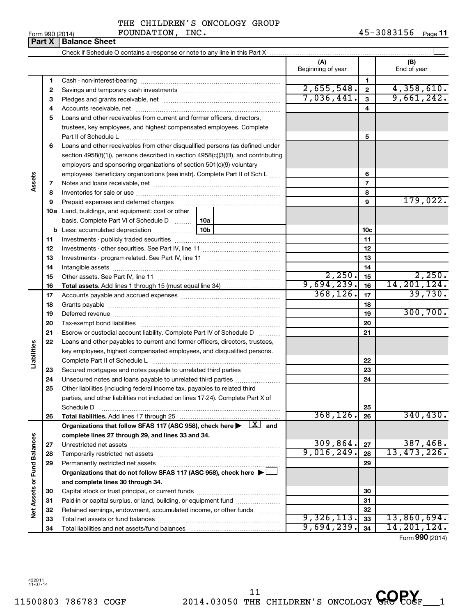| Form 990 (2014) |  |  |
|-----------------|--|--|
|                 |  |  |

### Form 990 (2014)  $\qquad \qquad \text{FOUNDATION}$ ,  $\text{INC.}$   $\qquad \qquad \text{45--3083156}$   $\qquad \text{Page}}$ THE CHILDREN'S ONCOLOGY GROUP

|                             | Part X | <b>Balance Sheet</b>                                                                                                                                                                                                          |                          |                |                    |
|-----------------------------|--------|-------------------------------------------------------------------------------------------------------------------------------------------------------------------------------------------------------------------------------|--------------------------|----------------|--------------------|
|                             |        |                                                                                                                                                                                                                               |                          |                |                    |
|                             |        |                                                                                                                                                                                                                               | (A)<br>Beginning of year |                | (B)<br>End of year |
|                             | 1      |                                                                                                                                                                                                                               |                          | 1.             |                    |
|                             | 2      |                                                                                                                                                                                                                               | 2,655,548.               | $\bf 2$        | 4,358,610.         |
|                             | З      |                                                                                                                                                                                                                               | 7,036,441.               | 3              | 9,661,242.         |
|                             | 4      |                                                                                                                                                                                                                               |                          | 4              |                    |
|                             | 5      | Loans and other receivables from current and former officers, directors,                                                                                                                                                      |                          |                |                    |
|                             |        | trustees, key employees, and highest compensated employees. Complete                                                                                                                                                          |                          |                |                    |
|                             |        | Part II of Schedule L                                                                                                                                                                                                         |                          | 5              |                    |
|                             | 6      | Loans and other receivables from other disqualified persons (as defined under                                                                                                                                                 |                          |                |                    |
|                             |        | section 4958(f)(1)), persons described in section 4958(c)(3)(B), and contributing                                                                                                                                             |                          |                |                    |
|                             |        | employers and sponsoring organizations of section 501(c)(9) voluntary                                                                                                                                                         |                          |                |                    |
|                             |        | employees' beneficiary organizations (see instr). Complete Part II of Sch L                                                                                                                                                   |                          | 6              |                    |
| Assets                      | 7      |                                                                                                                                                                                                                               |                          | $\overline{7}$ |                    |
|                             | 8      |                                                                                                                                                                                                                               |                          | 8              |                    |
|                             | 9      | Prepaid expenses and deferred charges [11] [11] Prepaid expenses and deferred charges [11] [11] Martin Martin (11] (11] Arthur Martin (11] Arthur Martin (11] Arthur Martin (11] Arthur Martin (11] Arthur Martin (11] Arthur |                          | 9              | 179,022.           |
|                             |        | <b>10a</b> Land, buildings, and equipment: cost or other                                                                                                                                                                      |                          |                |                    |
|                             |        | basis. Complete Part VI of Schedule D<br>10a                                                                                                                                                                                  |                          |                |                    |
|                             |        | 10 <sub>b</sub>                                                                                                                                                                                                               |                          | 10c            |                    |
|                             | 11     |                                                                                                                                                                                                                               |                          | 11             |                    |
|                             | 12     |                                                                                                                                                                                                                               |                          | 12             |                    |
|                             | 13     |                                                                                                                                                                                                                               |                          | 13             |                    |
|                             | 14     |                                                                                                                                                                                                                               |                          | 14             |                    |
|                             | 15     |                                                                                                                                                                                                                               | 2,250.                   | 15             | 2,250.             |
|                             | 16     |                                                                                                                                                                                                                               | 9,694,239.               | 16             | 14, 201, 124.      |
|                             | 17     |                                                                                                                                                                                                                               | 368, 126.                | 17             | 39,730.            |
|                             | 18     |                                                                                                                                                                                                                               |                          | 18             |                    |
|                             | 19     |                                                                                                                                                                                                                               |                          | 19             | 300, 700.          |
|                             | 20     |                                                                                                                                                                                                                               |                          | 20             |                    |
|                             | 21     | Escrow or custodial account liability. Complete Part IV of Schedule D                                                                                                                                                         |                          | 21             |                    |
| Liabilities                 | 22     | Loans and other payables to current and former officers, directors, trustees,                                                                                                                                                 |                          |                |                    |
|                             |        | key employees, highest compensated employees, and disqualified persons.                                                                                                                                                       |                          |                |                    |
|                             |        |                                                                                                                                                                                                                               |                          | 22             |                    |
|                             | 23     | Secured mortgages and notes payable to unrelated third parties                                                                                                                                                                |                          | 23             |                    |
|                             | 24     | Unsecured notes and loans payable to unrelated third parties<br>Other liabilities (including federal income tax, payables to related third                                                                                    |                          | 24             |                    |
|                             | 25     | parties, and other liabilities not included on lines 17-24). Complete Part X of                                                                                                                                               |                          |                |                    |
|                             |        | Schedule D                                                                                                                                                                                                                    |                          | 25             |                    |
|                             | 26     |                                                                                                                                                                                                                               | 368, 126.                | 26             | 340, 430.          |
|                             |        | Organizations that follow SFAS 117 (ASC 958), check here $\blacktriangleright \begin{array}{c} \perp X \end{array}$ and                                                                                                       |                          |                |                    |
|                             |        | complete lines 27 through 29, and lines 33 and 34.                                                                                                                                                                            |                          |                |                    |
|                             | 27     |                                                                                                                                                                                                                               | 309,864.                 | 27             | 387,468.           |
|                             | 28     |                                                                                                                                                                                                                               | 9,016,249.               | 28             | 13,473,226.        |
|                             | 29     | Permanently restricted net assets                                                                                                                                                                                             |                          | 29             |                    |
|                             |        | Organizations that do not follow SFAS 117 (ASC 958), check here >                                                                                                                                                             |                          |                |                    |
|                             |        | and complete lines 30 through 34.                                                                                                                                                                                             |                          |                |                    |
|                             | 30     |                                                                                                                                                                                                                               |                          | 30             |                    |
|                             | 31     | Paid-in or capital surplus, or land, building, or equipment fund                                                                                                                                                              |                          | 31             |                    |
| Net Assets or Fund Balances | 32     | Retained earnings, endowment, accumulated income, or other funds                                                                                                                                                              |                          | 32             |                    |
|                             | 33     |                                                                                                                                                                                                                               | 9,326,113.               | 33             | 13,860,694.        |
|                             | 34     |                                                                                                                                                                                                                               | 9,694,239.               | 34             | 14, 201, 124.      |

Form (2014) **990**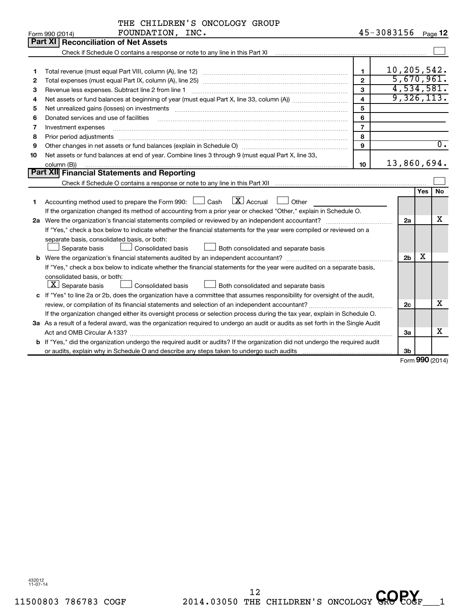|    | THE CHILDREN'S ONCOLOGY GROUP                                                                                                                                                                                                  |                |                    |                |                     |                  |
|----|--------------------------------------------------------------------------------------------------------------------------------------------------------------------------------------------------------------------------------|----------------|--------------------|----------------|---------------------|------------------|
|    | FOUNDATION, INC.<br>Form 990 (2014)                                                                                                                                                                                            |                | 45-3083156 Page 12 |                |                     |                  |
|    | Part XI   Reconciliation of Net Assets                                                                                                                                                                                         |                |                    |                |                     |                  |
|    | Check if Schedule O contains a response or note to any line in this Part XI [11] [12] Check if Schedule O contains a response or note to any line in this Part XI                                                              |                |                    |                |                     |                  |
|    |                                                                                                                                                                                                                                |                |                    |                |                     |                  |
| 1  |                                                                                                                                                                                                                                | $\mathbf{1}$   | 10, 205, 542.      |                |                     |                  |
| 2  |                                                                                                                                                                                                                                | $\mathbf{2}$   |                    |                |                     | 5,670,961.       |
| З  |                                                                                                                                                                                                                                | 3              |                    |                |                     | 4,534,581.       |
| 4  |                                                                                                                                                                                                                                | 4              |                    |                |                     | 9,326,113.       |
| 5  | Net unrealized gains (losses) on investments [11] matter contracts and the state of the state of the state of the state of the state of the state of the state of the state of the state of the state of the state of the stat | 5              |                    |                |                     |                  |
| 6  | Donated services and use of facilities                                                                                                                                                                                         | 6              |                    |                |                     |                  |
| 7  | Investment expenses                                                                                                                                                                                                            | $\overline{7}$ |                    |                |                     |                  |
| 8  | Prior period adjustments                                                                                                                                                                                                       | 8              |                    |                |                     |                  |
| 9  |                                                                                                                                                                                                                                | $\mathbf{Q}$   |                    |                |                     | $\overline{0}$ . |
| 10 | Net assets or fund balances at end of year. Combine lines 3 through 9 (must equal Part X, line 33,                                                                                                                             |                |                    |                |                     |                  |
|    | column (B))                                                                                                                                                                                                                    | 10             | 13,860,694.        |                |                     |                  |
|    | Part XII Financial Statements and Reporting                                                                                                                                                                                    |                |                    |                |                     |                  |
|    |                                                                                                                                                                                                                                |                |                    |                |                     |                  |
|    |                                                                                                                                                                                                                                |                |                    |                | Yes                 | No               |
| 1  | $\boxed{\text{X}}$ Accrual<br>Accounting method used to prepare the Form 990: $\Box$ Cash<br>Other                                                                                                                             |                |                    |                |                     |                  |
|    | If the organization changed its method of accounting from a prior year or checked "Other," explain in Schedule O.                                                                                                              |                |                    |                |                     |                  |
|    |                                                                                                                                                                                                                                |                |                    | 2a             |                     | x                |
|    | If "Yes," check a box below to indicate whether the financial statements for the year were compiled or reviewed on a                                                                                                           |                |                    |                |                     |                  |
|    | separate basis, consolidated basis, or both:                                                                                                                                                                                   |                |                    |                |                     |                  |
|    | <b>Consolidated basis</b><br>Both consolidated and separate basis<br>Separate basis                                                                                                                                            |                |                    |                |                     |                  |
|    | <b>b</b> Were the organization's financial statements audited by an independent accountant?                                                                                                                                    |                |                    | 2 <sub>b</sub> | х                   |                  |
|    | If "Yes," check a box below to indicate whether the financial statements for the year were audited on a separate basis,                                                                                                        |                |                    |                |                     |                  |
|    | consolidated basis, or both:                                                                                                                                                                                                   |                |                    |                |                     |                  |
|    | $\lfloor x \rfloor$ Separate basis<br><b>Consolidated basis</b><br>Both consolidated and separate basis                                                                                                                        |                |                    |                |                     |                  |
|    | c If "Yes" to line 2a or 2b, does the organization have a committee that assumes responsibility for oversight of the audit,                                                                                                    |                |                    |                |                     |                  |
|    |                                                                                                                                                                                                                                |                |                    | 2c             |                     | x                |
|    | If the organization changed either its oversight process or selection process during the tax year, explain in Schedule O.                                                                                                      |                |                    |                |                     |                  |
|    | 3a As a result of a federal award, was the organization required to undergo an audit or audits as set forth in the Single Audit                                                                                                |                |                    |                |                     |                  |
|    |                                                                                                                                                                                                                                |                |                    | За             |                     | x                |
|    | b If "Yes," did the organization undergo the required audit or audits? If the organization did not undergo the required audit                                                                                                  |                |                    |                |                     |                  |
|    |                                                                                                                                                                                                                                |                |                    | 3b             |                     |                  |
|    |                                                                                                                                                                                                                                |                |                    |                | $000 \, \text{GeV}$ |                  |

Form (2014) **990**

432012 11-07-14

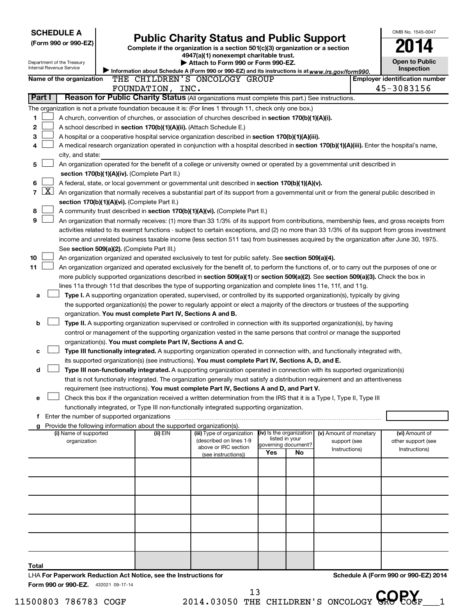| <b>SCHEDULE A</b>                                                |                                                                          |                                                                                                                                                                                                                                                                                  |                          |                                       |                        | OMB No. 1545-0047                     |
|------------------------------------------------------------------|--------------------------------------------------------------------------|----------------------------------------------------------------------------------------------------------------------------------------------------------------------------------------------------------------------------------------------------------------------------------|--------------------------|---------------------------------------|------------------------|---------------------------------------|
| (Form 990 or 990-EZ)                                             |                                                                          | <b>Public Charity Status and Public Support</b><br>Complete if the organization is a section 501(c)(3) organization or a section                                                                                                                                                 |                          |                                       |                        |                                       |
|                                                                  |                                                                          | 4947(a)(1) nonexempt charitable trust.                                                                                                                                                                                                                                           |                          |                                       |                        |                                       |
| Department of the Treasury<br><b>Internal Revenue Service</b>    |                                                                          | Attach to Form 990 or Form 990-EZ.                                                                                                                                                                                                                                               |                          |                                       |                        | <b>Open to Public</b>                 |
|                                                                  |                                                                          | Information about Schedule A (Form 990 or 990-EZ) and its instructions is at www.irs.gov/form990.                                                                                                                                                                                |                          |                                       |                        | Inspection                            |
| Name of the organization                                         |                                                                          | THE CHILDREN'S ONCOLOGY GROUP                                                                                                                                                                                                                                                    |                          |                                       |                        | <b>Employer identification number</b> |
| Part I                                                           | FOUNDATION, INC.                                                         | Reason for Public Charity Status (All organizations must complete this part.) See instructions.                                                                                                                                                                                  |                          |                                       |                        | 45-3083156                            |
|                                                                  |                                                                          |                                                                                                                                                                                                                                                                                  |                          |                                       |                        |                                       |
|                                                                  |                                                                          | The organization is not a private foundation because it is: (For lines 1 through 11, check only one box.)                                                                                                                                                                        |                          |                                       |                        |                                       |
| 1<br>2                                                           | A school described in section 170(b)(1)(A)(ii). (Attach Schedule E.)     | A church, convention of churches, or association of churches described in <b>section 170(b)(1)(A)(i).</b>                                                                                                                                                                        |                          |                                       |                        |                                       |
| 3                                                                |                                                                          | A hospital or a cooperative hospital service organization described in section 170(b)(1)(A)(iii).                                                                                                                                                                                |                          |                                       |                        |                                       |
| 4                                                                |                                                                          | A medical research organization operated in conjunction with a hospital described in section 170(b)(1)(A)(iii). Enter the hospital's name,                                                                                                                                       |                          |                                       |                        |                                       |
| city, and state:                                                 |                                                                          |                                                                                                                                                                                                                                                                                  |                          |                                       |                        |                                       |
| 5                                                                |                                                                          | An organization operated for the benefit of a college or university owned or operated by a governmental unit described in                                                                                                                                                        |                          |                                       |                        |                                       |
|                                                                  | section 170(b)(1)(A)(iv). (Complete Part II.)                            |                                                                                                                                                                                                                                                                                  |                          |                                       |                        |                                       |
| 6                                                                |                                                                          | A federal, state, or local government or governmental unit described in section 170(b)(1)(A)(v).                                                                                                                                                                                 |                          |                                       |                        |                                       |
| $\mathbf{X}$<br>7                                                |                                                                          | An organization that normally receives a substantial part of its support from a governmental unit or from the general public described in                                                                                                                                        |                          |                                       |                        |                                       |
|                                                                  | section 170(b)(1)(A)(vi). (Complete Part II.)                            |                                                                                                                                                                                                                                                                                  |                          |                                       |                        |                                       |
| 8                                                                |                                                                          | A community trust described in section 170(b)(1)(A)(vi). (Complete Part II.)                                                                                                                                                                                                     |                          |                                       |                        |                                       |
| 9                                                                |                                                                          | An organization that normally receives: (1) more than 33 1/3% of its support from contributions, membership fees, and gross receipts from                                                                                                                                        |                          |                                       |                        |                                       |
|                                                                  |                                                                          | activities related to its exempt functions - subject to certain exceptions, and (2) no more than 33 1/3% of its support from gross investment                                                                                                                                    |                          |                                       |                        |                                       |
|                                                                  |                                                                          | income and unrelated business taxable income (less section 511 tax) from businesses acquired by the organization after June 30, 1975.                                                                                                                                            |                          |                                       |                        |                                       |
|                                                                  | See section 509(a)(2). (Complete Part III.)                              |                                                                                                                                                                                                                                                                                  |                          |                                       |                        |                                       |
| 10<br>11                                                         |                                                                          | An organization organized and operated exclusively to test for public safety. See section 509(a)(4).                                                                                                                                                                             |                          |                                       |                        |                                       |
|                                                                  |                                                                          | An organization organized and operated exclusively for the benefit of, to perform the functions of, or to carry out the purposes of one or<br>more publicly supported organizations described in section 509(a)(1) or section 509(a)(2). See section 509(a)(3). Check the box in |                          |                                       |                        |                                       |
|                                                                  |                                                                          | lines 11a through 11d that describes the type of supporting organization and complete lines 11e, 11f, and 11g.                                                                                                                                                                   |                          |                                       |                        |                                       |
| а                                                                |                                                                          | Type I. A supporting organization operated, supervised, or controlled by its supported organization(s), typically by giving                                                                                                                                                      |                          |                                       |                        |                                       |
|                                                                  |                                                                          | the supported organization(s) the power to regularly appoint or elect a majority of the directors or trustees of the supporting                                                                                                                                                  |                          |                                       |                        |                                       |
|                                                                  | organization. You must complete Part IV, Sections A and B.               |                                                                                                                                                                                                                                                                                  |                          |                                       |                        |                                       |
| b                                                                |                                                                          | Type II. A supporting organization supervised or controlled in connection with its supported organization(s), by having                                                                                                                                                          |                          |                                       |                        |                                       |
|                                                                  |                                                                          | control or management of the supporting organization vested in the same persons that control or manage the supported                                                                                                                                                             |                          |                                       |                        |                                       |
|                                                                  | organization(s). You must complete Part IV, Sections A and C.            |                                                                                                                                                                                                                                                                                  |                          |                                       |                        |                                       |
|                                                                  |                                                                          | Type III functionally integrated. A supporting organization operated in connection with, and functionally integrated with,                                                                                                                                                       |                          |                                       |                        |                                       |
|                                                                  |                                                                          | its supported organization(s) (see instructions). You must complete Part IV, Sections A, D, and E.                                                                                                                                                                               |                          |                                       |                        |                                       |
| d                                                                |                                                                          | Type III non-functionally integrated. A supporting organization operated in connection with its supported organization(s)                                                                                                                                                        |                          |                                       |                        |                                       |
|                                                                  |                                                                          | that is not functionally integrated. The organization generally must satisfy a distribution requirement and an attentiveness                                                                                                                                                     |                          |                                       |                        |                                       |
|                                                                  |                                                                          | requirement (see instructions). You must complete Part IV, Sections A and D, and Part V.<br>Check this box if the organization received a written determination from the IRS that it is a Type I, Type II, Type III                                                              |                          |                                       |                        |                                       |
| е                                                                |                                                                          | functionally integrated, or Type III non-functionally integrated supporting organization.                                                                                                                                                                                        |                          |                                       |                        |                                       |
|                                                                  |                                                                          |                                                                                                                                                                                                                                                                                  |                          |                                       |                        |                                       |
|                                                                  | g Provide the following information about the supported organization(s). |                                                                                                                                                                                                                                                                                  |                          |                                       |                        |                                       |
| (i) Name of supported                                            | (ii) EIN                                                                 | (iii) Type of organization                                                                                                                                                                                                                                                       | (iv) Is the organization |                                       | (v) Amount of monetary | (vi) Amount of                        |
| organization                                                     |                                                                          | (described on lines 1-9<br>above or IRC section                                                                                                                                                                                                                                  |                          | listed in your<br>governing document? | support (see           | other support (see                    |
|                                                                  |                                                                          | (see instructions))                                                                                                                                                                                                                                                              | Yes                      | No                                    | Instructions)          | Instructions)                         |
|                                                                  |                                                                          |                                                                                                                                                                                                                                                                                  |                          |                                       |                        |                                       |
|                                                                  |                                                                          |                                                                                                                                                                                                                                                                                  |                          |                                       |                        |                                       |
|                                                                  |                                                                          |                                                                                                                                                                                                                                                                                  |                          |                                       |                        |                                       |
|                                                                  |                                                                          |                                                                                                                                                                                                                                                                                  |                          |                                       |                        |                                       |
|                                                                  |                                                                          |                                                                                                                                                                                                                                                                                  |                          |                                       |                        |                                       |
|                                                                  |                                                                          |                                                                                                                                                                                                                                                                                  |                          |                                       |                        |                                       |
|                                                                  |                                                                          |                                                                                                                                                                                                                                                                                  |                          |                                       |                        |                                       |
|                                                                  |                                                                          |                                                                                                                                                                                                                                                                                  |                          |                                       |                        |                                       |
|                                                                  |                                                                          |                                                                                                                                                                                                                                                                                  |                          |                                       |                        |                                       |
|                                                                  |                                                                          |                                                                                                                                                                                                                                                                                  |                          |                                       |                        |                                       |
| Total                                                            |                                                                          |                                                                                                                                                                                                                                                                                  |                          |                                       |                        |                                       |
| LHA For Paperwork Reduction Act Notice, see the Instructions for |                                                                          |                                                                                                                                                                                                                                                                                  |                          |                                       |                        | Schedule A (Form 990 or 990-EZ) 2014  |
| Form 990 or 990-EZ. 432021 09-17-14                              |                                                                          |                                                                                                                                                                                                                                                                                  |                          |                                       |                        |                                       |

<sup>13</sup> THE CHILDREN'S ONCOLOGY GROPOGE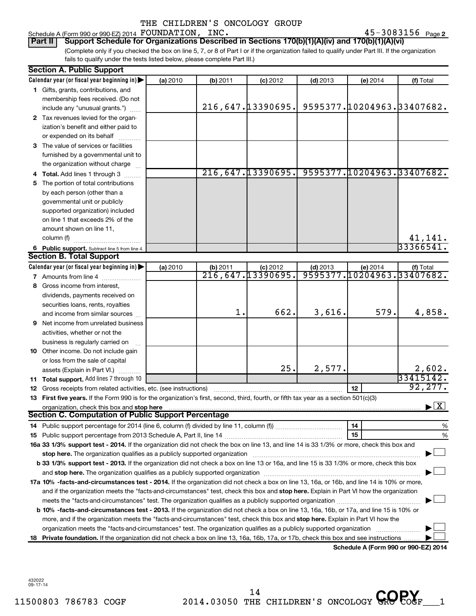Schedule A (Form 990 or 990-EZ) 2014  ${\tt FOUNDATION}$ ,  ${\tt INC.} \hspace{2cm} 45–3083156$   ${\tt Page}$ 

45-3083156 Page 2

(Complete only if you checked the box on line 5, 7, or 8 of Part I or if the organization failed to qualify under Part III. If the organization fails to qualify under the tests listed below, please complete Part III.) **Part II** | Support Schedule for Organizations Described in Sections 170(b)(1)(A)(iv) and 170(b)(1)(A)(vi)

|    | <b>Section A. Public Support</b>                                                                                                               |          |          |                                |            |            |                                          |
|----|------------------------------------------------------------------------------------------------------------------------------------------------|----------|----------|--------------------------------|------------|------------|------------------------------------------|
|    | Calendar year (or fiscal year beginning in)                                                                                                    | (a) 2010 | (b) 2011 | $(c)$ 2012                     | $(d)$ 2013 | (e) 2014   | (f) Total                                |
|    | 1 Gifts, grants, contributions, and                                                                                                            |          |          |                                |            |            |                                          |
|    | membership fees received. (Do not                                                                                                              |          |          |                                |            |            |                                          |
|    | include any "unusual grants.")                                                                                                                 |          |          | 216,647.13390695.              |            |            | 9595377.10204963.33407682.               |
|    | 2 Tax revenues levied for the organ-                                                                                                           |          |          |                                |            |            |                                          |
|    | ization's benefit and either paid to                                                                                                           |          |          |                                |            |            |                                          |
|    | or expended on its behalf                                                                                                                      |          |          |                                |            |            |                                          |
|    | 3 The value of services or facilities                                                                                                          |          |          |                                |            |            |                                          |
|    | furnished by a governmental unit to                                                                                                            |          |          |                                |            |            |                                          |
|    | the organization without charge                                                                                                                |          |          |                                |            |            |                                          |
|    | 4 Total. Add lines 1 through 3                                                                                                                 |          |          | 216,647.13390695.              |            |            | 9595377.10204963.33407682.               |
|    | 5 The portion of total contributions                                                                                                           |          |          |                                |            |            |                                          |
|    | by each person (other than a                                                                                                                   |          |          |                                |            |            |                                          |
|    | governmental unit or publicly                                                                                                                  |          |          |                                |            |            |                                          |
|    | supported organization) included                                                                                                               |          |          |                                |            |            |                                          |
|    | on line 1 that exceeds 2% of the                                                                                                               |          |          |                                |            |            |                                          |
|    | amount shown on line 11,                                                                                                                       |          |          |                                |            |            |                                          |
|    | column (f)                                                                                                                                     |          |          |                                |            |            | 41,141.                                  |
|    | 6 Public support. Subtract line 5 from line 4.                                                                                                 |          |          |                                |            |            | 33366541                                 |
|    | <b>Section B. Total Support</b>                                                                                                                |          |          |                                |            |            |                                          |
|    | Calendar year (or fiscal year beginning in)                                                                                                    |          |          |                                |            |            |                                          |
|    |                                                                                                                                                | (a) 2010 | (b) 2011 | (c) 2012<br>216, 647.13390695. | $(d)$ 2013 | $(e)$ 2014 | (f) Total<br>9595377.10204963.33407682.  |
|    | 7 Amounts from line 4                                                                                                                          |          |          |                                |            |            |                                          |
|    | 8 Gross income from interest,                                                                                                                  |          |          |                                |            |            |                                          |
|    | dividends, payments received on                                                                                                                |          |          |                                |            |            |                                          |
|    | securities loans, rents, royalties                                                                                                             |          | 1.       | 662.                           |            | 579.       |                                          |
|    | and income from similar sources                                                                                                                |          |          |                                | 3,616.     |            | 4,858.                                   |
|    | <b>9</b> Net income from unrelated business                                                                                                    |          |          |                                |            |            |                                          |
|    | activities, whether or not the                                                                                                                 |          |          |                                |            |            |                                          |
|    | business is regularly carried on                                                                                                               |          |          |                                |            |            |                                          |
|    | 10 Other income. Do not include gain                                                                                                           |          |          |                                |            |            |                                          |
|    | or loss from the sale of capital                                                                                                               |          |          |                                |            |            |                                          |
|    | assets (Explain in Part VI.)                                                                                                                   |          |          | 25.                            | 2,577.     |            | 2,602.                                   |
|    | 11 Total support. Add lines 7 through 10                                                                                                       |          |          |                                |            |            | 33415142.                                |
|    | <b>12</b> Gross receipts from related activities, etc. (see instructions)                                                                      |          |          |                                |            | 12         | 92, 277.                                 |
|    | 13 First five years. If the Form 990 is for the organization's first, second, third, fourth, or fifth tax year as a section 501(c)(3)          |          |          |                                |            |            |                                          |
|    | organization, check this box and stop here                                                                                                     |          |          |                                |            |            | $\blacktriangleright$ $\boxed{\text{X}}$ |
|    | <b>Section C. Computation of Public Support Percentage</b>                                                                                     |          |          |                                |            |            |                                          |
|    |                                                                                                                                                |          |          |                                |            | 14         | %                                        |
|    |                                                                                                                                                |          |          |                                |            | 15         | %                                        |
|    | 16a 33 1/3% support test - 2014. If the organization did not check the box on line 13, and line 14 is 33 1/3% or more, check this box and      |          |          |                                |            |            |                                          |
|    |                                                                                                                                                |          |          |                                |            |            |                                          |
|    | b 33 1/3% support test - 2013. If the organization did not check a box on line 13 or 16a, and line 15 is 33 1/3% or more, check this box       |          |          |                                |            |            |                                          |
|    |                                                                                                                                                |          |          |                                |            |            |                                          |
|    | 17a 10% -facts-and-circumstances test - 2014. If the organization did not check a box on line 13, 16a, or 16b, and line 14 is 10% or more,     |          |          |                                |            |            |                                          |
|    | and if the organization meets the "facts-and-circumstances" test, check this box and stop here. Explain in Part VI how the organization        |          |          |                                |            |            |                                          |
|    | meets the "facts-and-circumstances" test. The organization qualifies as a publicly supported organization <i>community content</i>             |          |          |                                |            |            |                                          |
|    | <b>b 10%</b> -facts-and-circumstances test - 2013. If the organization did not check a box on line 13, 16a, 16b, or 17a, and line 15 is 10% or |          |          |                                |            |            |                                          |
|    | more, and if the organization meets the "facts-and-circumstances" test, check this box and stop here. Explain in Part VI how the               |          |          |                                |            |            |                                          |
|    |                                                                                                                                                |          |          |                                |            |            |                                          |
| 18 | Private foundation. If the organization did not check a box on line 13, 16a, 16b, 17a, or 17b, check this box and see instructions             |          |          |                                |            |            |                                          |
|    |                                                                                                                                                |          |          |                                |            |            |                                          |

**Schedule A (Form 990 or 990-EZ) 2014**

432022 09-17-14

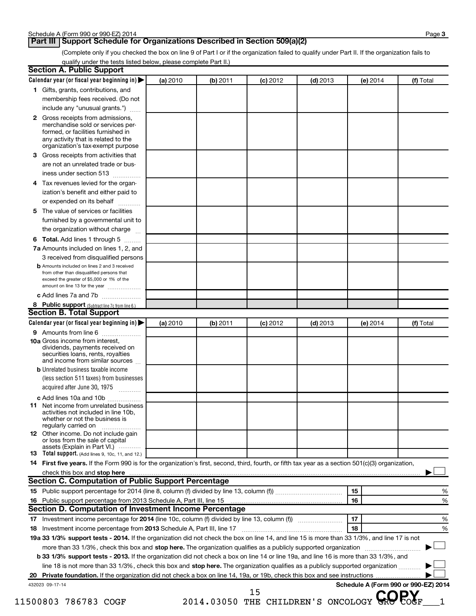### **Part III | Support Schedule for Organizations Described in Section 509(a)(2)**

(Complete only if you checked the box on line 9 of Part I or if the organization failed to qualify under Part II. If the organization fails to qualify under the tests listed below, please complete Part II.)

|   | 1 Gifts, grants, contributions, and                                                                                                                 |          |          |            |            |          |           |
|---|-----------------------------------------------------------------------------------------------------------------------------------------------------|----------|----------|------------|------------|----------|-----------|
|   |                                                                                                                                                     |          |          |            |            |          |           |
|   | membership fees received. (Do not                                                                                                                   |          |          |            |            |          |           |
|   | include any "unusual grants.")                                                                                                                      |          |          |            |            |          |           |
|   | 2 Gross receipts from admissions,<br>merchandise sold or services per-<br>formed, or facilities furnished in<br>any activity that is related to the |          |          |            |            |          |           |
|   | organization's tax-exempt purpose                                                                                                                   |          |          |            |            |          |           |
| 3 | Gross receipts from activities that                                                                                                                 |          |          |            |            |          |           |
|   | are not an unrelated trade or bus-                                                                                                                  |          |          |            |            |          |           |
|   | iness under section 513                                                                                                                             |          |          |            |            |          |           |
| 4 | Tax revenues levied for the organ-                                                                                                                  |          |          |            |            |          |           |
|   | ization's benefit and either paid to<br>or expended on its behalf<br>.                                                                              |          |          |            |            |          |           |
| 5 | The value of services or facilities                                                                                                                 |          |          |            |            |          |           |
|   | furnished by a governmental unit to                                                                                                                 |          |          |            |            |          |           |
|   | the organization without charge                                                                                                                     |          |          |            |            |          |           |
|   | 6 Total. Add lines 1 through 5                                                                                                                      |          |          |            |            |          |           |
|   | 7a Amounts included on lines 1, 2, and                                                                                                              |          |          |            |            |          |           |
|   | 3 received from disqualified persons                                                                                                                |          |          |            |            |          |           |
|   | <b>b</b> Amounts included on lines 2 and 3 received                                                                                                 |          |          |            |            |          |           |
|   | from other than disqualified persons that<br>exceed the greater of \$5,000 or 1% of the<br>amount on line 13 for the year                           |          |          |            |            |          |           |
|   | c Add lines 7a and 7b                                                                                                                               |          |          |            |            |          |           |
|   | 8 Public support (Subtract line 7c from line 6.)                                                                                                    |          |          |            |            |          |           |
|   | <b>Section B. Total Support</b>                                                                                                                     |          |          |            |            |          |           |
|   | Calendar year (or fiscal year beginning in)                                                                                                         | (a) 2010 | (b) 2011 | $(c)$ 2012 | $(d)$ 2013 | (e) 2014 | (f) Total |
|   | 9 Amounts from line 6                                                                                                                               |          |          |            |            |          |           |
|   | <b>10a</b> Gross income from interest,<br>dividends, payments received on<br>securities loans, rents, royalties<br>and income from similar sources  |          |          |            |            |          |           |
|   | <b>b</b> Unrelated business taxable income<br>(less section 511 taxes) from businesses                                                              |          |          |            |            |          |           |
|   | acquired after June 30, 1975                                                                                                                        |          |          |            |            |          |           |
|   | c Add lines 10a and 10b                                                                                                                             |          |          |            |            |          |           |
|   | <b>11</b> Net income from unrelated business<br>activities not included in line 10b<br>whether or not the business is<br>regularly carried on       |          |          |            |            |          |           |
|   | <b>12</b> Other income. Do not include gain<br>or loss from the sale of capital<br>assets (Explain in Part VI.)                                     |          |          |            |            |          |           |
|   | 13 Total support. (Add lines 9, 10c, 11, and 12.)                                                                                                   |          |          |            |            |          |           |
|   | 14 First five years. If the Form 990 is for the organization's first, second, third, fourth, or fifth tax year as a section 501(c)(3) organization, |          |          |            |            |          |           |
|   |                                                                                                                                                     |          |          |            |            |          |           |
|   | <b>Section C. Computation of Public Support Percentage</b>                                                                                          |          |          |            |            |          |           |
|   |                                                                                                                                                     |          |          |            |            | 15       | %         |
|   |                                                                                                                                                     |          |          |            |            | 16       | %         |
|   | <b>Section D. Computation of Investment Income Percentage</b>                                                                                       |          |          |            |            |          |           |
|   |                                                                                                                                                     |          |          |            |            | 17       | %         |
|   | 18 Investment income percentage from 2013 Schedule A, Part III, line 17                                                                             |          |          |            |            | 18       | %         |
|   | 19a 33 1/3% support tests - 2014. If the organization did not check the box on line 14, and line 15 is more than 33 1/3%, and line 17 is not        |          |          |            |            |          |           |
|   | more than 33 1/3%, check this box and stop here. The organization qualifies as a publicly supported organization                                    |          |          |            |            |          |           |
|   | <b>b 33 1/3% support tests - 2013.</b> If the organization did not check a box on line 14 or line 19a, and line 16 is more than 33 1/3%, and        |          |          |            |            |          |           |
|   | line 18 is not more than 33 1/3%, check this box and stop here. The organization qualifies as a publicly supported organization                     |          |          |            |            |          |           |
|   |                                                                                                                                                     |          |          |            |            |          |           |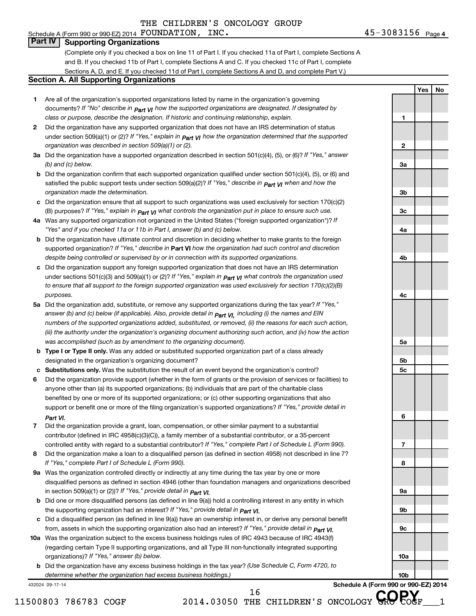#### $45 - 3083156$  Page 4 Schedule A (Form 990 or 990-EZ) 2014  ${\tt FOUNDATION}$ ,  ${\tt INC.} \hspace{2cm} 45–3083156$   ${\tt Page}$

**1**

**2**

**3a**

**3b**

**3c**

**4a**

**4b**

**4c**

**5a**

**5b 5c**

**6**

**7**

**8**

**9a**

**9b**

**9c**

**10a**

**10b**

**Yes No**

### **Part IV Supporting Organizations**

(Complete only if you checked a box on line 11 of Part I. If you checked 11a of Part I, complete Sections A and B. If you checked 11b of Part I, complete Sections A and C. If you checked 11c of Part I, complete Sections A, D, and E. If you checked 11d of Part I, complete Sections A and D, and complete Part V.)

### **Section A. All Supporting Organizations**

- **1** Are all of the organization's supported organizations listed by name in the organization's governing documents? If "No" describe in  $_{\mathsf{Part}}$   $_{\mathsf{V}}$  how the supported organizations are designated. If designated by *class or purpose, describe the designation. If historic and continuing relationship, explain.*
- **2** Did the organization have any supported organization that does not have an IRS determination of status under section 509(a)(1) or (2)? If "Yes," explain in  $_{\sf Part}$   $_{\sf VI}$  how the organization determined that the supported *organization was described in section 509(a)(1) or (2).*
- **3a** Did the organization have a supported organization described in section 501(c)(4), (5), or (6)? If "Yes," answer *(b) and (c) below.*
- **b** Did the organization confirm that each supported organization qualified under section 501(c)(4), (5), or (6) and satisfied the public support tests under section 509(a)(2)? If "Yes," describe in  $_{\rm Part}$   $_{\rm VI}$  when and how the *organization made the determination.*
- **c** Did the organization ensure that all support to such organizations was used exclusively for section 170(c)(2) (B) purposes? If "Yes," explain in  $_{\mathsf{Part}}$   $_{\mathsf{V}}$  what controls the organization put in place to ensure such use.
- **4 a** *If* Was any supported organization not organized in the United States ("foreign supported organization")? *"Yes" and if you checked 11a or 11b in Part I, answer (b) and (c) below.*
- **b** Did the organization have ultimate control and discretion in deciding whether to make grants to the foreign supported organization? If "Yes," describe in Part VI how the organization had such control and discretion *despite being controlled or supervised by or in connection with its supported organizations.*
- **c** Did the organization support any foreign supported organization that does not have an IRS determination under sections 501(c)(3) and 509(a)(1) or (2)? If "Yes," ex*plain in*  $_{\sf Part}$  *v*J what controls the organization used *to ensure that all support to the foreign supported organization was used exclusively for section 170(c)(2)(B) purposes.*
- **5a** Did the organization add, substitute, or remove any supported organizations during the tax year? If "Yes," answer (b) and (c) below (if applicable). Also, provide detail in  $_{\mathsf{Part}}$   $_{\mathsf{V{\mathsf{I}}}}$ , including (i) the names and EIN *numbers of the supported organizations added, substituted, or removed, (ii) the reasons for each such action, (iii) the authority under the organization's organizing document authorizing such action, and (iv) how the action was accomplished (such as by amendment to the organizing document).*
- **b Type I or Type II only.** Was any added or substituted supported organization part of a class already designated in the organization's organizing document?
- **c Substitutions only.**  Was the substitution the result of an event beyond the organization's control?
- **6** Did the organization provide support (whether in the form of grants or the provision of services or facilities) to support or benefit one or more of the filing organization's supported organizations? If "Yes," provide detail in anyone other than (a) its supported organizations; (b) individuals that are part of the charitable class benefited by one or more of its supported organizations; or (c) other supporting organizations that also *Part VI.*
- **7** Did the organization provide a grant, loan, compensation, or other similar payment to a substantial controlled entity with regard to a substantial contributor? If "Yes," complete Part I of Schedule L (Form 990). contributor (defined in IRC 4958(c)(3)(C)), a family member of a substantial contributor, or a 35-percent
- **8** Did the organization make a loan to a disqualified person (as defined in section 4958) not described in line 7? *If "Yes," complete Part I of Schedule L (Form 990).*
- **9 a** Was the organization controlled directly or indirectly at any time during the tax year by one or more *If "Yes," provide detail in*  in section 509(a)(1) or (2))? *Part VI.* disqualified persons as defined in section 4946 (other than foundation managers and organizations described
- **b** Did one or more disqualified persons (as defined in line 9(a)) hold a controlling interest in any entity in which  *If "Yes," provide detail in*  the supporting organization had an interest? *Part VI.*
- **c** Did a disqualified person (as defined in line 9(a)) have an ownership interest in, or derive any personal benefit from, assets in which the supporting organization also had an interest? If "Yes," *provide detail in Part VI.*
- **10 a** Was the organization subject to the excess business holdings rules of IRC 4943 because of IRC 4943(f)  *If "Yes," answer (b) below.* organizations)? (regarding certain Type II supporting organizations, and all Type III non-functionally integrated supporting
	- **b** Did the organization have any excess business holdings in the tax year? (Use Schedule C, Form 4720, to *determine whether the organization had excess business holdings.)*

432024 09-17-14

**Schedule A (Form 990 or 990-EZ) 2014**

 $11500803$  786783 COGF 2014.03050 THE CHILDREN'S ONCOLOGY GRO COGF 1 <sup>16</sup> THE CHILDREN'S ONCOLOGY GROPOGE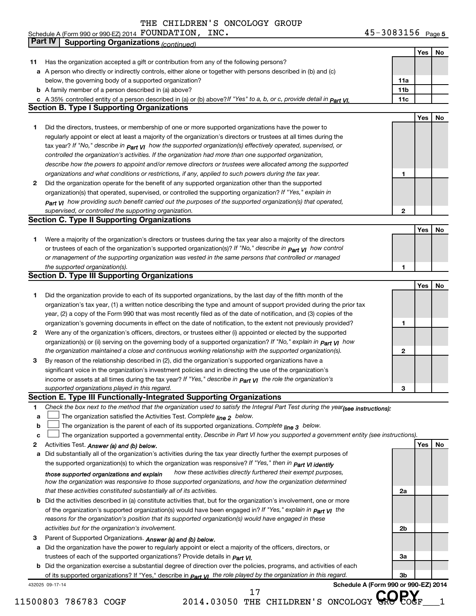Schedule A (Form 990 or 990-EZ) 2014  $\,$  FOUNDATION ,  $\,$  INC  $\,$  . The set of the set of the set of the set of the set of the set of the set of the set of the set of the set of the set of the set of the set of the set

FOUNDATION, INC. 45-3083156

|    | Part IV<br><b>Supporting Organizations (continued)</b>                                                                           |                 |     |    |
|----|----------------------------------------------------------------------------------------------------------------------------------|-----------------|-----|----|
|    |                                                                                                                                  |                 | Yes | No |
| 11 | Has the organization accepted a gift or contribution from any of the following persons?                                          |                 |     |    |
|    | a A person who directly or indirectly controls, either alone or together with persons described in (b) and (c)                   |                 |     |    |
|    | below, the governing body of a supported organization?                                                                           | 11a             |     |    |
|    | <b>b</b> A family member of a person described in (a) above?                                                                     | 11 <sub>b</sub> |     |    |
|    | c A 35% controlled entity of a person described in (a) or (b) above? If "Yes" to a, b, or c, provide detail in $Part$ VI.        | 11c             |     |    |
|    | <b>Section B. Type I Supporting Organizations</b>                                                                                |                 |     |    |
|    |                                                                                                                                  |                 | Yes | No |
| 1. | Did the directors, trustees, or membership of one or more supported organizations have the power to                              |                 |     |    |
|    | regularly appoint or elect at least a majority of the organization's directors or trustees at all times during the               |                 |     |    |
|    | tax year? If "No," describe in $p_{art}$ VI how the supported organization(s) effectively operated, supervised, or               |                 |     |    |
|    | controlled the organization's activities. If the organization had more than one supported organization,                          |                 |     |    |
|    | describe how the powers to appoint and/or remove directors or trustees were allocated among the supported                        |                 |     |    |
|    |                                                                                                                                  | 1               |     |    |
|    | organizations and what conditions or restrictions, if any, applied to such powers during the tax year.                           |                 |     |    |
| 2  | Did the organization operate for the benefit of any supported organization other than the supported                              |                 |     |    |
|    | organization(s) that operated, supervised, or controlled the supporting organization? If "Yes," explain in                       |                 |     |    |
|    | $_{Part}$ v <sub>I</sub> how providing such benefit carried out the purposes of the supported organization(s) that operated,     |                 |     |    |
|    | supervised, or controlled the supporting organization.                                                                           | 2               |     |    |
|    | <b>Section C. Type II Supporting Organizations</b>                                                                               |                 |     |    |
|    |                                                                                                                                  |                 | Yes | No |
| 1. | Were a majority of the organization's directors or trustees during the tax year also a majority of the directors                 |                 |     |    |
|    | or trustees of each of the organization's supported organization(s)? If "No," describe in <b>Part VI</b> how control             |                 |     |    |
|    | or management of the supporting organization was vested in the same persons that controlled or managed                           |                 |     |    |
|    | the supported organization(s).                                                                                                   | 1               |     |    |
|    | <b>Section D. Type III Supporting Organizations</b>                                                                              |                 |     |    |
|    |                                                                                                                                  |                 | Yes | No |
| 1  | Did the organization provide to each of its supported organizations, by the last day of the fifth month of the                   |                 |     |    |
|    | organization's tax year, (1) a written notice describing the type and amount of support provided during the prior tax            |                 |     |    |
|    | year, (2) a copy of the Form 990 that was most recently filed as of the date of notification, and (3) copies of the              |                 |     |    |
|    | organization's governing documents in effect on the date of notification, to the extent not previously provided?                 | 1               |     |    |
| 2  | Were any of the organization's officers, directors, or trustees either (i) appointed or elected by the supported                 |                 |     |    |
|    | organization(s) or (ii) serving on the governing body of a supported organization? If "No," explain in part VI how               |                 |     |    |
|    | the organization maintained a close and continuous working relationship with the supported organization(s).                      | $\mathbf{2}$    |     |    |
| 3  | By reason of the relationship described in (2), did the organization's supported organizations have a                            |                 |     |    |
|    | significant voice in the organization's investment policies and in directing the use of the organization's                       |                 |     |    |
|    | income or assets at all times during the tax year? If "Yes," describe in $P_{\text{art } VI}$ the role the organization's        |                 |     |    |
|    | supported organizations played in this regard.                                                                                   | з               |     |    |
|    | Section E. Type III Functionally-Integrated Supporting Organizations                                                             |                 |     |    |
| 1. | Check the box next to the method that the organization used to satisfy the Integral Part Test during the year(see instructions): |                 |     |    |
| а  | The organization satisfied the Activities Test. Complete line 2 below.                                                           |                 |     |    |
| b  | The organization is the parent of each of its supported organizations. Complete line 3 below.                                    |                 |     |    |
| c  | The organization supported a governmental entity. Describe in Part VI how you supported a government entity (see instructions).  |                 |     |    |
| 2  | Activities Test. Answer (a) and (b) below.                                                                                       |                 | Yes | No |
| а  | Did substantially all of the organization's activities during the tax year directly further the exempt purposes of               |                 |     |    |
|    | the supported organization(s) to which the organization was responsive? If "Yes," then in Part VI identify                       |                 |     |    |
|    | how these activities directly furthered their exempt purposes,<br>those supported organizations and explain                      |                 |     |    |
|    | how the organization was responsive to those supported organizations, and how the organization determined                        |                 |     |    |
|    | that these activities constituted substantially all of its activities.                                                           | 2a              |     |    |
|    | <b>b</b> Did the activities described in (a) constitute activities that, but for the organization's involvement, one or more     |                 |     |    |
|    | of the organization's supported organization(s) would have been engaged in? If "Yes," explain in <b>Part VI</b> the              |                 |     |    |
|    | reasons for the organization's position that its supported organization(s) would have engaged in these                           |                 |     |    |
|    | activities but for the organization's involvement.                                                                               | 2b              |     |    |
| З  | Parent of Supported Organizations. Answer (a) and (b) below.                                                                     |                 |     |    |
| а  | Did the organization have the power to regularly appoint or elect a majority of the officers, directors, or                      |                 |     |    |
|    | trustees of each of the supported organizations? Provide details in <i>Part VI.</i>                                              | За              |     |    |
|    | <b>b</b> Did the organization exercise a substantial degree of direction over the policies, programs, and activities of each     |                 |     |    |
|    | of its supported organizations? If "Yes," describe in part VI the role played by the organization in this regard.                | 3b              |     |    |

432025 09-17-14

 $11500803$  786783 COGF 2014.03050 THE CHILDREN'S ONCOLOGY GRO COGF 1

**Schedule A (Form 990 or 990-EZ) 2014**

<sup>17</sup> THE CHILDREN'S ONCOLOGY GROPOGE

45-3083156 Page 5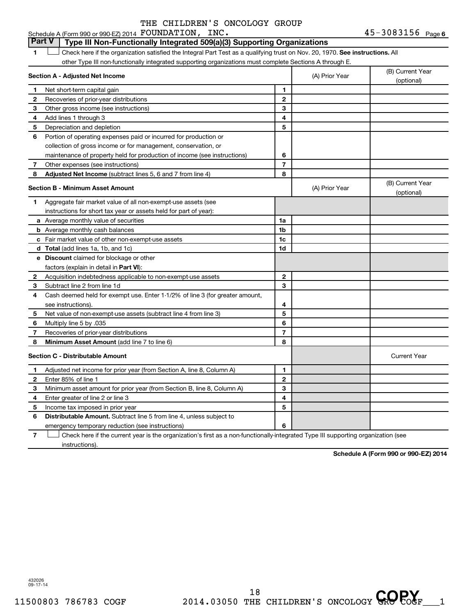45-3083156 <sub>Page 6</sub>

#### 1  $\Box$  Check here if the organization satisfied the Integral Part Test as a qualifying trust on Nov. 20, 1970. See instructions. All **Section A - Adjusted Net Income 1 2 3 4 5 6 7 8 1 2 3 4 5 6 7 Adjusted Net Income** (subtract lines 5, 6 and 7 from line 4) **8 8 Section B - Minimum Asset Amount 1 2 3 4 5 6 7 8 a** Average monthly value of securities **b** Average monthly cash balances **c** Fair market value of other non-exempt-use assets **d Total**  (add lines 1a, 1b, and 1c) **e Discount** claimed for blockage or other **1a 1b 1c 1d 2 3 4 5 6 7 8** factors (explain in detail in Part VI): **Minimum Asset Amount**  (add line 7 to line 6) **Section C - Distributable Amount 1 2 3 4 5 6 1 2 3 4 5 6** Distributable Amount. Subtract line 5 from line 4, unless subject to Schedule A (Form 990 or 990-EZ) 2014  ${\tt FOUNDATION}$ ,  ${\tt INC.} \hspace{2cm} 45–3083156$   ${\tt Page}$ other Type III non-functionally integrated supporting organizations must complete Sections A through E. (B) Current Year (A) Prior Year  $\left\vert \right\rangle$  (b) Current in Net short-term capital gain Recoveries of prior-year distributions Other gross income (see instructions) Add lines 1 through 3 Depreciation and depletion Portion of operating expenses paid or incurred for production or collection of gross income or for management, conservation, or maintenance of property held for production of income (see instructions) Other expenses (see instructions) (B) Current Year (A) Prior Year (b) Current 1 Aggregate fair market value of all non-exempt-use assets (see instructions for short tax year or assets held for part of year): Acquisition indebtedness applicable to non-exempt-use assets Subtract line 2 from line 1d Cash deemed held for exempt use. Enter 1-1/2% of line 3 (for greater amount, see instructions). Net value of non-exempt-use assets (subtract line 4 from line 3) Multiply line 5 by .035 Recoveries of prior-year distributions Current Year Adjusted net income for prior year (from Section A, line 8, Column A) Enter 85% of line 1 Minimum asset amount for prior year (from Section B, line 8, Column A) Enter greater of line 2 or line 3 Income tax imposed in prior year emergency temporary reduction (see instructions) **Part V Type III Non-Functionally Integrated 509(a)(3) Supporting Organizations**   $\Box$

**7** Check here if the current year is the organization's first as a non-functionally-integrated Type III supporting organization (see † instructions).

**Schedule A (Form 990 or 990-EZ) 2014**

432026 09-17-14

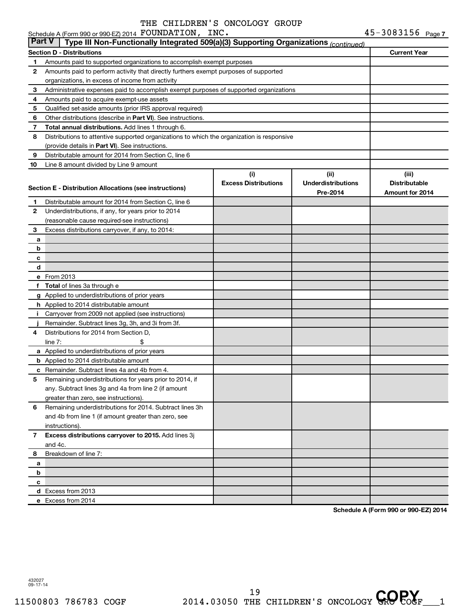|          | Schedule A (Form 990 or 990-EZ) 2014 FOUNDATION, INC.                                      |                             |                           | 45-3083156 Page 7    |
|----------|--------------------------------------------------------------------------------------------|-----------------------------|---------------------------|----------------------|
| ∣ Part V | Type III Non-Functionally Integrated 509(a)(3) Supporting Organizations (continued)        |                             |                           |                      |
|          | Section D - Distributions                                                                  |                             |                           | <b>Current Year</b>  |
| 1        | Amounts paid to supported organizations to accomplish exempt purposes                      |                             |                           |                      |
| 2        | Amounts paid to perform activity that directly furthers exempt purposes of supported       |                             |                           |                      |
|          | organizations, in excess of income from activity                                           |                             |                           |                      |
| 3        | Administrative expenses paid to accomplish exempt purposes of supported organizations      |                             |                           |                      |
| 4        | Amounts paid to acquire exempt-use assets                                                  |                             |                           |                      |
| 5        | Qualified set-aside amounts (prior IRS approval required)                                  |                             |                           |                      |
| 6        | Other distributions (describe in Part VI). See instructions.                               |                             |                           |                      |
| 7        | Total annual distributions. Add lines 1 through 6.                                         |                             |                           |                      |
| 8        | Distributions to attentive supported organizations to which the organization is responsive |                             |                           |                      |
|          | (provide details in Part VI). See instructions.                                            |                             |                           |                      |
| 9        | Distributable amount for 2014 from Section C, line 6                                       |                             |                           |                      |
| 10       | Line 8 amount divided by Line 9 amount                                                     |                             |                           |                      |
|          |                                                                                            | (i)                         | (ii)                      | (iii)                |
|          |                                                                                            | <b>Excess Distributions</b> | <b>Underdistributions</b> | <b>Distributable</b> |
|          | Section E - Distribution Allocations (see instructions)                                    |                             | Pre-2014                  | Amount for 2014      |
| 1        | Distributable amount for 2014 from Section C, line 6                                       |                             |                           |                      |
| 2        | Underdistributions, if any, for years prior to 2014                                        |                             |                           |                      |
|          | (reasonable cause required-see instructions)                                               |                             |                           |                      |
| 3        | Excess distributions carryover, if any, to 2014:                                           |                             |                           |                      |
| a        |                                                                                            |                             |                           |                      |
| b        |                                                                                            |                             |                           |                      |
| с        |                                                                                            |                             |                           |                      |
| d        |                                                                                            |                             |                           |                      |
|          | e From 2013                                                                                |                             |                           |                      |
|          | f Total of lines 3a through e                                                              |                             |                           |                      |
|          | g Applied to underdistributions of prior years                                             |                             |                           |                      |
|          | h Applied to 2014 distributable amount                                                     |                             |                           |                      |
|          | <i>i</i> Carryover from 2009 not applied (see instructions)                                |                             |                           |                      |
|          | Remainder. Subtract lines 3g, 3h, and 3i from 3f.                                          |                             |                           |                      |
| 4        | Distributions for 2014 from Section D,                                                     |                             |                           |                      |
|          | \$<br>line $7:$                                                                            |                             |                           |                      |
|          | a Applied to underdistributions of prior years                                             |                             |                           |                      |
|          | <b>b</b> Applied to 2014 distributable amount                                              |                             |                           |                      |
|          | <b>c</b> Remainder. Subtract lines 4a and 4b from 4.                                       |                             |                           |                      |
| 5        | Remaining underdistributions for years prior to 2014, if                                   |                             |                           |                      |
|          | any. Subtract lines 3g and 4a from line 2 (if amount                                       |                             |                           |                      |
|          | greater than zero, see instructions).                                                      |                             |                           |                      |
| 6        | Remaining underdistributions for 2014. Subtract lines 3h                                   |                             |                           |                      |
|          |                                                                                            |                             |                           |                      |
|          | and 4b from line 1 (if amount greater than zero, see                                       |                             |                           |                      |
|          | instructions).<br>Excess distributions carryover to 2015. Add lines 3j                     |                             |                           |                      |
| 7        | and 4c.                                                                                    |                             |                           |                      |
|          |                                                                                            |                             |                           |                      |
| 8        | Breakdown of line 7:                                                                       |                             |                           |                      |
| a        |                                                                                            |                             |                           |                      |
| b        |                                                                                            |                             |                           |                      |
| с        |                                                                                            |                             |                           |                      |
|          | d Excess from 2013                                                                         |                             |                           |                      |
|          | e Excess from 2014                                                                         |                             |                           |                      |

**Schedule A (Form 990 or 990-EZ) 2014**

432027 09-17-14

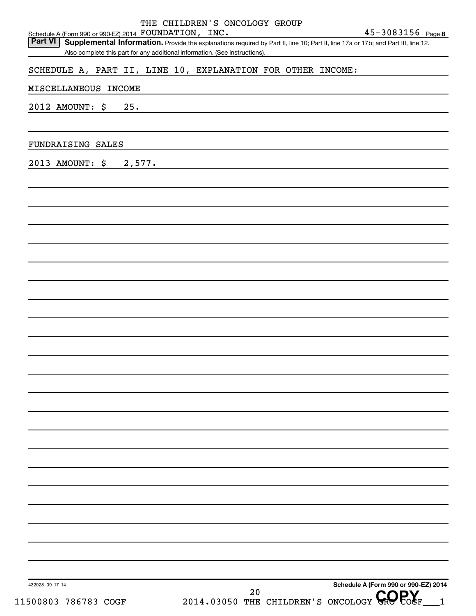|                      | Schedule A (Form 990 or 990 EZ) 2014 FOUNDATION, INC.                                                                                                                                                                                                         | THE CHILDREN'S ONCOLOGY GROUP |      | $45 - 3083156$ Page 8                      |
|----------------------|---------------------------------------------------------------------------------------------------------------------------------------------------------------------------------------------------------------------------------------------------------------|-------------------------------|------|--------------------------------------------|
| <b>Part VI</b>       | Form 990 or 990-EZ) 2014 FUUNDATIUN, INC.<br>Supplemental Information. Provide the explanations required by Part II, line 10; Part II, line 17a or 17b; and Part III, line 12.<br>Also complete this part for any additional information. (See instructions). |                               |      |                                            |
|                      |                                                                                                                                                                                                                                                               |                               |      |                                            |
|                      | SCHEDULE A, PART II, LINE 10, EXPLANATION FOR OTHER INCOME:                                                                                                                                                                                                   |                               |      |                                            |
| MISCELLANEOUS INCOME |                                                                                                                                                                                                                                                               |                               |      |                                            |
| 2012 AMOUNT: \$      | 25.                                                                                                                                                                                                                                                           |                               |      |                                            |
|                      |                                                                                                                                                                                                                                                               |                               |      |                                            |
|                      |                                                                                                                                                                                                                                                               |                               |      |                                            |
| FUNDRAISING SALES    |                                                                                                                                                                                                                                                               |                               |      |                                            |
| 2013 AMOUNT: \$      | 2,577.                                                                                                                                                                                                                                                        |                               |      |                                            |
|                      |                                                                                                                                                                                                                                                               |                               |      |                                            |
|                      |                                                                                                                                                                                                                                                               |                               |      |                                            |
|                      |                                                                                                                                                                                                                                                               |                               |      |                                            |
|                      |                                                                                                                                                                                                                                                               |                               |      |                                            |
|                      |                                                                                                                                                                                                                                                               |                               |      |                                            |
|                      |                                                                                                                                                                                                                                                               |                               |      |                                            |
|                      |                                                                                                                                                                                                                                                               |                               |      |                                            |
|                      |                                                                                                                                                                                                                                                               |                               |      |                                            |
|                      |                                                                                                                                                                                                                                                               |                               |      |                                            |
|                      |                                                                                                                                                                                                                                                               |                               |      |                                            |
|                      |                                                                                                                                                                                                                                                               |                               |      |                                            |
|                      |                                                                                                                                                                                                                                                               |                               |      |                                            |
|                      |                                                                                                                                                                                                                                                               |                               |      |                                            |
|                      |                                                                                                                                                                                                                                                               |                               |      |                                            |
|                      |                                                                                                                                                                                                                                                               |                               |      |                                            |
|                      |                                                                                                                                                                                                                                                               |                               |      |                                            |
|                      |                                                                                                                                                                                                                                                               |                               |      |                                            |
|                      |                                                                                                                                                                                                                                                               |                               |      |                                            |
|                      |                                                                                                                                                                                                                                                               |                               |      |                                            |
|                      |                                                                                                                                                                                                                                                               |                               |      |                                            |
|                      |                                                                                                                                                                                                                                                               |                               |      |                                            |
|                      |                                                                                                                                                                                                                                                               |                               |      |                                            |
|                      |                                                                                                                                                                                                                                                               |                               |      |                                            |
|                      |                                                                                                                                                                                                                                                               |                               |      |                                            |
|                      |                                                                                                                                                                                                                                                               |                               |      |                                            |
|                      |                                                                                                                                                                                                                                                               |                               |      |                                            |
|                      |                                                                                                                                                                                                                                                               |                               |      |                                            |
|                      |                                                                                                                                                                                                                                                               |                               |      |                                            |
| 432028 09-17-14      |                                                                                                                                                                                                                                                               |                               |      | Schedule A (Form 990 or 990-EZ) 2014       |
| 11500803 786783 COGF |                                                                                                                                                                                                                                                               |                               | $20$ | 2014.03050 THE CHILDREN'S ONCOLOGY GROPOGF |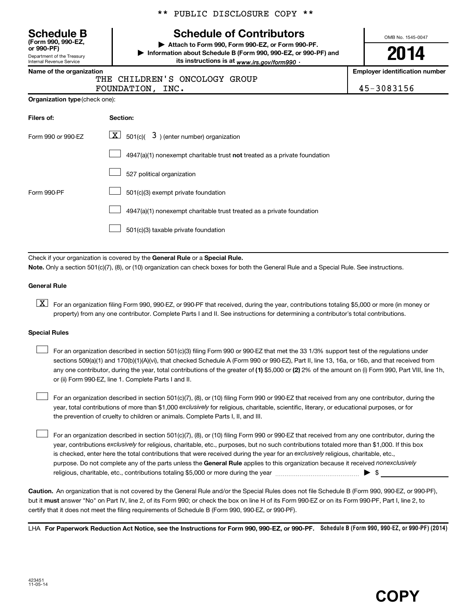| <b>Schedule B</b><br>(Form 990, 990-EZ,<br>or 990-PF) |
|-------------------------------------------------------|
| Department of the Treasury                            |
| Internal Revenue Service                              |

\*\* PUBLIC DISCLOSURE COPY \*\*

# **Schedule of Contributors**

**or 990-PF) | Attach to Form 990, Form 990-EZ, or Form 990-PF. | Information about Schedule B (Form 990, 990-EZ, or 990-PF) and** its instructions is at <sub>www.irs.gov/form990  $\cdot$ </sub>

OMB No. 1545-0047

# **2014**

**Name of the organization Employer identification number**

| THE CHILDREN'S ONCOLOGY GROUP |  |
|-------------------------------|--|
|                               |  |

FOUNDATION, INC. 45-3083156

| Organization type (check one): |
|--------------------------------|
|                                |

| Filers of:         | Section:                                                                           |
|--------------------|------------------------------------------------------------------------------------|
| Form 990 or 990-EZ | $\underline{\mathbf{X}}$ 501(c)( 3) (enter number) organization                    |
|                    | $4947(a)(1)$ nonexempt charitable trust <b>not</b> treated as a private foundation |
|                    | 527 political organization                                                         |
| Form 990-PF        | 501(c)(3) exempt private foundation                                                |
|                    | 4947(a)(1) nonexempt charitable trust treated as a private foundation              |
|                    | 501(c)(3) taxable private foundation                                               |

Check if your organization is covered by the General Rule or a Special Rule. **Note.**  Only a section 501(c)(7), (8), or (10) organization can check boxes for both the General Rule and a Special Rule. See instructions.

#### **General Rule**

**K** For an organization filing Form 990, 990-EZ, or 990-PF that received, during the year, contributions totaling \$5,000 or more (in money or property) from any one contributor. Complete Parts I and II. See instructions for determining a contributor's total contributions.

#### **Special Rules**

 $\Box$ 

any one contributor, during the year, total contributions of the greater of **(1)** \$5,000 or **(2)** 2% of the amount on (i) Form 990, Part VIII, line 1h, For an organization described in section 501(c)(3) filing Form 990 or 990-EZ that met the 33 1/3% support test of the regulations under sections 509(a)(1) and 170(b)(1)(A)(vi), that checked Schedule A (Form 990 or 990-EZ), Part II, line 13, 16a, or 16b, and that received from or (ii) Form 990-EZ, line 1. Complete Parts I and II.  $\Box$ 

year, total contributions of more than \$1,000 *exclusively* for religious, charitable, scientific, literary, or educational purposes, or for For an organization described in section 501(c)(7), (8), or (10) filing Form 990 or 990-EZ that received from any one contributor, during the the prevention of cruelty to children or animals. Complete Parts I, II, and III.  $\Box$ 

purpose. Do not complete any of the parts unless the General Rule applies to this organization because it received nonexclusively year, contributions exclusively for religious, charitable, etc., purposes, but no such contributions totaled more than \$1,000. If this box is checked, enter here the total contributions that were received during the year for an exclusively religious, charitable, etc., For an organization described in section 501(c)(7), (8), or (10) filing Form 990 or 990-EZ that received from any one contributor, during the religious, charitable, etc., contributions totaling \$5,000 or more during the year ~~~~~~~~~~~~~~~ | \$

**Caution.** An organization that is not covered by the General Rule and/or the Special Rules does not file Schedule B (Form 990, 990-EZ, or 990-PF),  **must** but it answer "No" on Part IV, line 2, of its Form 990; or check the box on line H of its Form 990-EZ or on its Form 990-PF, Part I, line 2, to certify that it does not meet the filing requirements of Schedule B (Form 990, 990-EZ, or 990-PF).

LHA For Paperwork Reduction Act Notice, see the Instructions for Form 990, 990-EZ, or 990-PF. Schedule B (Form 990, 990-EZ, or 990-PF) (2014)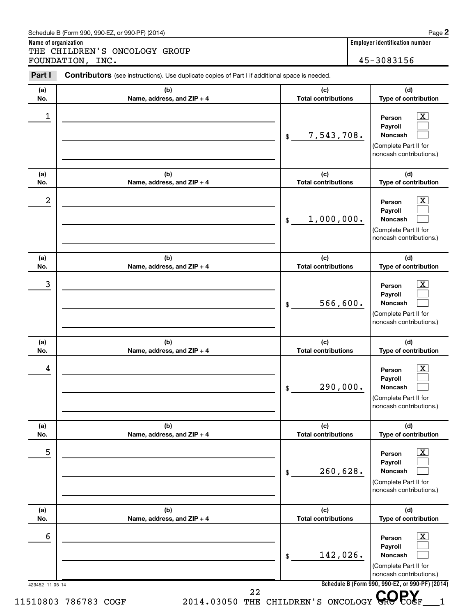| Schedule B (Form 990, 990-EZ, or 990-PF) (2014) | Page |
|-------------------------------------------------|------|
|                                                 |      |

**Name of organization Employer identification number** THE CHILDREN'S ONCOLOGY GROUP FOUNDATION, INC. 45-3083156

| (a)<br>No. | (b)<br>Name, address, and ZIP + 4 | (c)<br><b>Total contributions</b> | (d)<br>Type of contribution                                                                               |
|------------|-----------------------------------|-----------------------------------|-----------------------------------------------------------------------------------------------------------|
| 1          |                                   | 7,543,708.<br>\$                  | $\overline{\mathbf{X}}$<br>Person<br>Payroll<br>Noncash<br>(Complete Part II for                          |
| (a)<br>No. | (b)<br>Name, address, and ZIP + 4 | (c)<br><b>Total contributions</b> | noncash contributions.)<br>(d)<br>Type of contribution                                                    |
| 2          |                                   | 1,000,000.<br>\$                  | $\overline{\text{X}}$<br>Person<br>Payroll<br>Noncash<br>(Complete Part II for<br>noncash contributions.) |
| (a)<br>No. | (b)<br>Name, address, and ZIP + 4 | (c)<br><b>Total contributions</b> | (d)<br>Type of contribution                                                                               |
| 3          |                                   | 566,600.<br>\$                    | $\overline{\text{X}}$<br>Person<br>Payroll<br>Noncash<br>(Complete Part II for<br>noncash contributions.) |
| (a)<br>No. | (b)<br>Name, address, and ZIP + 4 | (c)<br><b>Total contributions</b> | (d)<br>Type of contribution                                                                               |
| 4          |                                   | 290,000.<br>\$                    | X.<br>Person<br>Payroll<br>Noncash<br>(Complete Part II for<br>noncash contributions.)                    |
| (a)<br>No. | (b)<br>Name, address, and ZIP + 4 | (c)<br><b>Total contributions</b> | (d)<br>Type of contribution                                                                               |
| 5          |                                   | 260,628.<br>\$                    | $\overline{\text{X}}$<br>Person<br>Payroll<br>Noncash<br>(Complete Part II for<br>noncash contributions.) |
| (a)<br>No. | (b)<br>Name, address, and ZIP + 4 | (c)<br><b>Total contributions</b> | (d)<br>Type of contribution                                                                               |
| 6          |                                   | 142,026.<br>\$                    | x<br>Person<br>Payroll<br>Noncash<br>(Complete Part II for<br>noncash contributions.)                     |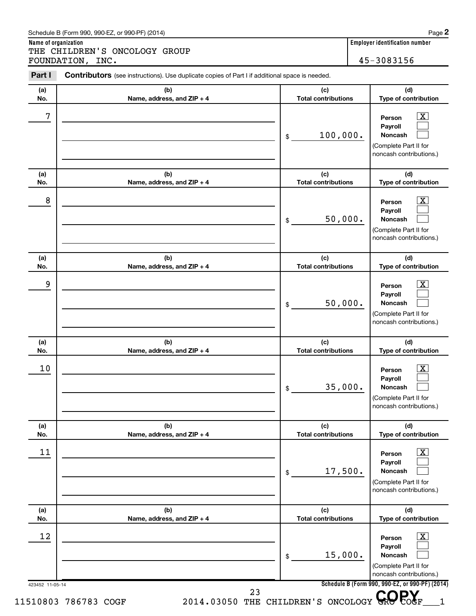| Schedule B (Form 990, 990-EZ, or 990-PF) (2014) | Page |
|-------------------------------------------------|------|
|-------------------------------------------------|------|

**Name of organization Employer identification number** THE CHILDREN'S ONCOLOGY GROUP FOUNDATION, INC. 45-3083156

423452 11-05-14 **Schedule B (Form 990, 990-EZ, or 990-PF) (2014) (a) No. (b) Name, address, and ZIP + 4 (c) Total contributions (d) Type of contribution Person Payroll Noncash (a) No. (b) Name, address, and ZIP + 4 (c) Total contributions (d) Type of contribution Person Payroll Noncash (a) No. (b) Name, address, and ZIP + 4 (c) Total contributions (d) Type of contribution Person Payroll Noncash (a) No. (b) Name, address, and ZIP + 4 (c) Total contributions (d) Type of contribution Person Payroll Noncash (a) No. (b) Name, address, and ZIP + 4 (c) Total contributions (d) Type of contribution Person Payroll Noncash (a) No. (b) Name, address, and ZIP + 4 (c) Total contributions (d) Type of contribution Person Payroll Noncash** Part I Contributors (see instructions). Use duplicate copies of Part I if additional space is needed. \$ (Complete Part II for noncash contributions.) \$ (Complete Part II for noncash contributions.) \$ (Complete Part II for noncash contributions.) \$ (Complete Part II for noncash contributions.) \$ (Complete Part II for noncash contributions.) \$ (Complete Part II for noncash contributions.)  $\lfloor x \rfloor$  $\mathcal{L}^{\text{eff}}$  $\mathcal{L}^{\text{eff}}$  $\overline{\mathbf{X}}$  $\mathcal{L}^{\text{eff}}$  $\mathcal{L}^{\text{eff}}$  $\boxed{\textbf{X}}$  $\mathcal{L}^{\text{eff}}$  $\mathcal{L}^{\text{eff}}$  $\boxed{\text{X}}$  $\mathcal{L}^{\text{eff}}$  $\mathcal{L}^{\text{eff}}$  $\boxed{\text{X}}$  $\mathcal{L}^{\text{eff}}$  $\mathcal{L}^{\text{eff}}$  $\boxed{\textbf{X}}$  $\mathcal{L}^{\text{eff}}$  $\mathcal{L}^{\text{eff}}$  $7$   $|$  Person  $\overline{\text{X}}$ 100,000.  $8$  Person  $\overline{\text{X}}$ 50,000. 9 X 50,000.  $10$  Person  $\overline{\text{X}}$ 35,000.  $\begin{array}{|c|c|c|c|c|}\hline \text{11} & \text{Person} & \text{X} \\\hline \end{array}$ 17,500.  $\begin{array}{|c|c|c|c|c|}\hline \text{12} & \text{Person} & \text{X} \\\hline \end{array}$ 15,000. <sup>23</sup><br>11510803 786783 COGF 2014.03050 THE CHILDREN'S ONCOLOGY CROPOGF 1 23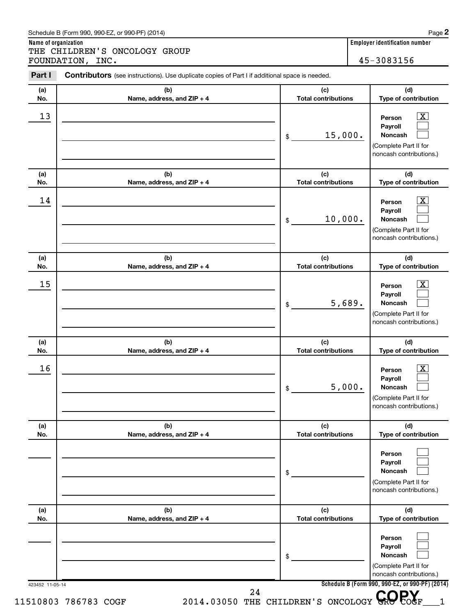### Schedule B (Form 990, 990-EZ, or 990-PF) (2014)

**Name of organization Employer identification number** THE CHILDREN'S ONCOLOGY GROUP FOUNDATION, INC. 45-3083156

|                                   | 15,000.<br>\$                     | $\overline{\text{X}}$<br>Person<br>Payroll<br>Noncash<br>(Complete Part II for<br>noncash contributions.) |
|-----------------------------------|-----------------------------------|-----------------------------------------------------------------------------------------------------------|
| (b)<br>Name, address, and ZIP + 4 | (c)<br><b>Total contributions</b> | (d)<br>Type of contribution                                                                               |
|                                   | 10,000.<br>\$                     | $\overline{\text{X}}$<br>Person<br>Payroll<br>Noncash<br>(Complete Part II for<br>noncash contributions.) |
| (b)<br>Name, address, and ZIP + 4 | (c)<br><b>Total contributions</b> | (d)<br>Type of contribution                                                                               |
|                                   | 5,689.<br>\$                      | $\overline{\text{X}}$<br>Person<br>Payroll<br>Noncash<br>(Complete Part II for<br>noncash contributions.) |
| (b)<br>Name, address, and ZIP + 4 | (c)<br><b>Total contributions</b> | (d)<br>Type of contribution                                                                               |
|                                   | 5,000.<br>\$                      | $\mathbf{X}$<br>Person<br>Payroll<br><b>Noncash</b><br>(Complete Part II for<br>noncash contributions.)   |
| (b)<br>Name, address, and ZIP + 4 | (c)<br><b>Total contributions</b> | (d)<br>Type of contribution                                                                               |
|                                   | \$                                | Person<br>Payroll<br><b>Noncash</b><br>(Complete Part II for<br>noncash contributions.)                   |
| (b)<br>Name, address, and ZIP + 4 | (c)<br><b>Total contributions</b> | (d)<br>Type of contribution                                                                               |
|                                   | \$                                | Person<br>Payroll<br>Noncash<br>(Complete Part II for<br>noncash contributions.)                          |
|                                   | 423452 11-05-14                   | Schedule B (Form 990, 990-EZ, or 990-PF) (2014)                                                           |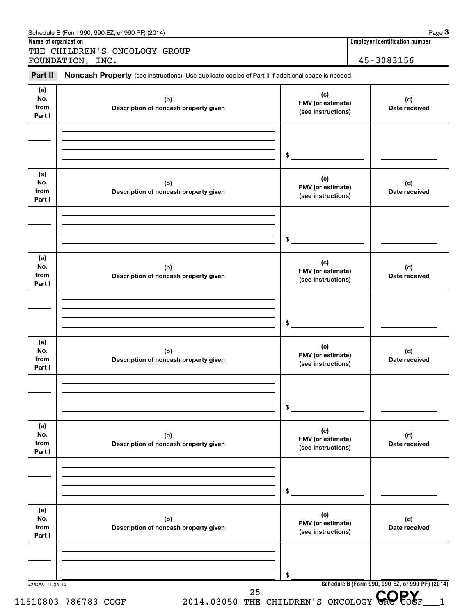| Part II                      | Noncash Property (see instructions). Use duplicate copies of Part II if additional space is needed. |                                                |                      |
|------------------------------|-----------------------------------------------------------------------------------------------------|------------------------------------------------|----------------------|
| (a)<br>No.<br>from<br>Part I | (b)<br>Description of noncash property given                                                        | (c)<br>FMV (or estimate)<br>(see instructions) | (d)<br>Date received |
|                              |                                                                                                     | \$                                             |                      |
| (a)<br>No.<br>from<br>Part I | (b)<br>Description of noncash property given                                                        | (c)<br>FMV (or estimate)<br>(see instructions) | (d)<br>Date received |
|                              |                                                                                                     | \$                                             |                      |
| (a)<br>No.<br>from<br>Part I | (b)<br>Description of noncash property given                                                        | (c)<br>FMV (or estimate)<br>(see instructions) | (d)<br>Date received |
|                              |                                                                                                     | \$                                             |                      |
| (a)<br>No.<br>from<br>Part I | (b)<br>Description of noncash property given                                                        | (c)<br>FMV (or estimate)<br>(see instructions) | (d)<br>Date received |
|                              |                                                                                                     | \$                                             |                      |
| (a)<br>No.<br>from<br>Part I | (b)<br>Description of noncash property given                                                        | (c)<br>FMV (or estimate)<br>(see instructions) | (d)<br>Date received |
|                              |                                                                                                     | \$                                             |                      |
| (a)<br>No.<br>from<br>Part I | (b)<br>Description of noncash property given                                                        | (c)<br>FMV (or estimate)<br>(see instructions) | (d)<br>Date received |
|                              |                                                                                                     | \$                                             |                      |

#### Schedule B (Form 990, 990-EZ, or 990-PF) (2014) Schedule B (Form 1990, 990-PF) (2014) **3**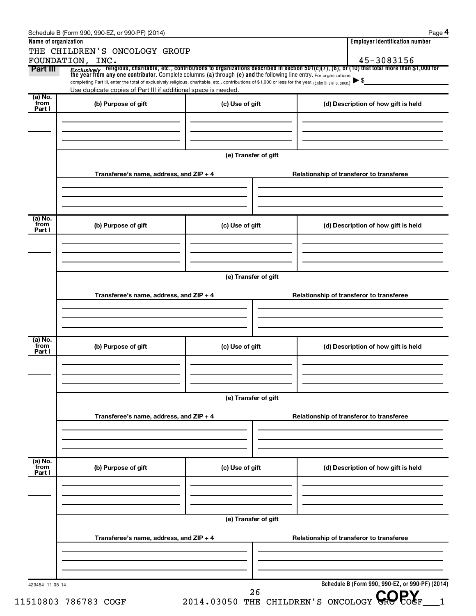| Part III                  | THE CHILDREN'S ONCOLOGY GROUP<br>FOUNDATION, INC.<br>Exclusively religious, charitable, etc., contributions to organizations described in section 501(c)(7), (8), or (10) that total more than \$1,000 for                                                                      |                      |  | 45-3083156                                      |  |
|---------------------------|---------------------------------------------------------------------------------------------------------------------------------------------------------------------------------------------------------------------------------------------------------------------------------|----------------------|--|-------------------------------------------------|--|
|                           | the year from any one contributor. Complete columns (a) through (e) and the following line entry. For organizations<br>completing Part III, enter the total of exclusively religious, charitable, etc., contributions of \$1,000 or less for the year. (Enter this info. once.) |                      |  | $\blacktriangleright$ \$                        |  |
|                           | Use duplicate copies of Part III if additional space is needed.                                                                                                                                                                                                                 |                      |  |                                                 |  |
| (a) No.<br>from<br>Part I | (b) Purpose of gift                                                                                                                                                                                                                                                             | (c) Use of gift      |  | (d) Description of how gift is held             |  |
|                           |                                                                                                                                                                                                                                                                                 | (e) Transfer of gift |  |                                                 |  |
|                           | Transferee's name, address, and ZIP + 4                                                                                                                                                                                                                                         |                      |  | Relationship of transferor to transferee        |  |
| (a) No.<br>from<br>Part I | (b) Purpose of gift                                                                                                                                                                                                                                                             | (c) Use of gift      |  | (d) Description of how gift is held             |  |
|                           |                                                                                                                                                                                                                                                                                 | (e) Transfer of gift |  |                                                 |  |
|                           | Transferee's name, address, and ZIP + 4                                                                                                                                                                                                                                         |                      |  | Relationship of transferor to transferee        |  |
| (a) No.<br>from<br>Part I | (b) Purpose of gift                                                                                                                                                                                                                                                             | (c) Use of gift      |  | (d) Description of how gift is held             |  |
|                           | (e) Transfer of gift                                                                                                                                                                                                                                                            |                      |  |                                                 |  |
|                           | Transferee's name, address, and $ZIP + 4$                                                                                                                                                                                                                                       |                      |  | Relationship of transferor to transferee        |  |
| (a) No.<br>from<br>Part I | (b) Purpose of gift                                                                                                                                                                                                                                                             | (c) Use of gift      |  | (d) Description of how gift is held             |  |
|                           |                                                                                                                                                                                                                                                                                 |                      |  |                                                 |  |
|                           | (e) Transfer of gift<br>Transferee's name, address, and $ZIP + 4$                                                                                                                                                                                                               |                      |  | Relationship of transferor to transferee        |  |
|                           |                                                                                                                                                                                                                                                                                 |                      |  |                                                 |  |
| 423454 11-05-14           |                                                                                                                                                                                                                                                                                 |                      |  | Schedule B (Form 990, 990-EZ, or 990-PF) (2014) |  |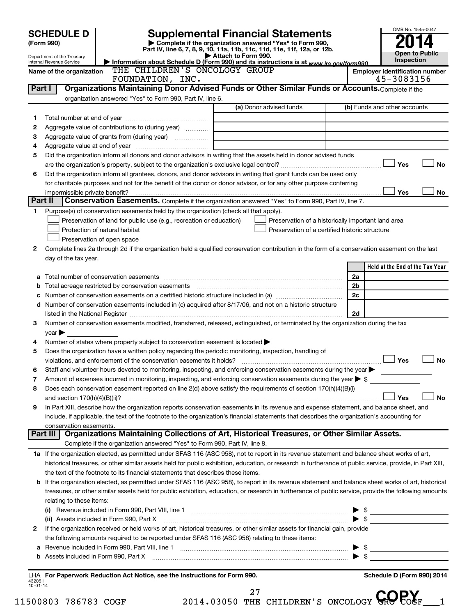| 45-3083156<br>FOUNDATION, INC.<br>Organizations Maintaining Donor Advised Funds or Other Similar Funds or Accounts. Complete if the<br>Part I<br>organization answered "Yes" to Form 990, Part IV, line 6.<br>(a) Donor advised funds<br>(b) Funds and other accounts<br>1<br>Aggregate value of contributions to (during year)<br>2<br>з<br>4<br>Did the organization inform all donors and donor advisors in writing that the assets held in donor advised funds<br>5<br>Yes<br><b>No</b><br>Did the organization inform all grantees, donors, and donor advisors in writing that grant funds can be used only<br>6<br>for charitable purposes and not for the benefit of the donor or donor advisor, or for any other purpose conferring<br>Yes<br>No<br>impermissible private benefit?<br>Conservation Easements. Complete if the organization answered "Yes" to Form 990, Part IV, line 7.<br>Part II<br>Purpose(s) of conservation easements held by the organization (check all that apply).<br>1<br>Preservation of land for public use (e.g., recreation or education)<br>Preservation of a historically important land area<br>Protection of natural habitat<br>Preservation of a certified historic structure<br>Preservation of open space<br>Complete lines 2a through 2d if the organization held a qualified conservation contribution in the form of a conservation easement on the last<br>2<br>day of the tax year.<br>Held at the End of the Tax Year<br>2a<br>2b<br>b<br>2c<br>d Number of conservation easements included in (c) acquired after 8/17/06, and not on a historic structure<br>2d<br>Number of conservation easements modified, transferred, released, extinguished, or terminated by the organization during the tax<br>З<br>$year \blacktriangleright$<br>Number of states where property subject to conservation easement is located $\blacktriangleright$<br>4<br>Does the organization have a written policy regarding the periodic monitoring, inspection, handling of<br>5<br>Yes<br><b>No</b><br>Staff and volunteer hours devoted to monitoring, inspecting, and enforcing conservation easements during the year<br>Amount of expenses incurred in monitoring, inspecting, and enforcing conservation easements during the year $\triangleright$ \$<br>7<br>Does each conservation easement reported on line 2(d) above satisfy the requirements of section 170(h)(4)(B)(i)<br>8<br>Yes<br><b>No</b><br>In Part XIII, describe how the organization reports conservation easements in its revenue and expense statement, and balance sheet, and<br>9<br>include, if applicable, the text of the footnote to the organization's financial statements that describes the organization's accounting for<br>conservation easements.<br>Organizations Maintaining Collections of Art, Historical Treasures, or Other Similar Assets.<br>Part III<br>Complete if the organization answered "Yes" to Form 990, Part IV, line 8.<br>1a If the organization elected, as permitted under SFAS 116 (ASC 958), not to report in its revenue statement and balance sheet works of art,<br>historical treasures, or other similar assets held for public exhibition, education, or research in furtherance of public service, provide, in Part XIII,<br>the text of the footnote to its financial statements that describes these items.<br><b>b</b> If the organization elected, as permitted under SFAS 116 (ASC 958), to report in its revenue statement and balance sheet works of art, historical<br>treasures, or other similar assets held for public exhibition, education, or research in furtherance of public service, provide the following amounts<br>relating to these items:<br>$\triangleright$ \$<br>$\blacktriangleright$ \$<br>(ii) Assets included in Form 990, Part X<br>If the organization received or held works of art, historical treasures, or other similar assets for financial gain, provide<br>2<br>the following amounts required to be reported under SFAS 116 (ASC 958) relating to these items:<br>$\triangleright$ \$<br>а<br>$\blacktriangleright$ \$<br>LHA For Paperwork Reduction Act Notice, see the Instructions for Form 990.<br>Schedule D (Form 990) 2014<br>432051<br>10-01-14<br>27<br>2014.03050 THE CHILDREN'S ONCOLOGY GROPOGF<br>500803 786783 COGF | (Form 990)<br>Internal Revenue Service | <b>SCHEDULE D</b><br>Department of the Treasury<br>Name of the organization | Information about Schedule D (Form 990) and its instructions is at www.irs.gov/form990.<br>THE CHILDREN'S ONCOLOGY GROUP | Attach to Form 990. | <b>Supplemental Financial Statements</b><br>Complete if the organization answered "Yes" to Form 990,<br>Part IV, line 6, 7, 8, 9, 10, 11a, 11b, 11c, 11d, 11e, 11f, 12a, or 12b. |  | <b>Employer identification number</b> | OMB No. 1545-0047<br><b>Open to Public</b><br>Inspection |
|--------------------------------------------------------------------------------------------------------------------------------------------------------------------------------------------------------------------------------------------------------------------------------------------------------------------------------------------------------------------------------------------------------------------------------------------------------------------------------------------------------------------------------------------------------------------------------------------------------------------------------------------------------------------------------------------------------------------------------------------------------------------------------------------------------------------------------------------------------------------------------------------------------------------------------------------------------------------------------------------------------------------------------------------------------------------------------------------------------------------------------------------------------------------------------------------------------------------------------------------------------------------------------------------------------------------------------------------------------------------------------------------------------------------------------------------------------------------------------------------------------------------------------------------------------------------------------------------------------------------------------------------------------------------------------------------------------------------------------------------------------------------------------------------------------------------------------------------------------------------------------------------------------------------------------------------------------------------------------------------------------------------------------------------------------------------------------------------------------------------------------------------------------------------------------------------------------------------------------------------------------------------------------------------------------------------------------------------------------------------------------------------------------------------------------------------------------------------------------------------------------------------------------------------------------------------------------------------------------------------------------------------------------------------------------------------------------------------------------------------------------------------------------------------------------------------------------------------------------------------------------------------------------------------------------------------------------------------------------------------------------------------------------------------------------------------------------------------------------------------------------------------------------------------------------------------------------------------------------------------------------------------------------------------------------------------------------------------------------------------------------------------------------------------------------------------------------------------------------------------------------------------------------------------------------------------------------------------------------------------------------------------------------------------------------------------------------------------------------------------------------------------------------------------------------------------------------------------------------------------------------------------------------------------------------------------------------------------------------------------------------------------------------------------------------------------------------------------------------------------------------------------------------------------------------------------------------------------------------------------------------------------------------------------------------------------------------------|----------------------------------------|-----------------------------------------------------------------------------|--------------------------------------------------------------------------------------------------------------------------|---------------------|----------------------------------------------------------------------------------------------------------------------------------------------------------------------------------|--|---------------------------------------|----------------------------------------------------------|
|                                                                                                                                                                                                                                                                                                                                                                                                                                                                                                                                                                                                                                                                                                                                                                                                                                                                                                                                                                                                                                                                                                                                                                                                                                                                                                                                                                                                                                                                                                                                                                                                                                                                                                                                                                                                                                                                                                                                                                                                                                                                                                                                                                                                                                                                                                                                                                                                                                                                                                                                                                                                                                                                                                                                                                                                                                                                                                                                                                                                                                                                                                                                                                                                                                                                                                                                                                                                                                                                                                                                                                                                                                                                                                                                                                                                                                                                                                                                                                                                                                                                                                                                                                                                                                                                                                                                      |                                        |                                                                             |                                                                                                                          |                     |                                                                                                                                                                                  |  |                                       |                                                          |
|                                                                                                                                                                                                                                                                                                                                                                                                                                                                                                                                                                                                                                                                                                                                                                                                                                                                                                                                                                                                                                                                                                                                                                                                                                                                                                                                                                                                                                                                                                                                                                                                                                                                                                                                                                                                                                                                                                                                                                                                                                                                                                                                                                                                                                                                                                                                                                                                                                                                                                                                                                                                                                                                                                                                                                                                                                                                                                                                                                                                                                                                                                                                                                                                                                                                                                                                                                                                                                                                                                                                                                                                                                                                                                                                                                                                                                                                                                                                                                                                                                                                                                                                                                                                                                                                                                                                      |                                        |                                                                             |                                                                                                                          |                     |                                                                                                                                                                                  |  |                                       |                                                          |
|                                                                                                                                                                                                                                                                                                                                                                                                                                                                                                                                                                                                                                                                                                                                                                                                                                                                                                                                                                                                                                                                                                                                                                                                                                                                                                                                                                                                                                                                                                                                                                                                                                                                                                                                                                                                                                                                                                                                                                                                                                                                                                                                                                                                                                                                                                                                                                                                                                                                                                                                                                                                                                                                                                                                                                                                                                                                                                                                                                                                                                                                                                                                                                                                                                                                                                                                                                                                                                                                                                                                                                                                                                                                                                                                                                                                                                                                                                                                                                                                                                                                                                                                                                                                                                                                                                                                      |                                        |                                                                             |                                                                                                                          |                     |                                                                                                                                                                                  |  |                                       |                                                          |
|                                                                                                                                                                                                                                                                                                                                                                                                                                                                                                                                                                                                                                                                                                                                                                                                                                                                                                                                                                                                                                                                                                                                                                                                                                                                                                                                                                                                                                                                                                                                                                                                                                                                                                                                                                                                                                                                                                                                                                                                                                                                                                                                                                                                                                                                                                                                                                                                                                                                                                                                                                                                                                                                                                                                                                                                                                                                                                                                                                                                                                                                                                                                                                                                                                                                                                                                                                                                                                                                                                                                                                                                                                                                                                                                                                                                                                                                                                                                                                                                                                                                                                                                                                                                                                                                                                                                      |                                        |                                                                             |                                                                                                                          |                     |                                                                                                                                                                                  |  |                                       |                                                          |
|                                                                                                                                                                                                                                                                                                                                                                                                                                                                                                                                                                                                                                                                                                                                                                                                                                                                                                                                                                                                                                                                                                                                                                                                                                                                                                                                                                                                                                                                                                                                                                                                                                                                                                                                                                                                                                                                                                                                                                                                                                                                                                                                                                                                                                                                                                                                                                                                                                                                                                                                                                                                                                                                                                                                                                                                                                                                                                                                                                                                                                                                                                                                                                                                                                                                                                                                                                                                                                                                                                                                                                                                                                                                                                                                                                                                                                                                                                                                                                                                                                                                                                                                                                                                                                                                                                                                      |                                        |                                                                             |                                                                                                                          |                     |                                                                                                                                                                                  |  |                                       |                                                          |
|                                                                                                                                                                                                                                                                                                                                                                                                                                                                                                                                                                                                                                                                                                                                                                                                                                                                                                                                                                                                                                                                                                                                                                                                                                                                                                                                                                                                                                                                                                                                                                                                                                                                                                                                                                                                                                                                                                                                                                                                                                                                                                                                                                                                                                                                                                                                                                                                                                                                                                                                                                                                                                                                                                                                                                                                                                                                                                                                                                                                                                                                                                                                                                                                                                                                                                                                                                                                                                                                                                                                                                                                                                                                                                                                                                                                                                                                                                                                                                                                                                                                                                                                                                                                                                                                                                                                      |                                        |                                                                             |                                                                                                                          |                     |                                                                                                                                                                                  |  |                                       |                                                          |
|                                                                                                                                                                                                                                                                                                                                                                                                                                                                                                                                                                                                                                                                                                                                                                                                                                                                                                                                                                                                                                                                                                                                                                                                                                                                                                                                                                                                                                                                                                                                                                                                                                                                                                                                                                                                                                                                                                                                                                                                                                                                                                                                                                                                                                                                                                                                                                                                                                                                                                                                                                                                                                                                                                                                                                                                                                                                                                                                                                                                                                                                                                                                                                                                                                                                                                                                                                                                                                                                                                                                                                                                                                                                                                                                                                                                                                                                                                                                                                                                                                                                                                                                                                                                                                                                                                                                      |                                        |                                                                             |                                                                                                                          |                     |                                                                                                                                                                                  |  |                                       |                                                          |
|                                                                                                                                                                                                                                                                                                                                                                                                                                                                                                                                                                                                                                                                                                                                                                                                                                                                                                                                                                                                                                                                                                                                                                                                                                                                                                                                                                                                                                                                                                                                                                                                                                                                                                                                                                                                                                                                                                                                                                                                                                                                                                                                                                                                                                                                                                                                                                                                                                                                                                                                                                                                                                                                                                                                                                                                                                                                                                                                                                                                                                                                                                                                                                                                                                                                                                                                                                                                                                                                                                                                                                                                                                                                                                                                                                                                                                                                                                                                                                                                                                                                                                                                                                                                                                                                                                                                      |                                        |                                                                             |                                                                                                                          |                     |                                                                                                                                                                                  |  |                                       |                                                          |
|                                                                                                                                                                                                                                                                                                                                                                                                                                                                                                                                                                                                                                                                                                                                                                                                                                                                                                                                                                                                                                                                                                                                                                                                                                                                                                                                                                                                                                                                                                                                                                                                                                                                                                                                                                                                                                                                                                                                                                                                                                                                                                                                                                                                                                                                                                                                                                                                                                                                                                                                                                                                                                                                                                                                                                                                                                                                                                                                                                                                                                                                                                                                                                                                                                                                                                                                                                                                                                                                                                                                                                                                                                                                                                                                                                                                                                                                                                                                                                                                                                                                                                                                                                                                                                                                                                                                      |                                        |                                                                             |                                                                                                                          |                     |                                                                                                                                                                                  |  |                                       |                                                          |
|                                                                                                                                                                                                                                                                                                                                                                                                                                                                                                                                                                                                                                                                                                                                                                                                                                                                                                                                                                                                                                                                                                                                                                                                                                                                                                                                                                                                                                                                                                                                                                                                                                                                                                                                                                                                                                                                                                                                                                                                                                                                                                                                                                                                                                                                                                                                                                                                                                                                                                                                                                                                                                                                                                                                                                                                                                                                                                                                                                                                                                                                                                                                                                                                                                                                                                                                                                                                                                                                                                                                                                                                                                                                                                                                                                                                                                                                                                                                                                                                                                                                                                                                                                                                                                                                                                                                      |                                        |                                                                             |                                                                                                                          |                     |                                                                                                                                                                                  |  |                                       |                                                          |
|                                                                                                                                                                                                                                                                                                                                                                                                                                                                                                                                                                                                                                                                                                                                                                                                                                                                                                                                                                                                                                                                                                                                                                                                                                                                                                                                                                                                                                                                                                                                                                                                                                                                                                                                                                                                                                                                                                                                                                                                                                                                                                                                                                                                                                                                                                                                                                                                                                                                                                                                                                                                                                                                                                                                                                                                                                                                                                                                                                                                                                                                                                                                                                                                                                                                                                                                                                                                                                                                                                                                                                                                                                                                                                                                                                                                                                                                                                                                                                                                                                                                                                                                                                                                                                                                                                                                      |                                        |                                                                             |                                                                                                                          |                     |                                                                                                                                                                                  |  |                                       |                                                          |
|                                                                                                                                                                                                                                                                                                                                                                                                                                                                                                                                                                                                                                                                                                                                                                                                                                                                                                                                                                                                                                                                                                                                                                                                                                                                                                                                                                                                                                                                                                                                                                                                                                                                                                                                                                                                                                                                                                                                                                                                                                                                                                                                                                                                                                                                                                                                                                                                                                                                                                                                                                                                                                                                                                                                                                                                                                                                                                                                                                                                                                                                                                                                                                                                                                                                                                                                                                                                                                                                                                                                                                                                                                                                                                                                                                                                                                                                                                                                                                                                                                                                                                                                                                                                                                                                                                                                      |                                        |                                                                             |                                                                                                                          |                     |                                                                                                                                                                                  |  |                                       |                                                          |
|                                                                                                                                                                                                                                                                                                                                                                                                                                                                                                                                                                                                                                                                                                                                                                                                                                                                                                                                                                                                                                                                                                                                                                                                                                                                                                                                                                                                                                                                                                                                                                                                                                                                                                                                                                                                                                                                                                                                                                                                                                                                                                                                                                                                                                                                                                                                                                                                                                                                                                                                                                                                                                                                                                                                                                                                                                                                                                                                                                                                                                                                                                                                                                                                                                                                                                                                                                                                                                                                                                                                                                                                                                                                                                                                                                                                                                                                                                                                                                                                                                                                                                                                                                                                                                                                                                                                      |                                        |                                                                             |                                                                                                                          |                     |                                                                                                                                                                                  |  |                                       |                                                          |
|                                                                                                                                                                                                                                                                                                                                                                                                                                                                                                                                                                                                                                                                                                                                                                                                                                                                                                                                                                                                                                                                                                                                                                                                                                                                                                                                                                                                                                                                                                                                                                                                                                                                                                                                                                                                                                                                                                                                                                                                                                                                                                                                                                                                                                                                                                                                                                                                                                                                                                                                                                                                                                                                                                                                                                                                                                                                                                                                                                                                                                                                                                                                                                                                                                                                                                                                                                                                                                                                                                                                                                                                                                                                                                                                                                                                                                                                                                                                                                                                                                                                                                                                                                                                                                                                                                                                      |                                        |                                                                             |                                                                                                                          |                     |                                                                                                                                                                                  |  |                                       |                                                          |
|                                                                                                                                                                                                                                                                                                                                                                                                                                                                                                                                                                                                                                                                                                                                                                                                                                                                                                                                                                                                                                                                                                                                                                                                                                                                                                                                                                                                                                                                                                                                                                                                                                                                                                                                                                                                                                                                                                                                                                                                                                                                                                                                                                                                                                                                                                                                                                                                                                                                                                                                                                                                                                                                                                                                                                                                                                                                                                                                                                                                                                                                                                                                                                                                                                                                                                                                                                                                                                                                                                                                                                                                                                                                                                                                                                                                                                                                                                                                                                                                                                                                                                                                                                                                                                                                                                                                      |                                        |                                                                             |                                                                                                                          |                     |                                                                                                                                                                                  |  |                                       |                                                          |
|                                                                                                                                                                                                                                                                                                                                                                                                                                                                                                                                                                                                                                                                                                                                                                                                                                                                                                                                                                                                                                                                                                                                                                                                                                                                                                                                                                                                                                                                                                                                                                                                                                                                                                                                                                                                                                                                                                                                                                                                                                                                                                                                                                                                                                                                                                                                                                                                                                                                                                                                                                                                                                                                                                                                                                                                                                                                                                                                                                                                                                                                                                                                                                                                                                                                                                                                                                                                                                                                                                                                                                                                                                                                                                                                                                                                                                                                                                                                                                                                                                                                                                                                                                                                                                                                                                                                      |                                        |                                                                             |                                                                                                                          |                     |                                                                                                                                                                                  |  |                                       |                                                          |
|                                                                                                                                                                                                                                                                                                                                                                                                                                                                                                                                                                                                                                                                                                                                                                                                                                                                                                                                                                                                                                                                                                                                                                                                                                                                                                                                                                                                                                                                                                                                                                                                                                                                                                                                                                                                                                                                                                                                                                                                                                                                                                                                                                                                                                                                                                                                                                                                                                                                                                                                                                                                                                                                                                                                                                                                                                                                                                                                                                                                                                                                                                                                                                                                                                                                                                                                                                                                                                                                                                                                                                                                                                                                                                                                                                                                                                                                                                                                                                                                                                                                                                                                                                                                                                                                                                                                      |                                        |                                                                             |                                                                                                                          |                     |                                                                                                                                                                                  |  |                                       |                                                          |
|                                                                                                                                                                                                                                                                                                                                                                                                                                                                                                                                                                                                                                                                                                                                                                                                                                                                                                                                                                                                                                                                                                                                                                                                                                                                                                                                                                                                                                                                                                                                                                                                                                                                                                                                                                                                                                                                                                                                                                                                                                                                                                                                                                                                                                                                                                                                                                                                                                                                                                                                                                                                                                                                                                                                                                                                                                                                                                                                                                                                                                                                                                                                                                                                                                                                                                                                                                                                                                                                                                                                                                                                                                                                                                                                                                                                                                                                                                                                                                                                                                                                                                                                                                                                                                                                                                                                      |                                        |                                                                             |                                                                                                                          |                     |                                                                                                                                                                                  |  |                                       |                                                          |
|                                                                                                                                                                                                                                                                                                                                                                                                                                                                                                                                                                                                                                                                                                                                                                                                                                                                                                                                                                                                                                                                                                                                                                                                                                                                                                                                                                                                                                                                                                                                                                                                                                                                                                                                                                                                                                                                                                                                                                                                                                                                                                                                                                                                                                                                                                                                                                                                                                                                                                                                                                                                                                                                                                                                                                                                                                                                                                                                                                                                                                                                                                                                                                                                                                                                                                                                                                                                                                                                                                                                                                                                                                                                                                                                                                                                                                                                                                                                                                                                                                                                                                                                                                                                                                                                                                                                      |                                        |                                                                             |                                                                                                                          |                     |                                                                                                                                                                                  |  |                                       |                                                          |
|                                                                                                                                                                                                                                                                                                                                                                                                                                                                                                                                                                                                                                                                                                                                                                                                                                                                                                                                                                                                                                                                                                                                                                                                                                                                                                                                                                                                                                                                                                                                                                                                                                                                                                                                                                                                                                                                                                                                                                                                                                                                                                                                                                                                                                                                                                                                                                                                                                                                                                                                                                                                                                                                                                                                                                                                                                                                                                                                                                                                                                                                                                                                                                                                                                                                                                                                                                                                                                                                                                                                                                                                                                                                                                                                                                                                                                                                                                                                                                                                                                                                                                                                                                                                                                                                                                                                      |                                        |                                                                             |                                                                                                                          |                     |                                                                                                                                                                                  |  |                                       |                                                          |
|                                                                                                                                                                                                                                                                                                                                                                                                                                                                                                                                                                                                                                                                                                                                                                                                                                                                                                                                                                                                                                                                                                                                                                                                                                                                                                                                                                                                                                                                                                                                                                                                                                                                                                                                                                                                                                                                                                                                                                                                                                                                                                                                                                                                                                                                                                                                                                                                                                                                                                                                                                                                                                                                                                                                                                                                                                                                                                                                                                                                                                                                                                                                                                                                                                                                                                                                                                                                                                                                                                                                                                                                                                                                                                                                                                                                                                                                                                                                                                                                                                                                                                                                                                                                                                                                                                                                      |                                        |                                                                             |                                                                                                                          |                     |                                                                                                                                                                                  |  |                                       |                                                          |
|                                                                                                                                                                                                                                                                                                                                                                                                                                                                                                                                                                                                                                                                                                                                                                                                                                                                                                                                                                                                                                                                                                                                                                                                                                                                                                                                                                                                                                                                                                                                                                                                                                                                                                                                                                                                                                                                                                                                                                                                                                                                                                                                                                                                                                                                                                                                                                                                                                                                                                                                                                                                                                                                                                                                                                                                                                                                                                                                                                                                                                                                                                                                                                                                                                                                                                                                                                                                                                                                                                                                                                                                                                                                                                                                                                                                                                                                                                                                                                                                                                                                                                                                                                                                                                                                                                                                      |                                        |                                                                             |                                                                                                                          |                     |                                                                                                                                                                                  |  |                                       |                                                          |
|                                                                                                                                                                                                                                                                                                                                                                                                                                                                                                                                                                                                                                                                                                                                                                                                                                                                                                                                                                                                                                                                                                                                                                                                                                                                                                                                                                                                                                                                                                                                                                                                                                                                                                                                                                                                                                                                                                                                                                                                                                                                                                                                                                                                                                                                                                                                                                                                                                                                                                                                                                                                                                                                                                                                                                                                                                                                                                                                                                                                                                                                                                                                                                                                                                                                                                                                                                                                                                                                                                                                                                                                                                                                                                                                                                                                                                                                                                                                                                                                                                                                                                                                                                                                                                                                                                                                      |                                        |                                                                             |                                                                                                                          |                     |                                                                                                                                                                                  |  |                                       |                                                          |
|                                                                                                                                                                                                                                                                                                                                                                                                                                                                                                                                                                                                                                                                                                                                                                                                                                                                                                                                                                                                                                                                                                                                                                                                                                                                                                                                                                                                                                                                                                                                                                                                                                                                                                                                                                                                                                                                                                                                                                                                                                                                                                                                                                                                                                                                                                                                                                                                                                                                                                                                                                                                                                                                                                                                                                                                                                                                                                                                                                                                                                                                                                                                                                                                                                                                                                                                                                                                                                                                                                                                                                                                                                                                                                                                                                                                                                                                                                                                                                                                                                                                                                                                                                                                                                                                                                                                      |                                        |                                                                             |                                                                                                                          |                     |                                                                                                                                                                                  |  |                                       |                                                          |
|                                                                                                                                                                                                                                                                                                                                                                                                                                                                                                                                                                                                                                                                                                                                                                                                                                                                                                                                                                                                                                                                                                                                                                                                                                                                                                                                                                                                                                                                                                                                                                                                                                                                                                                                                                                                                                                                                                                                                                                                                                                                                                                                                                                                                                                                                                                                                                                                                                                                                                                                                                                                                                                                                                                                                                                                                                                                                                                                                                                                                                                                                                                                                                                                                                                                                                                                                                                                                                                                                                                                                                                                                                                                                                                                                                                                                                                                                                                                                                                                                                                                                                                                                                                                                                                                                                                                      |                                        |                                                                             |                                                                                                                          |                     |                                                                                                                                                                                  |  |                                       |                                                          |
|                                                                                                                                                                                                                                                                                                                                                                                                                                                                                                                                                                                                                                                                                                                                                                                                                                                                                                                                                                                                                                                                                                                                                                                                                                                                                                                                                                                                                                                                                                                                                                                                                                                                                                                                                                                                                                                                                                                                                                                                                                                                                                                                                                                                                                                                                                                                                                                                                                                                                                                                                                                                                                                                                                                                                                                                                                                                                                                                                                                                                                                                                                                                                                                                                                                                                                                                                                                                                                                                                                                                                                                                                                                                                                                                                                                                                                                                                                                                                                                                                                                                                                                                                                                                                                                                                                                                      |                                        |                                                                             |                                                                                                                          |                     |                                                                                                                                                                                  |  |                                       |                                                          |
|                                                                                                                                                                                                                                                                                                                                                                                                                                                                                                                                                                                                                                                                                                                                                                                                                                                                                                                                                                                                                                                                                                                                                                                                                                                                                                                                                                                                                                                                                                                                                                                                                                                                                                                                                                                                                                                                                                                                                                                                                                                                                                                                                                                                                                                                                                                                                                                                                                                                                                                                                                                                                                                                                                                                                                                                                                                                                                                                                                                                                                                                                                                                                                                                                                                                                                                                                                                                                                                                                                                                                                                                                                                                                                                                                                                                                                                                                                                                                                                                                                                                                                                                                                                                                                                                                                                                      |                                        |                                                                             |                                                                                                                          |                     |                                                                                                                                                                                  |  |                                       |                                                          |
|                                                                                                                                                                                                                                                                                                                                                                                                                                                                                                                                                                                                                                                                                                                                                                                                                                                                                                                                                                                                                                                                                                                                                                                                                                                                                                                                                                                                                                                                                                                                                                                                                                                                                                                                                                                                                                                                                                                                                                                                                                                                                                                                                                                                                                                                                                                                                                                                                                                                                                                                                                                                                                                                                                                                                                                                                                                                                                                                                                                                                                                                                                                                                                                                                                                                                                                                                                                                                                                                                                                                                                                                                                                                                                                                                                                                                                                                                                                                                                                                                                                                                                                                                                                                                                                                                                                                      |                                        |                                                                             |                                                                                                                          |                     |                                                                                                                                                                                  |  |                                       |                                                          |
|                                                                                                                                                                                                                                                                                                                                                                                                                                                                                                                                                                                                                                                                                                                                                                                                                                                                                                                                                                                                                                                                                                                                                                                                                                                                                                                                                                                                                                                                                                                                                                                                                                                                                                                                                                                                                                                                                                                                                                                                                                                                                                                                                                                                                                                                                                                                                                                                                                                                                                                                                                                                                                                                                                                                                                                                                                                                                                                                                                                                                                                                                                                                                                                                                                                                                                                                                                                                                                                                                                                                                                                                                                                                                                                                                                                                                                                                                                                                                                                                                                                                                                                                                                                                                                                                                                                                      |                                        |                                                                             |                                                                                                                          |                     |                                                                                                                                                                                  |  |                                       |                                                          |
|                                                                                                                                                                                                                                                                                                                                                                                                                                                                                                                                                                                                                                                                                                                                                                                                                                                                                                                                                                                                                                                                                                                                                                                                                                                                                                                                                                                                                                                                                                                                                                                                                                                                                                                                                                                                                                                                                                                                                                                                                                                                                                                                                                                                                                                                                                                                                                                                                                                                                                                                                                                                                                                                                                                                                                                                                                                                                                                                                                                                                                                                                                                                                                                                                                                                                                                                                                                                                                                                                                                                                                                                                                                                                                                                                                                                                                                                                                                                                                                                                                                                                                                                                                                                                                                                                                                                      |                                        |                                                                             |                                                                                                                          |                     |                                                                                                                                                                                  |  |                                       |                                                          |
|                                                                                                                                                                                                                                                                                                                                                                                                                                                                                                                                                                                                                                                                                                                                                                                                                                                                                                                                                                                                                                                                                                                                                                                                                                                                                                                                                                                                                                                                                                                                                                                                                                                                                                                                                                                                                                                                                                                                                                                                                                                                                                                                                                                                                                                                                                                                                                                                                                                                                                                                                                                                                                                                                                                                                                                                                                                                                                                                                                                                                                                                                                                                                                                                                                                                                                                                                                                                                                                                                                                                                                                                                                                                                                                                                                                                                                                                                                                                                                                                                                                                                                                                                                                                                                                                                                                                      |                                        |                                                                             |                                                                                                                          |                     |                                                                                                                                                                                  |  |                                       |                                                          |
|                                                                                                                                                                                                                                                                                                                                                                                                                                                                                                                                                                                                                                                                                                                                                                                                                                                                                                                                                                                                                                                                                                                                                                                                                                                                                                                                                                                                                                                                                                                                                                                                                                                                                                                                                                                                                                                                                                                                                                                                                                                                                                                                                                                                                                                                                                                                                                                                                                                                                                                                                                                                                                                                                                                                                                                                                                                                                                                                                                                                                                                                                                                                                                                                                                                                                                                                                                                                                                                                                                                                                                                                                                                                                                                                                                                                                                                                                                                                                                                                                                                                                                                                                                                                                                                                                                                                      |                                        |                                                                             |                                                                                                                          |                     |                                                                                                                                                                                  |  |                                       |                                                          |
|                                                                                                                                                                                                                                                                                                                                                                                                                                                                                                                                                                                                                                                                                                                                                                                                                                                                                                                                                                                                                                                                                                                                                                                                                                                                                                                                                                                                                                                                                                                                                                                                                                                                                                                                                                                                                                                                                                                                                                                                                                                                                                                                                                                                                                                                                                                                                                                                                                                                                                                                                                                                                                                                                                                                                                                                                                                                                                                                                                                                                                                                                                                                                                                                                                                                                                                                                                                                                                                                                                                                                                                                                                                                                                                                                                                                                                                                                                                                                                                                                                                                                                                                                                                                                                                                                                                                      |                                        |                                                                             |                                                                                                                          |                     |                                                                                                                                                                                  |  |                                       |                                                          |
|                                                                                                                                                                                                                                                                                                                                                                                                                                                                                                                                                                                                                                                                                                                                                                                                                                                                                                                                                                                                                                                                                                                                                                                                                                                                                                                                                                                                                                                                                                                                                                                                                                                                                                                                                                                                                                                                                                                                                                                                                                                                                                                                                                                                                                                                                                                                                                                                                                                                                                                                                                                                                                                                                                                                                                                                                                                                                                                                                                                                                                                                                                                                                                                                                                                                                                                                                                                                                                                                                                                                                                                                                                                                                                                                                                                                                                                                                                                                                                                                                                                                                                                                                                                                                                                                                                                                      |                                        |                                                                             |                                                                                                                          |                     |                                                                                                                                                                                  |  |                                       |                                                          |
|                                                                                                                                                                                                                                                                                                                                                                                                                                                                                                                                                                                                                                                                                                                                                                                                                                                                                                                                                                                                                                                                                                                                                                                                                                                                                                                                                                                                                                                                                                                                                                                                                                                                                                                                                                                                                                                                                                                                                                                                                                                                                                                                                                                                                                                                                                                                                                                                                                                                                                                                                                                                                                                                                                                                                                                                                                                                                                                                                                                                                                                                                                                                                                                                                                                                                                                                                                                                                                                                                                                                                                                                                                                                                                                                                                                                                                                                                                                                                                                                                                                                                                                                                                                                                                                                                                                                      |                                        |                                                                             |                                                                                                                          |                     |                                                                                                                                                                                  |  |                                       |                                                          |
|                                                                                                                                                                                                                                                                                                                                                                                                                                                                                                                                                                                                                                                                                                                                                                                                                                                                                                                                                                                                                                                                                                                                                                                                                                                                                                                                                                                                                                                                                                                                                                                                                                                                                                                                                                                                                                                                                                                                                                                                                                                                                                                                                                                                                                                                                                                                                                                                                                                                                                                                                                                                                                                                                                                                                                                                                                                                                                                                                                                                                                                                                                                                                                                                                                                                                                                                                                                                                                                                                                                                                                                                                                                                                                                                                                                                                                                                                                                                                                                                                                                                                                                                                                                                                                                                                                                                      |                                        |                                                                             |                                                                                                                          |                     |                                                                                                                                                                                  |  |                                       |                                                          |
|                                                                                                                                                                                                                                                                                                                                                                                                                                                                                                                                                                                                                                                                                                                                                                                                                                                                                                                                                                                                                                                                                                                                                                                                                                                                                                                                                                                                                                                                                                                                                                                                                                                                                                                                                                                                                                                                                                                                                                                                                                                                                                                                                                                                                                                                                                                                                                                                                                                                                                                                                                                                                                                                                                                                                                                                                                                                                                                                                                                                                                                                                                                                                                                                                                                                                                                                                                                                                                                                                                                                                                                                                                                                                                                                                                                                                                                                                                                                                                                                                                                                                                                                                                                                                                                                                                                                      |                                        |                                                                             |                                                                                                                          |                     |                                                                                                                                                                                  |  |                                       |                                                          |
|                                                                                                                                                                                                                                                                                                                                                                                                                                                                                                                                                                                                                                                                                                                                                                                                                                                                                                                                                                                                                                                                                                                                                                                                                                                                                                                                                                                                                                                                                                                                                                                                                                                                                                                                                                                                                                                                                                                                                                                                                                                                                                                                                                                                                                                                                                                                                                                                                                                                                                                                                                                                                                                                                                                                                                                                                                                                                                                                                                                                                                                                                                                                                                                                                                                                                                                                                                                                                                                                                                                                                                                                                                                                                                                                                                                                                                                                                                                                                                                                                                                                                                                                                                                                                                                                                                                                      |                                        |                                                                             |                                                                                                                          |                     |                                                                                                                                                                                  |  |                                       |                                                          |
|                                                                                                                                                                                                                                                                                                                                                                                                                                                                                                                                                                                                                                                                                                                                                                                                                                                                                                                                                                                                                                                                                                                                                                                                                                                                                                                                                                                                                                                                                                                                                                                                                                                                                                                                                                                                                                                                                                                                                                                                                                                                                                                                                                                                                                                                                                                                                                                                                                                                                                                                                                                                                                                                                                                                                                                                                                                                                                                                                                                                                                                                                                                                                                                                                                                                                                                                                                                                                                                                                                                                                                                                                                                                                                                                                                                                                                                                                                                                                                                                                                                                                                                                                                                                                                                                                                                                      |                                        |                                                                             |                                                                                                                          |                     |                                                                                                                                                                                  |  |                                       |                                                          |
|                                                                                                                                                                                                                                                                                                                                                                                                                                                                                                                                                                                                                                                                                                                                                                                                                                                                                                                                                                                                                                                                                                                                                                                                                                                                                                                                                                                                                                                                                                                                                                                                                                                                                                                                                                                                                                                                                                                                                                                                                                                                                                                                                                                                                                                                                                                                                                                                                                                                                                                                                                                                                                                                                                                                                                                                                                                                                                                                                                                                                                                                                                                                                                                                                                                                                                                                                                                                                                                                                                                                                                                                                                                                                                                                                                                                                                                                                                                                                                                                                                                                                                                                                                                                                                                                                                                                      |                                        |                                                                             |                                                                                                                          |                     |                                                                                                                                                                                  |  |                                       |                                                          |
|                                                                                                                                                                                                                                                                                                                                                                                                                                                                                                                                                                                                                                                                                                                                                                                                                                                                                                                                                                                                                                                                                                                                                                                                                                                                                                                                                                                                                                                                                                                                                                                                                                                                                                                                                                                                                                                                                                                                                                                                                                                                                                                                                                                                                                                                                                                                                                                                                                                                                                                                                                                                                                                                                                                                                                                                                                                                                                                                                                                                                                                                                                                                                                                                                                                                                                                                                                                                                                                                                                                                                                                                                                                                                                                                                                                                                                                                                                                                                                                                                                                                                                                                                                                                                                                                                                                                      |                                        |                                                                             |                                                                                                                          |                     |                                                                                                                                                                                  |  |                                       |                                                          |
|                                                                                                                                                                                                                                                                                                                                                                                                                                                                                                                                                                                                                                                                                                                                                                                                                                                                                                                                                                                                                                                                                                                                                                                                                                                                                                                                                                                                                                                                                                                                                                                                                                                                                                                                                                                                                                                                                                                                                                                                                                                                                                                                                                                                                                                                                                                                                                                                                                                                                                                                                                                                                                                                                                                                                                                                                                                                                                                                                                                                                                                                                                                                                                                                                                                                                                                                                                                                                                                                                                                                                                                                                                                                                                                                                                                                                                                                                                                                                                                                                                                                                                                                                                                                                                                                                                                                      |                                        |                                                                             |                                                                                                                          |                     |                                                                                                                                                                                  |  |                                       |                                                          |
|                                                                                                                                                                                                                                                                                                                                                                                                                                                                                                                                                                                                                                                                                                                                                                                                                                                                                                                                                                                                                                                                                                                                                                                                                                                                                                                                                                                                                                                                                                                                                                                                                                                                                                                                                                                                                                                                                                                                                                                                                                                                                                                                                                                                                                                                                                                                                                                                                                                                                                                                                                                                                                                                                                                                                                                                                                                                                                                                                                                                                                                                                                                                                                                                                                                                                                                                                                                                                                                                                                                                                                                                                                                                                                                                                                                                                                                                                                                                                                                                                                                                                                                                                                                                                                                                                                                                      |                                        |                                                                             |                                                                                                                          |                     |                                                                                                                                                                                  |  |                                       |                                                          |
|                                                                                                                                                                                                                                                                                                                                                                                                                                                                                                                                                                                                                                                                                                                                                                                                                                                                                                                                                                                                                                                                                                                                                                                                                                                                                                                                                                                                                                                                                                                                                                                                                                                                                                                                                                                                                                                                                                                                                                                                                                                                                                                                                                                                                                                                                                                                                                                                                                                                                                                                                                                                                                                                                                                                                                                                                                                                                                                                                                                                                                                                                                                                                                                                                                                                                                                                                                                                                                                                                                                                                                                                                                                                                                                                                                                                                                                                                                                                                                                                                                                                                                                                                                                                                                                                                                                                      |                                        |                                                                             |                                                                                                                          |                     |                                                                                                                                                                                  |  |                                       |                                                          |
|                                                                                                                                                                                                                                                                                                                                                                                                                                                                                                                                                                                                                                                                                                                                                                                                                                                                                                                                                                                                                                                                                                                                                                                                                                                                                                                                                                                                                                                                                                                                                                                                                                                                                                                                                                                                                                                                                                                                                                                                                                                                                                                                                                                                                                                                                                                                                                                                                                                                                                                                                                                                                                                                                                                                                                                                                                                                                                                                                                                                                                                                                                                                                                                                                                                                                                                                                                                                                                                                                                                                                                                                                                                                                                                                                                                                                                                                                                                                                                                                                                                                                                                                                                                                                                                                                                                                      |                                        |                                                                             |                                                                                                                          |                     |                                                                                                                                                                                  |  |                                       |                                                          |
|                                                                                                                                                                                                                                                                                                                                                                                                                                                                                                                                                                                                                                                                                                                                                                                                                                                                                                                                                                                                                                                                                                                                                                                                                                                                                                                                                                                                                                                                                                                                                                                                                                                                                                                                                                                                                                                                                                                                                                                                                                                                                                                                                                                                                                                                                                                                                                                                                                                                                                                                                                                                                                                                                                                                                                                                                                                                                                                                                                                                                                                                                                                                                                                                                                                                                                                                                                                                                                                                                                                                                                                                                                                                                                                                                                                                                                                                                                                                                                                                                                                                                                                                                                                                                                                                                                                                      |                                        |                                                                             |                                                                                                                          |                     |                                                                                                                                                                                  |  |                                       |                                                          |
|                                                                                                                                                                                                                                                                                                                                                                                                                                                                                                                                                                                                                                                                                                                                                                                                                                                                                                                                                                                                                                                                                                                                                                                                                                                                                                                                                                                                                                                                                                                                                                                                                                                                                                                                                                                                                                                                                                                                                                                                                                                                                                                                                                                                                                                                                                                                                                                                                                                                                                                                                                                                                                                                                                                                                                                                                                                                                                                                                                                                                                                                                                                                                                                                                                                                                                                                                                                                                                                                                                                                                                                                                                                                                                                                                                                                                                                                                                                                                                                                                                                                                                                                                                                                                                                                                                                                      |                                        |                                                                             |                                                                                                                          |                     |                                                                                                                                                                                  |  |                                       |                                                          |
|                                                                                                                                                                                                                                                                                                                                                                                                                                                                                                                                                                                                                                                                                                                                                                                                                                                                                                                                                                                                                                                                                                                                                                                                                                                                                                                                                                                                                                                                                                                                                                                                                                                                                                                                                                                                                                                                                                                                                                                                                                                                                                                                                                                                                                                                                                                                                                                                                                                                                                                                                                                                                                                                                                                                                                                                                                                                                                                                                                                                                                                                                                                                                                                                                                                                                                                                                                                                                                                                                                                                                                                                                                                                                                                                                                                                                                                                                                                                                                                                                                                                                                                                                                                                                                                                                                                                      |                                        |                                                                             |                                                                                                                          |                     |                                                                                                                                                                                  |  |                                       |                                                          |
|                                                                                                                                                                                                                                                                                                                                                                                                                                                                                                                                                                                                                                                                                                                                                                                                                                                                                                                                                                                                                                                                                                                                                                                                                                                                                                                                                                                                                                                                                                                                                                                                                                                                                                                                                                                                                                                                                                                                                                                                                                                                                                                                                                                                                                                                                                                                                                                                                                                                                                                                                                                                                                                                                                                                                                                                                                                                                                                                                                                                                                                                                                                                                                                                                                                                                                                                                                                                                                                                                                                                                                                                                                                                                                                                                                                                                                                                                                                                                                                                                                                                                                                                                                                                                                                                                                                                      |                                        |                                                                             |                                                                                                                          |                     |                                                                                                                                                                                  |  |                                       |                                                          |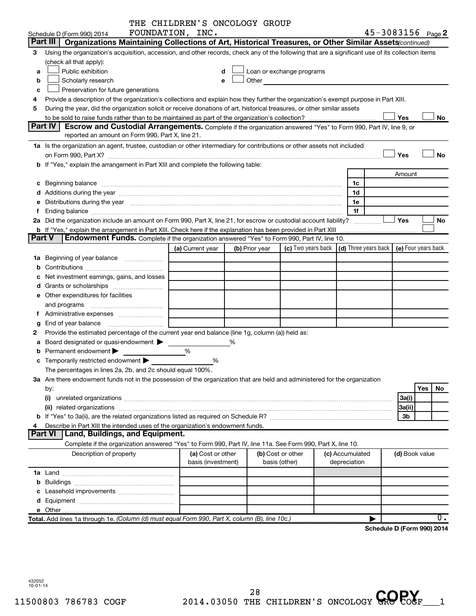|        |                                                                                                                                                                                                                                | THE CHILDREN'S ONCOLOGY GROUP |                |                                                                                                                                                                                                                                |                                            |                            |           |  |
|--------|--------------------------------------------------------------------------------------------------------------------------------------------------------------------------------------------------------------------------------|-------------------------------|----------------|--------------------------------------------------------------------------------------------------------------------------------------------------------------------------------------------------------------------------------|--------------------------------------------|----------------------------|-----------|--|
|        | Schedule D (Form 990) 2014                                                                                                                                                                                                     | FOUNDATION, INC.              |                |                                                                                                                                                                                                                                |                                            | 45-3083156 Page 2          |           |  |
|        | Part III<br>Organizations Maintaining Collections of Art, Historical Treasures, or Other Similar Assets (continued)                                                                                                            |                               |                |                                                                                                                                                                                                                                |                                            |                            |           |  |
| З      | Using the organization's acquisition, accession, and other records, check any of the following that are a significant use of its collection items                                                                              |                               |                |                                                                                                                                                                                                                                |                                            |                            |           |  |
|        | (check all that apply):                                                                                                                                                                                                        |                               |                |                                                                                                                                                                                                                                |                                            |                            |           |  |
| a      | Public exhibition                                                                                                                                                                                                              | d                             |                | Loan or exchange programs                                                                                                                                                                                                      |                                            |                            |           |  |
| b      | Scholarly research                                                                                                                                                                                                             | е                             |                | Other and the control of the control of the control of the control of the control of the control of the control of the control of the control of the control of the control of the control of the control of the control of th |                                            |                            |           |  |
| C      | Preservation for future generations                                                                                                                                                                                            |                               |                |                                                                                                                                                                                                                                |                                            |                            |           |  |
| 4      | Provide a description of the organization's collections and explain how they further the organization's exempt purpose in Part XIII.                                                                                           |                               |                |                                                                                                                                                                                                                                |                                            |                            |           |  |
| 5      | During the year, did the organization solicit or receive donations of art, historical treasures, or other similar assets                                                                                                       |                               |                |                                                                                                                                                                                                                                |                                            |                            |           |  |
|        |                                                                                                                                                                                                                                |                               |                |                                                                                                                                                                                                                                |                                            | Yes                        | No        |  |
|        | <b>Part IV</b><br>Escrow and Custodial Arrangements. Complete if the organization answered "Yes" to Form 990, Part IV, line 9, or                                                                                              |                               |                |                                                                                                                                                                                                                                |                                            |                            |           |  |
|        | reported an amount on Form 990, Part X, line 21.                                                                                                                                                                               |                               |                |                                                                                                                                                                                                                                |                                            |                            |           |  |
|        | 1a Is the organization an agent, trustee, custodian or other intermediary for contributions or other assets not included                                                                                                       |                               |                |                                                                                                                                                                                                                                |                                            |                            |           |  |
|        |                                                                                                                                                                                                                                |                               |                |                                                                                                                                                                                                                                |                                            | Yes                        | <b>No</b> |  |
|        | b If "Yes," explain the arrangement in Part XIII and complete the following table:                                                                                                                                             |                               |                |                                                                                                                                                                                                                                |                                            |                            |           |  |
|        |                                                                                                                                                                                                                                |                               |                |                                                                                                                                                                                                                                |                                            | Amount                     |           |  |
|        | c Beginning balance measurements and the contract of the contract of the contract of the contract of the contract of the contract of the contract of the contract of the contract of the contract of the contract of the contr |                               |                |                                                                                                                                                                                                                                | 1c                                         |                            |           |  |
|        |                                                                                                                                                                                                                                |                               |                |                                                                                                                                                                                                                                | 1d                                         |                            |           |  |
|        | e Distributions during the year manufactured and a control of the year manufactured and a Distributions during the year                                                                                                        |                               |                |                                                                                                                                                                                                                                | 1e                                         |                            |           |  |
| f      |                                                                                                                                                                                                                                |                               |                |                                                                                                                                                                                                                                | 1f                                         |                            |           |  |
|        | 2a Did the organization include an amount on Form 990, Part X, line 21, for escrow or custodial account liability?                                                                                                             |                               |                |                                                                                                                                                                                                                                |                                            | Yes                        | <b>No</b> |  |
|        | b If "Yes," explain the arrangement in Part XIII. Check here if the explanation has been provided in Part XIII                                                                                                                 |                               |                |                                                                                                                                                                                                                                |                                            |                            |           |  |
| Part V | <b>Endowment Funds.</b> Complete if the organization answered "Yes" to Form 990, Part IV, line 10.                                                                                                                             |                               |                |                                                                                                                                                                                                                                |                                            |                            |           |  |
|        |                                                                                                                                                                                                                                | (a) Current year              | (b) Prior year | (c) Two years back                                                                                                                                                                                                             | (d) Three years back   (e) Four years back |                            |           |  |
|        |                                                                                                                                                                                                                                |                               |                |                                                                                                                                                                                                                                |                                            |                            |           |  |
| b      |                                                                                                                                                                                                                                |                               |                |                                                                                                                                                                                                                                |                                            |                            |           |  |
|        | Net investment earnings, gains, and losses                                                                                                                                                                                     |                               |                |                                                                                                                                                                                                                                |                                            |                            |           |  |
|        |                                                                                                                                                                                                                                |                               |                |                                                                                                                                                                                                                                |                                            |                            |           |  |
|        | e Other expenditures for facilities                                                                                                                                                                                            |                               |                |                                                                                                                                                                                                                                |                                            |                            |           |  |
|        | and programs                                                                                                                                                                                                                   |                               |                |                                                                                                                                                                                                                                |                                            |                            |           |  |
| Ť.     |                                                                                                                                                                                                                                |                               |                |                                                                                                                                                                                                                                |                                            |                            |           |  |
|        | End of year balance                                                                                                                                                                                                            |                               |                |                                                                                                                                                                                                                                |                                            |                            |           |  |
| g<br>2 | Provide the estimated percentage of the current year end balance (line 1g, column (a)) held as:                                                                                                                                |                               |                |                                                                                                                                                                                                                                |                                            |                            |           |  |
|        |                                                                                                                                                                                                                                |                               |                |                                                                                                                                                                                                                                |                                            |                            |           |  |
| а      | Board designated or quasi-endowment                                                                                                                                                                                            | %                             |                |                                                                                                                                                                                                                                |                                            |                            |           |  |
| b      | Permanent endowment                                                                                                                                                                                                            |                               |                |                                                                                                                                                                                                                                |                                            |                            |           |  |
|        | c Temporarily restricted endowment >                                                                                                                                                                                           | %                             |                |                                                                                                                                                                                                                                |                                            |                            |           |  |
|        | The percentages in lines 2a, 2b, and 2c should equal 100%.                                                                                                                                                                     |                               |                |                                                                                                                                                                                                                                |                                            |                            |           |  |
|        | 3a Are there endowment funds not in the possession of the organization that are held and administered for the organization                                                                                                     |                               |                |                                                                                                                                                                                                                                |                                            |                            |           |  |
|        | by:                                                                                                                                                                                                                            |                               |                |                                                                                                                                                                                                                                |                                            |                            | Yes<br>No |  |
|        | (i)                                                                                                                                                                                                                            |                               |                |                                                                                                                                                                                                                                |                                            | 3a(i)                      |           |  |
|        |                                                                                                                                                                                                                                |                               |                |                                                                                                                                                                                                                                |                                            | 3a(ii)                     |           |  |
|        |                                                                                                                                                                                                                                |                               |                |                                                                                                                                                                                                                                |                                            | 3 <sub>b</sub>             |           |  |
|        | Describe in Part XIII the intended uses of the organization's endowment funds.<br><b>Part VI</b>                                                                                                                               |                               |                |                                                                                                                                                                                                                                |                                            |                            |           |  |
|        | Land, Buildings, and Equipment.                                                                                                                                                                                                |                               |                |                                                                                                                                                                                                                                |                                            |                            |           |  |
|        | Complete if the organization answered "Yes" to Form 990, Part IV, line 11a. See Form 990, Part X, line 10.                                                                                                                     |                               |                |                                                                                                                                                                                                                                |                                            |                            |           |  |
|        | Description of property                                                                                                                                                                                                        | (a) Cost or other             |                | (b) Cost or other                                                                                                                                                                                                              | (c) Accumulated                            | (d) Book value             |           |  |
|        |                                                                                                                                                                                                                                | basis (investment)            |                | basis (other)                                                                                                                                                                                                                  | depreciation                               |                            |           |  |
|        |                                                                                                                                                                                                                                |                               |                |                                                                                                                                                                                                                                |                                            |                            |           |  |
|        |                                                                                                                                                                                                                                |                               |                |                                                                                                                                                                                                                                |                                            |                            |           |  |
|        |                                                                                                                                                                                                                                |                               |                |                                                                                                                                                                                                                                |                                            |                            |           |  |
|        |                                                                                                                                                                                                                                |                               |                |                                                                                                                                                                                                                                |                                            |                            |           |  |
|        |                                                                                                                                                                                                                                |                               |                |                                                                                                                                                                                                                                |                                            |                            |           |  |
|        | Total. Add lines 1a through 1e. (Column (d) must equal Form 990, Part X, column (B), line 10c.)                                                                                                                                |                               |                |                                                                                                                                                                                                                                |                                            |                            | 0.        |  |
|        |                                                                                                                                                                                                                                |                               |                |                                                                                                                                                                                                                                |                                            | Schedule D (Form 990) 2014 |           |  |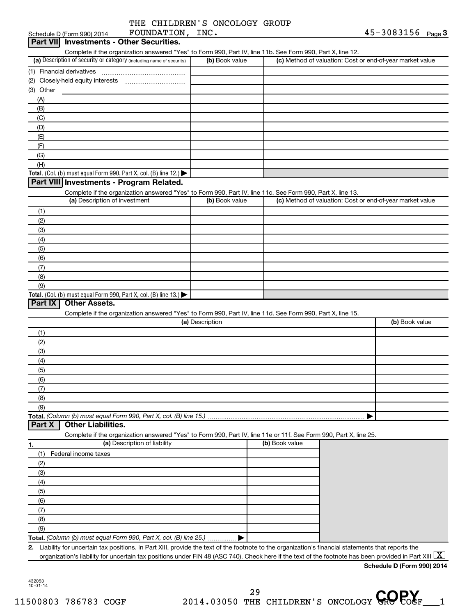| THE CHILDREN'S ONCOLOGY GROUP |  |
|-------------------------------|--|
|                               |  |

| FOUNDATION, INC.<br>Schedule D (Form 990) 2014                                                                                                          |                 |                | 45-3083156 Page 3                                         |
|---------------------------------------------------------------------------------------------------------------------------------------------------------|-----------------|----------------|-----------------------------------------------------------|
| <b>Investments - Other Securities.</b><br><b>Part VIII</b>                                                                                              |                 |                |                                                           |
| Complete if the organization answered "Yes" to Form 990, Part IV, line 11b. See Form 990, Part X, line 12.                                              |                 |                |                                                           |
| (a) Description of security or category (including name of security)                                                                                    | (b) Book value  |                | (c) Method of valuation: Cost or end-of-year market value |
| (1) Financial derivatives                                                                                                                               |                 |                |                                                           |
| (2) Closely-held equity interests                                                                                                                       |                 |                |                                                           |
| (3) Other                                                                                                                                               |                 |                |                                                           |
| (A)                                                                                                                                                     |                 |                |                                                           |
| (B)                                                                                                                                                     |                 |                |                                                           |
| (C)                                                                                                                                                     |                 |                |                                                           |
| (D)                                                                                                                                                     |                 |                |                                                           |
| (E)                                                                                                                                                     |                 |                |                                                           |
| (F)                                                                                                                                                     |                 |                |                                                           |
| (G)                                                                                                                                                     |                 |                |                                                           |
| (H)                                                                                                                                                     |                 |                |                                                           |
| Total. (Col. (b) must equal Form 990, Part X, col. (B) line 12.) $\blacktriangleright$                                                                  |                 |                |                                                           |
| Part VIII Investments - Program Related.                                                                                                                |                 |                |                                                           |
| Complete if the organization answered "Yes" to Form 990, Part IV, line 11c. See Form 990, Part X, line 13.                                              |                 |                |                                                           |
| (a) Description of investment                                                                                                                           | (b) Book value  |                | (c) Method of valuation: Cost or end-of-year market value |
| (1)                                                                                                                                                     |                 |                |                                                           |
| (2)                                                                                                                                                     |                 |                |                                                           |
| (3)                                                                                                                                                     |                 |                |                                                           |
| (4)                                                                                                                                                     |                 |                |                                                           |
| (5)                                                                                                                                                     |                 |                |                                                           |
| (6)                                                                                                                                                     |                 |                |                                                           |
| (7)                                                                                                                                                     |                 |                |                                                           |
| (8)                                                                                                                                                     |                 |                |                                                           |
| (9)                                                                                                                                                     |                 |                |                                                           |
| Total. (Col. (b) must equal Form 990, Part X, col. (B) line 13.) $\blacktriangleright$                                                                  |                 |                |                                                           |
| <b>Other Assets.</b><br>Part IX                                                                                                                         |                 |                |                                                           |
| Complete if the organization answered "Yes" to Form 990, Part IV, line 11d. See Form 990, Part X, line 15.                                              |                 |                |                                                           |
|                                                                                                                                                         | (a) Description |                | (b) Book value                                            |
| (1)                                                                                                                                                     |                 |                |                                                           |
| (2)                                                                                                                                                     |                 |                |                                                           |
| (3)                                                                                                                                                     |                 |                |                                                           |
| (4)                                                                                                                                                     |                 |                |                                                           |
| (5)                                                                                                                                                     |                 |                |                                                           |
| (6)                                                                                                                                                     |                 |                |                                                           |
| (7)                                                                                                                                                     |                 |                |                                                           |
| (8)                                                                                                                                                     |                 |                |                                                           |
| (9)                                                                                                                                                     |                 |                |                                                           |
| Total. (Column (b) must equal Form 990, Part X, col. (B) line 15.)                                                                                      |                 |                |                                                           |
| <b>Other Liabilities.</b><br>Part X                                                                                                                     |                 |                |                                                           |
| Complete if the organization answered "Yes" to Form 990, Part IV, line 11e or 11f. See Form 990, Part X, line 25.                                       |                 |                |                                                           |
| (a) Description of liability<br>1.                                                                                                                      |                 | (b) Book value |                                                           |
| Federal income taxes<br>(1)                                                                                                                             |                 |                |                                                           |
| (2)                                                                                                                                                     |                 |                |                                                           |
| (3)                                                                                                                                                     |                 |                |                                                           |
| (4)                                                                                                                                                     |                 |                |                                                           |
| (5)                                                                                                                                                     |                 |                |                                                           |
| (6)                                                                                                                                                     |                 |                |                                                           |
| (7)                                                                                                                                                     |                 |                |                                                           |
| (8)                                                                                                                                                     |                 |                |                                                           |
| (9)                                                                                                                                                     |                 |                |                                                           |
| Total. (Column (b) must equal Form 990, Part X, col. (B) line 25.)                                                                                      |                 |                |                                                           |
| Liability for uncertain tax positions. In Part XIII, provide the text of the footnote to the organization's financial statements that reports the<br>2. |                 |                |                                                           |
| organization's liability for uncertain tax positions under FIN 48 (ASC 740). Check here if the text of the footnote has been provided in Part XIII      |                 |                | X                                                         |
|                                                                                                                                                         |                 |                | Schedule D (Form 990) 2014                                |
|                                                                                                                                                         |                 |                |                                                           |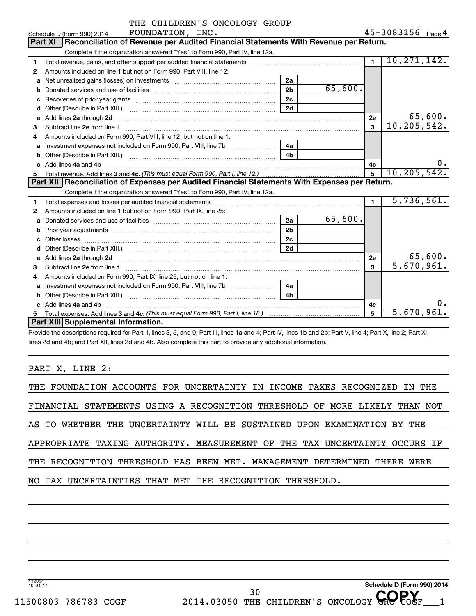|   | THE CHILDREN'S ONCOLOGY GROUP                                                                                                                                        |                |               |                |                              |
|---|----------------------------------------------------------------------------------------------------------------------------------------------------------------------|----------------|---------------|----------------|------------------------------|
|   | FOUNDATION, INC.<br>Schedule D (Form 990) 2014                                                                                                                       |                |               |                | 45-3083156 <sub>Page</sub> 4 |
|   | Reconciliation of Revenue per Audited Financial Statements With Revenue per Return.<br><b>Part XI</b>                                                                |                |               |                |                              |
|   | Complete if the organization answered "Yes" to Form 990, Part IV, line 12a.                                                                                          |                |               |                |                              |
| 1 | Total revenue, gains, and other support per audited financial statements [11] [11] Total revenue, [21] Total revenue of the support per audited financial statements |                |               | $\mathbf{1}$   | 10, 271, 142.                |
| 2 | Amounts included on line 1 but not on Form 990, Part VIII, line 12:                                                                                                  |                |               |                |                              |
| a |                                                                                                                                                                      | 2a             |               |                |                              |
|   |                                                                                                                                                                      | 2 <sub>b</sub> | 65,600.       |                |                              |
|   |                                                                                                                                                                      | 2 <sub>c</sub> |               |                |                              |
| d |                                                                                                                                                                      | 2d             |               |                |                              |
| e | Add lines 2a through 2d                                                                                                                                              |                |               | 2e             | 65,600.                      |
| 3 |                                                                                                                                                                      |                |               | $\mathbf{a}$   | 10, 205, 542.                |
| 4 | Amounts included on Form 990, Part VIII, line 12, but not on line 1:                                                                                                 |                |               |                |                              |
| a |                                                                                                                                                                      | 4a             |               |                |                              |
|   |                                                                                                                                                                      | 4 <sub>b</sub> |               |                |                              |
|   | c Add lines 4a and 4b                                                                                                                                                |                |               | 4с             | $0$ .                        |
| 5 |                                                                                                                                                                      | $\overline{5}$ | 10, 205, 542. |                |                              |
|   | Part XII   Reconciliation of Expenses per Audited Financial Statements With Expenses per Return.                                                                     |                |               |                |                              |
|   |                                                                                                                                                                      |                |               |                |                              |
|   | Complete if the organization answered "Yes" to Form 990, Part IV, line 12a.                                                                                          |                |               |                |                              |
| 1 |                                                                                                                                                                      |                |               | $\overline{1}$ | 5,736,561.                   |
| 2 | Amounts included on line 1 but not on Form 990, Part IX, line 25:                                                                                                    |                |               |                |                              |
| a |                                                                                                                                                                      | 2a             | 65,600.       |                |                              |
|   |                                                                                                                                                                      | 2 <sub>b</sub> |               |                |                              |
|   |                                                                                                                                                                      | 2 <sub>c</sub> |               |                |                              |
| d | Other (Describe in Part XIII.) (COLORGIAL CONSERVATION CONTROL)                                                                                                      | 2d             |               |                |                              |
|   |                                                                                                                                                                      |                |               | 2e             | 65,600.                      |
| 3 |                                                                                                                                                                      |                |               | $\mathbf{a}$   | 5,670,961.                   |
| 4 | Amounts included on Form 990, Part IX, line 25, but not on line 1:                                                                                                   |                |               |                |                              |
|   |                                                                                                                                                                      | 4a             |               |                |                              |
|   |                                                                                                                                                                      | 4b             |               |                |                              |
|   | Add lines 4a and 4b                                                                                                                                                  |                |               | 4c             | ο.                           |
|   | Part XIII Supplemental Information.                                                                                                                                  |                |               | 5              | 5,670,961.                   |

Provide the descriptions required for Part II, lines 3, 5, and 9; Part III, lines 1a and 4; Part IV, lines 1b and 2b; Part V, line 4; Part X, line 2; Part XI, lines 2d and 4b; and Part XII, lines 2d and 4b. Also complete this part to provide any additional information.

PART X, LINE 2:

| THE FOUNDATION ACCOUNTS FOR UNCERTAINTY IN INCOME TAXES RECOGNIZED IN THE  |
|----------------------------------------------------------------------------|
| FINANCIAL STATEMENTS USING A RECOGNITION THRESHOLD OF MORE LIKELY THAN NOT |
| AS TO WHETHER THE UNCERTAINTY WILL BE SUSTAINED UPON EXAMINATION BY THE    |
| APPROPRIATE TAXING AUTHORITY. MEASUREMENT OF THE TAX UNCERTAINTY OCCURS IF |
| THE RECOGNITION THRESHOLD HAS BEEN MET. MANAGEMENT DETERMINED THERE WERE   |
| NO TAX UNCERTAINTIES THAT MET THE RECOGNITION THRESHOLD.                   |
|                                                                            |

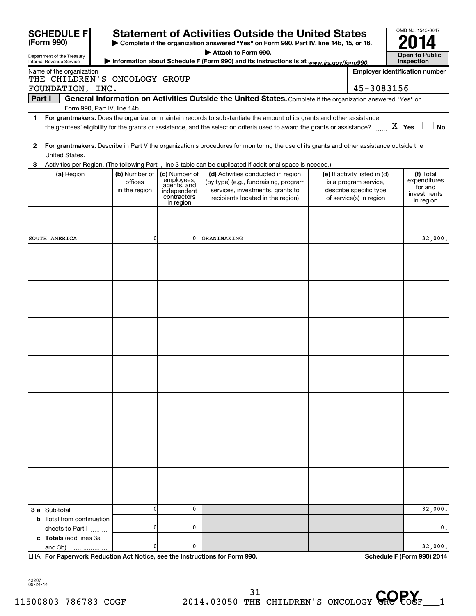|        | <b>SCHEDULE F</b>                                      |                                           |                                                                                       | <b>Statement of Activities Outside the United States</b>                                                                                             |                                                                                                             | OMB No. 1545-0047                                                |
|--------|--------------------------------------------------------|-------------------------------------------|---------------------------------------------------------------------------------------|------------------------------------------------------------------------------------------------------------------------------------------------------|-------------------------------------------------------------------------------------------------------------|------------------------------------------------------------------|
|        | (Form 990)                                             |                                           |                                                                                       | Complete if the organization answered "Yes" on Form 990, Part IV, line 14b, 15, or 16.                                                               |                                                                                                             |                                                                  |
|        | Department of the Treasury<br>Internal Revenue Service |                                           |                                                                                       | Attach to Form 990.<br>Information about Schedule F (Form 990) and its instructions is at www.irs.gov/form990.                                       |                                                                                                             | <b>Open to Public</b><br>Inspection                              |
|        | Name of the organization                               |                                           |                                                                                       |                                                                                                                                                      |                                                                                                             | <b>Employer identification number</b>                            |
|        | THE CHILDREN'S ONCOLOGY GROUP                          |                                           |                                                                                       |                                                                                                                                                      |                                                                                                             |                                                                  |
|        | FOUNDATION, INC.                                       |                                           |                                                                                       |                                                                                                                                                      | 45-3083156                                                                                                  |                                                                  |
| Part I |                                                        |                                           |                                                                                       | General Information on Activities Outside the United States. Complete if the organization answered "Yes" on                                          |                                                                                                             |                                                                  |
| 1.     |                                                        | Form 990, Part IV, line 14b.              |                                                                                       | For grantmakers. Does the organization maintain records to substantiate the amount of its grants and other assistance,                               |                                                                                                             |                                                                  |
|        |                                                        |                                           |                                                                                       | the grantees' eligibility for the grants or assistance, and the selection criteria used to award the grants or assistance? $\ldots$ $X$ Yes          |                                                                                                             | <b>No</b>                                                        |
| 2      | United States.                                         |                                           |                                                                                       | For grantmakers. Describe in Part V the organization's procedures for monitoring the use of its grants and other assistance outside the              |                                                                                                             |                                                                  |
| 3      |                                                        |                                           |                                                                                       | Activities per Region. (The following Part I, line 3 table can be duplicated if additional space is needed.)                                         |                                                                                                             |                                                                  |
|        | (a) Region                                             | (b) Number of<br>offices<br>in the region | (c) Number of<br>employees,<br>agents, and<br>independent<br>contractors<br>in region | (d) Activities conducted in region<br>(by type) (e.g., fundraising, program<br>services, investments, grants to<br>recipients located in the region) | (e) If activity listed in (d)<br>is a program service,<br>describe specific type<br>of service(s) in region | (f) Total<br>expenditures<br>for and<br>investments<br>in region |
|        |                                                        |                                           |                                                                                       |                                                                                                                                                      |                                                                                                             |                                                                  |
|        | SOUTH AMERICA                                          | $\overline{0}$                            | 0                                                                                     | GRANTMAKING                                                                                                                                          |                                                                                                             | 32,000.                                                          |
|        |                                                        |                                           |                                                                                       |                                                                                                                                                      |                                                                                                             |                                                                  |
|        |                                                        |                                           |                                                                                       |                                                                                                                                                      |                                                                                                             |                                                                  |
|        |                                                        |                                           |                                                                                       |                                                                                                                                                      |                                                                                                             |                                                                  |
|        |                                                        |                                           |                                                                                       |                                                                                                                                                      |                                                                                                             |                                                                  |
|        |                                                        |                                           |                                                                                       |                                                                                                                                                      |                                                                                                             |                                                                  |
|        |                                                        |                                           |                                                                                       |                                                                                                                                                      |                                                                                                             |                                                                  |
|        |                                                        |                                           |                                                                                       |                                                                                                                                                      |                                                                                                             |                                                                  |
|        | 3 a Sub-total                                          | $\sqrt{ }$                                | 0                                                                                     |                                                                                                                                                      |                                                                                                             | 32,000.                                                          |
|        | <b>b</b> Total from continuation<br>sheets to Part I   |                                           | 0                                                                                     |                                                                                                                                                      |                                                                                                             | 0.                                                               |
|        | c Totals (add lines 3a<br>and 3b)                      |                                           | 0                                                                                     |                                                                                                                                                      |                                                                                                             | 32,000.                                                          |

**For Paperwork Reduction Act Notice, see the Instructions for Form 990. Schedule F (Form 990) 2014** LHA

432071 09-24-14

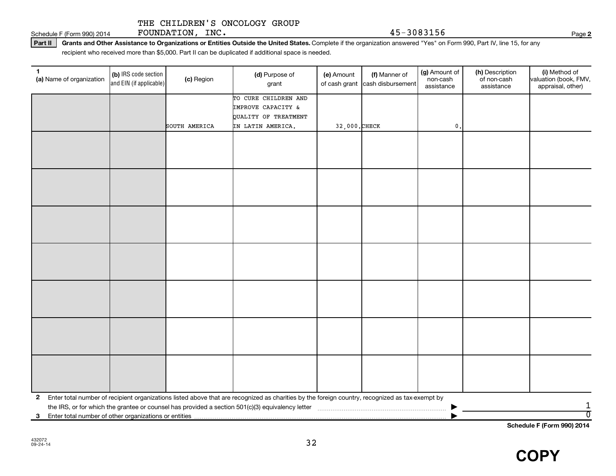Schedule F (Form 990) 2014  $\qquad \qquad$   $\qquad$   $\qquad$   $\qquad$   $\qquad$   $\qquad$   $\qquad$   $\qquad$   $\qquad$   $\qquad$   $\qquad$   $\qquad$   $\qquad$   $\qquad$   $\qquad$   $\qquad$   $\qquad$   $\qquad$   $\qquad$   $\qquad$   $\qquad$   $\qquad$   $\qquad$   $\qquad$   $\qquad$   $\qquad$   $\qquad$   $\qquad$   $\qquad$   $\qquad$   $\qquad$   $\qquad$ 

Part II | Grants and Other Assistance to Organizations or Entities Outside the United States. Complete if the organization answered "Yes" on Form 990, Part IV, line 15, for any recipient who received more than \$5,000. Part II can be duplicated if additional space is needed.

| 1<br>(a) Name of organization                           | (b) IRS code section<br>and EIN (if applicable) | (c) Region    | (d) Purpose of<br>grant                                                                                                                         | (e) Amount    | (f) Manner of<br>of cash grant cash disbursement | (g) Amount of<br>non-cash<br>assistance | (h) Description<br>of non-cash<br>assistance | (i) Method of<br>valuation (book, FMV,<br>appraisal, other) |
|---------------------------------------------------------|-------------------------------------------------|---------------|-------------------------------------------------------------------------------------------------------------------------------------------------|---------------|--------------------------------------------------|-----------------------------------------|----------------------------------------------|-------------------------------------------------------------|
|                                                         |                                                 |               | TO CURE CHILDREN AND                                                                                                                            |               |                                                  |                                         |                                              |                                                             |
|                                                         |                                                 |               | IMPROVE CAPACITY &<br>QUALITY OF TREATMENT                                                                                                      |               |                                                  |                                         |                                              |                                                             |
|                                                         |                                                 | SOUTH AMERICA | IN LATIN AMERICA.                                                                                                                               | 32,000. CHECK |                                                  | $\mathbf{0}$                            |                                              |                                                             |
|                                                         |                                                 |               |                                                                                                                                                 |               |                                                  |                                         |                                              |                                                             |
|                                                         |                                                 |               |                                                                                                                                                 |               |                                                  |                                         |                                              |                                                             |
|                                                         |                                                 |               |                                                                                                                                                 |               |                                                  |                                         |                                              |                                                             |
|                                                         |                                                 |               |                                                                                                                                                 |               |                                                  |                                         |                                              |                                                             |
|                                                         |                                                 |               |                                                                                                                                                 |               |                                                  |                                         |                                              |                                                             |
|                                                         |                                                 |               |                                                                                                                                                 |               |                                                  |                                         |                                              |                                                             |
|                                                         |                                                 |               |                                                                                                                                                 |               |                                                  |                                         |                                              |                                                             |
|                                                         |                                                 |               |                                                                                                                                                 |               |                                                  |                                         |                                              |                                                             |
|                                                         |                                                 |               |                                                                                                                                                 |               |                                                  |                                         |                                              |                                                             |
|                                                         |                                                 |               |                                                                                                                                                 |               |                                                  |                                         |                                              |                                                             |
|                                                         |                                                 |               |                                                                                                                                                 |               |                                                  |                                         |                                              |                                                             |
|                                                         |                                                 |               |                                                                                                                                                 |               |                                                  |                                         |                                              |                                                             |
|                                                         |                                                 |               |                                                                                                                                                 |               |                                                  |                                         |                                              |                                                             |
|                                                         |                                                 |               |                                                                                                                                                 |               |                                                  |                                         |                                              |                                                             |
|                                                         |                                                 |               |                                                                                                                                                 |               |                                                  |                                         |                                              |                                                             |
|                                                         |                                                 |               |                                                                                                                                                 |               |                                                  |                                         |                                              |                                                             |
|                                                         |                                                 |               |                                                                                                                                                 |               |                                                  |                                         |                                              |                                                             |
|                                                         |                                                 |               |                                                                                                                                                 |               |                                                  |                                         |                                              |                                                             |
|                                                         |                                                 |               |                                                                                                                                                 |               |                                                  |                                         |                                              |                                                             |
|                                                         |                                                 |               |                                                                                                                                                 |               |                                                  |                                         |                                              |                                                             |
|                                                         |                                                 |               |                                                                                                                                                 |               |                                                  |                                         |                                              |                                                             |
| $\mathbf{2}$                                            |                                                 |               | Enter total number of recipient organizations listed above that are recognized as charities by the foreign country, recognized as tax-exempt by |               |                                                  |                                         |                                              |                                                             |
|                                                         |                                                 |               |                                                                                                                                                 |               |                                                  |                                         |                                              | $\mathbf{1}$<br>$\overline{0}$                              |
| 3 Enter total number of other organizations or entities |                                                 |               |                                                                                                                                                 |               |                                                  |                                         |                                              |                                                             |

**Schedule F (Form 990) 2014**

**COPY**

**2**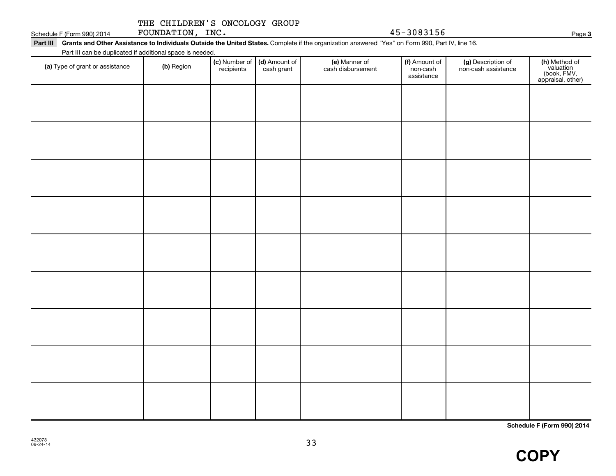Schedule F (Form 990) 2014  $\qquad \qquad$   $\qquad$   $\qquad$   $\qquad$   $\qquad$   $\qquad$   $\qquad$   $\qquad$   $\qquad$   $\qquad$   $\qquad$   $\qquad$   $\qquad$   $\qquad$   $\qquad$   $\qquad$   $\qquad$   $\qquad$   $\qquad$   $\qquad$   $\qquad$   $\qquad$   $\qquad$   $\qquad$   $\qquad$   $\qquad$   $\qquad$   $\qquad$   $\qquad$   $\qquad$   $\qquad$   $\qquad$ 

Part III Grants and Other Assistance to Individuals Outside the United States. Complete if the organization answered "Yes" on Form 990, Part IV, line 16. Part III can be duplicated if additional space is needed.

| T are in carried depileated in additional space is riceded.<br>(a) Type of grant or assistance | (b) Region | (c) Number of (d) Amount of<br>recipients cash grant | (e) Manner of<br>cash disbursement | (f) Amount of<br>non-cash<br>assistance | (g) Description of<br>non-cash assistance | (h) Method of<br>valuation<br>(book, FMV,<br>appraisal, other) |
|------------------------------------------------------------------------------------------------|------------|------------------------------------------------------|------------------------------------|-----------------------------------------|-------------------------------------------|----------------------------------------------------------------|
|                                                                                                |            |                                                      |                                    |                                         |                                           |                                                                |
|                                                                                                |            |                                                      |                                    |                                         |                                           |                                                                |
|                                                                                                |            |                                                      |                                    |                                         |                                           |                                                                |
|                                                                                                |            |                                                      |                                    |                                         |                                           |                                                                |
|                                                                                                |            |                                                      |                                    |                                         |                                           |                                                                |
|                                                                                                |            |                                                      |                                    |                                         |                                           |                                                                |
|                                                                                                |            |                                                      |                                    |                                         |                                           |                                                                |
|                                                                                                |            |                                                      |                                    |                                         |                                           |                                                                |
|                                                                                                |            |                                                      |                                    |                                         |                                           |                                                                |
|                                                                                                |            |                                                      |                                    |                                         |                                           |                                                                |

**Schedule F (Form 990) 2014**

**3**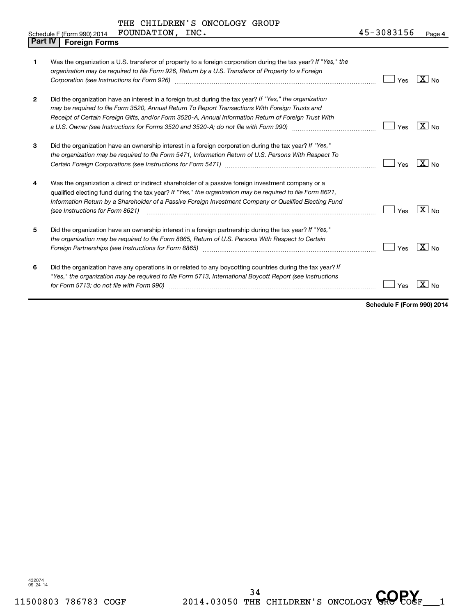THE CHILDREN'S ONCOLOGY GROUP FOUNDATION, INC. 45-3083156

| <b>Part IV</b> | <b>Foreign Forms</b>                                                                                                                                                                                                                                                                                                                                                                                         |     |                       |
|----------------|--------------------------------------------------------------------------------------------------------------------------------------------------------------------------------------------------------------------------------------------------------------------------------------------------------------------------------------------------------------------------------------------------------------|-----|-----------------------|
| $\mathbf{1}$   | Was the organization a U.S. transferor of property to a foreign corporation during the tax year? If "Yes," the<br>organization may be required to file Form 926, Return by a U.S. Transferor of Property to a Foreign<br>Corporation (see Instructions for Form 926) manufactured controller controller to the control of the control of                                                                     | Yes | $X_{N0}$              |
| $\overline{2}$ | Did the organization have an interest in a foreign trust during the tax year? If "Yes," the organization<br>may be required to file Form 3520, Annual Return To Report Transactions With Foreign Trusts and<br>Receipt of Certain Foreign Gifts, and/or Form 3520-A, Annual Information Return of Foreign Trust With<br>a U.S. Owner (see Instructions for Forms 3520 and 3520-A; do not file with Form 990) | Yes | $X _{No}$             |
| 3              | Did the organization have an ownership interest in a foreign corporation during the tax year? If "Yes,"<br>the organization may be required to file Form 5471, Information Return of U.S. Persons With Respect To                                                                                                                                                                                            | Yes | $X _{NQ}$             |
| 4              | Was the organization a direct or indirect shareholder of a passive foreign investment company or a<br>qualified electing fund during the tax year? If "Yes," the organization may be required to file Form 8621,<br>Information Return by a Shareholder of a Passive Foreign Investment Company or Qualified Electing Fund<br>(see Instructions for Form 8621)                                               | Yes | $\boxed{\text{X}}$ No |
| 5              | Did the organization have an ownership interest in a foreign partnership during the tax year? If "Yes,"<br>the organization may be required to file Form 8865, Return of U.S. Persons With Respect to Certain<br>Foreign Partnerships (see Instructions for Form 8865)                                                                                                                                       | Yes | $\mid X \mid$ No      |
| 6              | Did the organization have any operations in or related to any boycotting countries during the tax year? If<br>"Yes," the organization may be required to file Form 5713, International Boycott Report (see Instructions<br>for Form 5713; do not file with Form 990)                                                                                                                                         | Yes | x                     |

**Schedule F (Form 990) 2014**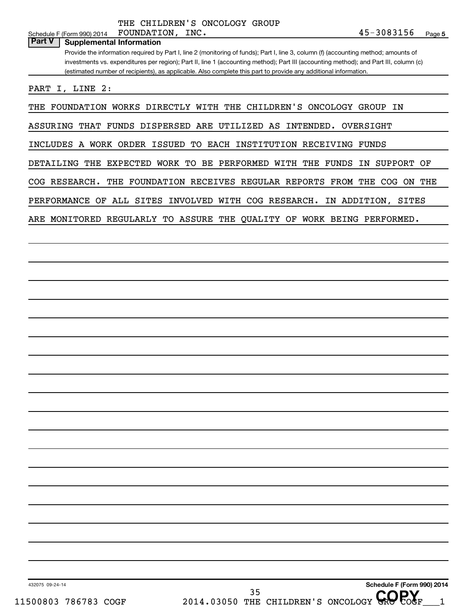THE CHILDREN'S ONCOLOGY GROUP FOUNDATION,

**Part V Supplemental Information**

Provide the information required by Part I, line 2 (monitoring of funds); Part I, line 3, column (f) (accounting method; amounts of investments vs. expenditures per region); Part II, line 1 (accounting method); Part III (accounting method); and Part III, column (c) (estimated number of recipients), as applicable. Also complete this part to provide any additional information.

PART I, LINE 2:

THE FOUNDATION WORKS DIRECTLY WITH THE CHILDREN'S ONCOLOGY GROUP IN

ASSURING THAT FUNDS DISPERSED ARE UTILIZED AS INTENDED. OVERSIGHT

INCLUDES A WORK ORDER ISSUED TO EACH INSTITUTION RECEIVING FUNDS

DETAILING THE EXPECTED WORK TO BE PERFORMED WITH THE FUNDS IN SUPPORT OF

COG RESEARCH. THE FOUNDATION RECEIVES REGULAR REPORTS FROM THE COG ON THE

PERFORMANCE OF ALL SITES INVOLVED WITH COG RESEARCH. IN ADDITION, SITES

ARE MONITORED REGULARLY TO ASSURE THE QUALITY OF WORK BEING PERFORMED.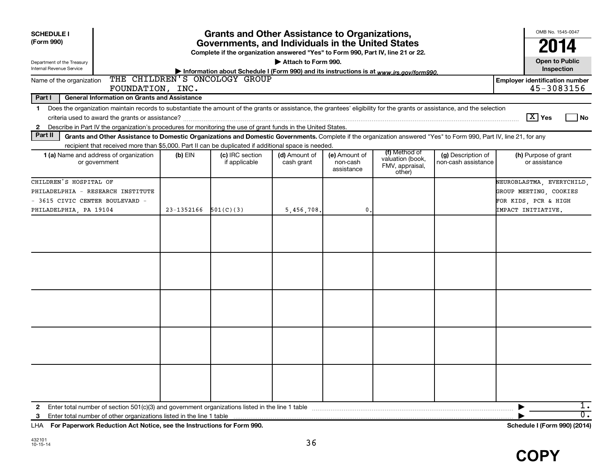| <b>SCHEDULE I</b>                                                                                                        |                                                                                                                                                                                                                                                                                                             |            | <b>Grants and Other Assistance to Organizations,</b>                                                                                  |                             |                                         |                                               |                                           | OMB No. 1545-0047                                                                                                                                          |
|--------------------------------------------------------------------------------------------------------------------------|-------------------------------------------------------------------------------------------------------------------------------------------------------------------------------------------------------------------------------------------------------------------------------------------------------------|------------|---------------------------------------------------------------------------------------------------------------------------------------|-----------------------------|-----------------------------------------|-----------------------------------------------|-------------------------------------------|------------------------------------------------------------------------------------------------------------------------------------------------------------|
| (Form 990)                                                                                                               |                                                                                                                                                                                                                                                                                                             |            | Governments, and Individuals in the United States<br>Complete if the organization answered "Yes" to Form 990, Part IV, line 21 or 22. |                             |                                         |                                               |                                           | 2014                                                                                                                                                       |
| Department of the Treasury<br>Internal Revenue Service                                                                   |                                                                                                                                                                                                                                                                                                             |            | Information about Schedule I (Form 990) and its instructions is at www.irs.gov/form990.                                               | Attach to Form 990.         |                                         |                                               |                                           | <b>Open to Public</b><br>Inspection                                                                                                                        |
| Name of the organization                                                                                                 | FOUNDATION, INC.                                                                                                                                                                                                                                                                                            |            | THE CHILDREN'S ONCOLOGY GROUP                                                                                                         |                             |                                         |                                               |                                           | <b>Employer identification number</b><br>45-3083156                                                                                                        |
| Part I                                                                                                                   | <b>General Information on Grants and Assistance</b>                                                                                                                                                                                                                                                         |            |                                                                                                                                       |                             |                                         |                                               |                                           |                                                                                                                                                            |
| $\mathbf 1$<br>$\mathbf{2}$                                                                                              | Does the organization maintain records to substantiate the amount of the grants or assistance, the grantees' eligibility for the grants or assistance, and the selection<br>Describe in Part IV the organization's procedures for monitoring the use of grant funds in the United States.                   |            |                                                                                                                                       |                             |                                         |                                               |                                           | $\boxed{\text{X}}$ Yes<br>l No                                                                                                                             |
| Part II                                                                                                                  | Grants and Other Assistance to Domestic Organizations and Domestic Governments. Complete if the organization answered "Yes" to Form 990, Part IV, line 21, for any                                                                                                                                          |            |                                                                                                                                       |                             |                                         |                                               |                                           |                                                                                                                                                            |
|                                                                                                                          | recipient that received more than \$5,000. Part II can be duplicated if additional space is needed.                                                                                                                                                                                                         |            |                                                                                                                                       |                             |                                         | (f) Method of                                 |                                           |                                                                                                                                                            |
|                                                                                                                          | 1 (a) Name and address of organization<br>or government                                                                                                                                                                                                                                                     | $(b)$ EIN  | (c) IRC section<br>if applicable                                                                                                      | (d) Amount of<br>cash grant | (e) Amount of<br>non-cash<br>assistance | valuation (book,<br>FMV, appraisal,<br>other) | (g) Description of<br>non-cash assistance | (h) Purpose of grant<br>or assistance                                                                                                                      |
| CHILDREN'S HOSPITAL OF<br>PHILADELPHIA - RESEARCH INSTITUTE<br>- 3615 CIVIC CENTER BOULEVARD -<br>PHILADELPHIA, PA 19104 |                                                                                                                                                                                                                                                                                                             | 23-1352166 | 501(C)(3)                                                                                                                             | 5,456,708.                  | 0.                                      |                                               |                                           | NEUROBLASTMA, EVERYCHILD,<br>GROUP MEETING, COOKIES<br>FOR KIDS, PCR & HIGH<br>IMPACT INITIATIVE.                                                          |
|                                                                                                                          |                                                                                                                                                                                                                                                                                                             |            |                                                                                                                                       |                             |                                         |                                               |                                           |                                                                                                                                                            |
|                                                                                                                          |                                                                                                                                                                                                                                                                                                             |            |                                                                                                                                       |                             |                                         |                                               |                                           |                                                                                                                                                            |
|                                                                                                                          |                                                                                                                                                                                                                                                                                                             |            |                                                                                                                                       |                             |                                         |                                               |                                           |                                                                                                                                                            |
|                                                                                                                          |                                                                                                                                                                                                                                                                                                             |            |                                                                                                                                       |                             |                                         |                                               |                                           |                                                                                                                                                            |
|                                                                                                                          |                                                                                                                                                                                                                                                                                                             |            |                                                                                                                                       |                             |                                         |                                               |                                           |                                                                                                                                                            |
|                                                                                                                          |                                                                                                                                                                                                                                                                                                             |            |                                                                                                                                       |                             |                                         |                                               |                                           |                                                                                                                                                            |
|                                                                                                                          |                                                                                                                                                                                                                                                                                                             |            |                                                                                                                                       |                             |                                         |                                               |                                           |                                                                                                                                                            |
|                                                                                                                          |                                                                                                                                                                                                                                                                                                             |            |                                                                                                                                       |                             |                                         |                                               |                                           |                                                                                                                                                            |
|                                                                                                                          |                                                                                                                                                                                                                                                                                                             |            |                                                                                                                                       |                             |                                         |                                               |                                           |                                                                                                                                                            |
| 2                                                                                                                        |                                                                                                                                                                                                                                                                                                             |            |                                                                                                                                       |                             |                                         |                                               |                                           | 1.<br>$\overline{0}$ .                                                                                                                                     |
| 3<br>$ -$                                                                                                                | $\mathbf{r}$ , $\mathbf{r}$ , $\mathbf{r}$ , $\mathbf{r}$ , $\mathbf{r}$ , $\mathbf{r}$ , $\mathbf{r}$ , $\mathbf{r}$ , $\mathbf{r}$ , $\mathbf{r}$ , $\mathbf{r}$ , $\mathbf{r}$ , $\mathbf{r}$ , $\mathbf{r}$ , $\mathbf{r}$ , $\mathbf{r}$ , $\mathbf{r}$ , $\mathbf{r}$ , $\mathbf{r}$ , $\mathbf{r}$ , |            |                                                                                                                                       |                             |                                         |                                               |                                           | $\mathbf{1} \mathbf{1}$ $\mathbf{1} \mathbf{1}$ $\mathbf{1} \mathbf{1}$ $\mathbf{1} \mathbf{1}$ $\mathbf{1} \mathbf{1}$ $\mathbf{1} \mathbf{1} \mathbf{1}$ |

**For Paperwork Reduction Act Notice, see the Instructions for Form 990. Schedule I (Form 990) (2014)** LHA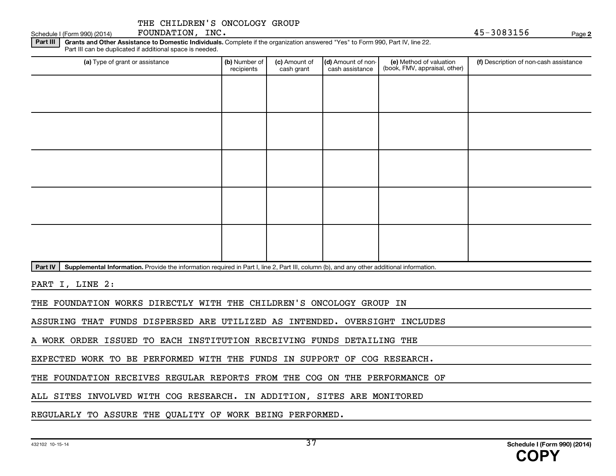FOUNDATION, INC.

Schedule I (Form 990) (2014) POUNDATION, INC.

**2**

Part III | Grants and Other Assistance to Domestic Individuals. Complete if the organization answered "Yes" to Form 990, Part IV, line 22. Part III can be duplicated if additional space is needed.

| (a) Type of grant or assistance                                                                                                                      | (b) Number of<br>recipients | (c) Amount of<br>cash grant | (d) Amount of non-<br>cash assistance | (e) Method of valuation<br>(book, FMV, appraisal, other) | (f) Description of non-cash assistance |
|------------------------------------------------------------------------------------------------------------------------------------------------------|-----------------------------|-----------------------------|---------------------------------------|----------------------------------------------------------|----------------------------------------|
|                                                                                                                                                      |                             |                             |                                       |                                                          |                                        |
|                                                                                                                                                      |                             |                             |                                       |                                                          |                                        |
|                                                                                                                                                      |                             |                             |                                       |                                                          |                                        |
|                                                                                                                                                      |                             |                             |                                       |                                                          |                                        |
|                                                                                                                                                      |                             |                             |                                       |                                                          |                                        |
|                                                                                                                                                      |                             |                             |                                       |                                                          |                                        |
|                                                                                                                                                      |                             |                             |                                       |                                                          |                                        |
|                                                                                                                                                      |                             |                             |                                       |                                                          |                                        |
|                                                                                                                                                      |                             |                             |                                       |                                                          |                                        |
|                                                                                                                                                      |                             |                             |                                       |                                                          |                                        |
| Supplemental Information. Provide the information required in Part I, line 2, Part III, column (b), and any other additional information.<br>Part IV |                             |                             |                                       |                                                          |                                        |

PART I, LINE 2:

THE FOUNDATION WORKS DIRECTLY WITH THE CHILDREN'S ONCOLOGY GROUP IN

ASSURING THAT FUNDS DISPERSED ARE UTILIZED AS INTENDED. OVERSIGHT INCLUDES

A WORK ORDER ISSUED TO EACH INSTITUTION RECEIVING FUNDS DETAILING THE

EXPECTED WORK TO BE PERFORMED WITH THE FUNDS IN SUPPORT OF COG RESEARCH.

THE FOUNDATION RECEIVES REGULAR REPORTS FROM THE COG ON THE PERFORMANCE OF

ALL SITES INVOLVED WITH COG RESEARCH. IN ADDITION, SITES ARE MONITORED

REGULARLY TO ASSURE THE QUALITY OF WORK BEING PERFORMED.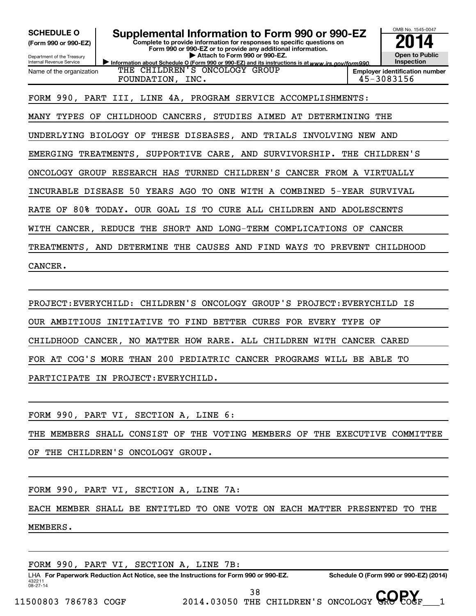OMB No. 1545-0047 Department of the Treasury Internal Revenue Service Information about Schedule O (Form 990 or 990-EZ) and its instructions is at www.irs.gov/form990. **Complete to provide information for responses to specific questions on Form 990 or 990-EZ or to provide any additional information. | Attach to Form 990 or 990-EZ. (Form 990 or 990-EZ) Open to Public Inspection Employer identification number** Name of the organization **SCHEDULE O Supplemental Information to Form 990 or 990-EZ 2014** THE CHILDREN'S ONCOLOGY GROUP FOUNDATION, INC. 45-3083156 FORM 990, PART III, LINE 4A, PROGRAM SERVICE ACCOMPLISHMENTS: MANY TYPES OF CHILDHOOD CANCERS, STUDIES AIMED AT DETERMINING THE UNDERLYING BIOLOGY OF THESE DISEASES, AND TRIALS INVOLVING NEW AND EMERGING TREATMENTS, SUPPORTIVE CARE, AND SURVIVORSHIP. THE CHILDREN'S ONCOLOGY GROUP RESEARCH HAS TURNED CHILDREN'S CANCER FROM A VIRTUALLY INCURABLE DISEASE 50 YEARS AGO TO ONE WITH A COMBINED 5-YEAR SURVIVAL RATE OF 80% TODAY. OUR GOAL IS TO CURE ALL CHILDREN AND ADOLESCENTS WITH CANCER, REDUCE THE SHORT AND LONG-TERM COMPLICATIONS OF CANCER TREATMENTS, AND DETERMINE THE CAUSES AND FIND WAYS TO PREVENT CHILDHOOD CANCER.

PROJECT:EVERYCHILD: CHILDREN'S ONCOLOGY GROUP'S PROJECT:EVERYCHILD IS OUR AMBITIOUS INITIATIVE TO FIND BETTER CURES FOR EVERY TYPE OF CHILDHOOD CANCER, NO MATTER HOW RARE. ALL CHILDREN WITH CANCER CARED FOR AT COG'S MORE THAN 200 PEDIATRIC CANCER PROGRAMS WILL BE ABLE TO PARTICIPATE IN PROJECT:EVERYCHILD.

FORM 990, PART VI, SECTION A, LINE 6:

THE MEMBERS SHALL CONSIST OF THE VOTING MEMBERS OF THE EXECUTIVE COMMITTEE

OF THE CHILDREN'S ONCOLOGY GROUP.

FORM 990, PART VI, SECTION A, LINE 7A:

EACH MEMBER SHALL BE ENTITLED TO ONE VOTE ON EACH MATTER PRESENTED TO THE

MEMBERS.

```
FORM 990, PART VI, SECTION A, LINE 7B:
```
432211 08-27-14 LHA For Paperwork Reduction Act Notice, see the Instructions for Form 990 or 990-EZ. Schedule O (Form 990 or 990-EZ) (2014)